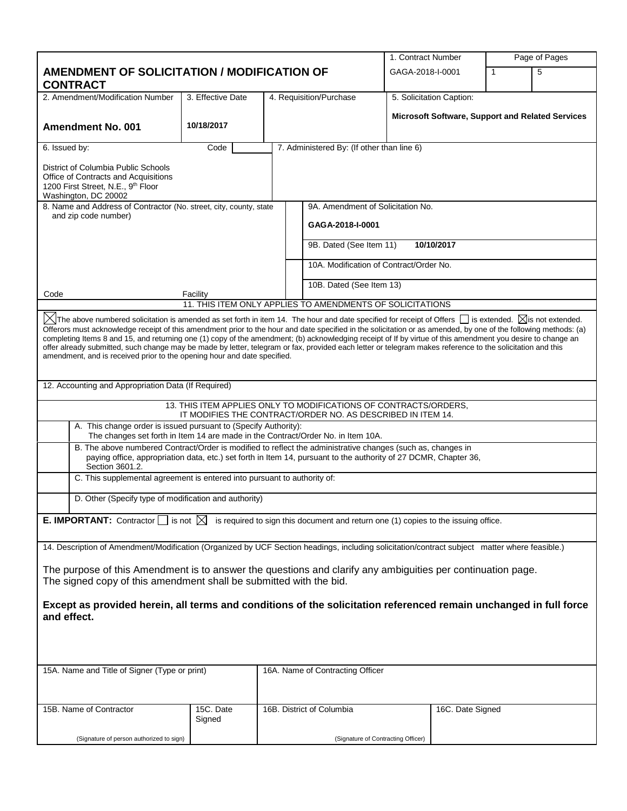|                                                                                                                                                                                                                                                    |                                                                                                                                                                                                                                                                                                                                                                                                                                                                                                                                                                                                                                                                                                                                                                 |  |                                                                                                                                 |  | 1. Contract Number       |   | Page of Pages                                    |
|----------------------------------------------------------------------------------------------------------------------------------------------------------------------------------------------------------------------------------------------------|-----------------------------------------------------------------------------------------------------------------------------------------------------------------------------------------------------------------------------------------------------------------------------------------------------------------------------------------------------------------------------------------------------------------------------------------------------------------------------------------------------------------------------------------------------------------------------------------------------------------------------------------------------------------------------------------------------------------------------------------------------------------|--|---------------------------------------------------------------------------------------------------------------------------------|--|--------------------------|---|--------------------------------------------------|
| <b>AMENDMENT OF SOLICITATION / MODIFICATION OF</b>                                                                                                                                                                                                 |                                                                                                                                                                                                                                                                                                                                                                                                                                                                                                                                                                                                                                                                                                                                                                 |  | GAGA-2018-I-0001                                                                                                                |  | 1                        | 5 |                                                  |
| <b>CONTRACT</b>                                                                                                                                                                                                                                    |                                                                                                                                                                                                                                                                                                                                                                                                                                                                                                                                                                                                                                                                                                                                                                 |  |                                                                                                                                 |  |                          |   |                                                  |
| 2. Amendment/Modification Number                                                                                                                                                                                                                   | 3. Effective Date                                                                                                                                                                                                                                                                                                                                                                                                                                                                                                                                                                                                                                                                                                                                               |  | 4. Requisition/Purchase                                                                                                         |  | 5. Solicitation Caption: |   |                                                  |
| <b>Amendment No. 001</b>                                                                                                                                                                                                                           | 10/18/2017                                                                                                                                                                                                                                                                                                                                                                                                                                                                                                                                                                                                                                                                                                                                                      |  |                                                                                                                                 |  |                          |   | Microsoft Software, Support and Related Services |
| 6. Issued by:                                                                                                                                                                                                                                      | Code                                                                                                                                                                                                                                                                                                                                                                                                                                                                                                                                                                                                                                                                                                                                                            |  | 7. Administered By: (If other than line 6)                                                                                      |  |                          |   |                                                  |
| District of Columbia Public Schools<br>Office of Contracts and Acquisitions<br>1200 First Street, N.E., 9th Floor<br>Washington, DC 20002                                                                                                          |                                                                                                                                                                                                                                                                                                                                                                                                                                                                                                                                                                                                                                                                                                                                                                 |  |                                                                                                                                 |  |                          |   |                                                  |
| 8. Name and Address of Contractor (No. street, city, county, state                                                                                                                                                                                 |                                                                                                                                                                                                                                                                                                                                                                                                                                                                                                                                                                                                                                                                                                                                                                 |  | 9A. Amendment of Solicitation No.                                                                                               |  |                          |   |                                                  |
| and zip code number)                                                                                                                                                                                                                               |                                                                                                                                                                                                                                                                                                                                                                                                                                                                                                                                                                                                                                                                                                                                                                 |  | GAGA-2018-I-0001                                                                                                                |  |                          |   |                                                  |
|                                                                                                                                                                                                                                                    |                                                                                                                                                                                                                                                                                                                                                                                                                                                                                                                                                                                                                                                                                                                                                                 |  | 9B. Dated (See Item 11)                                                                                                         |  | 10/10/2017               |   |                                                  |
|                                                                                                                                                                                                                                                    |                                                                                                                                                                                                                                                                                                                                                                                                                                                                                                                                                                                                                                                                                                                                                                 |  | 10A. Modification of Contract/Order No.                                                                                         |  |                          |   |                                                  |
| Code                                                                                                                                                                                                                                               | Facility                                                                                                                                                                                                                                                                                                                                                                                                                                                                                                                                                                                                                                                                                                                                                        |  | 10B. Dated (See Item 13)                                                                                                        |  |                          |   |                                                  |
|                                                                                                                                                                                                                                                    |                                                                                                                                                                                                                                                                                                                                                                                                                                                                                                                                                                                                                                                                                                                                                                 |  | 11. THIS ITEM ONLY APPLIES TO AMENDMENTS OF SOLICITATIONS                                                                       |  |                          |   |                                                  |
|                                                                                                                                                                                                                                                    | $\boxtimes$ The above numbered solicitation is amended as set forth in item 14. The hour and date specified for receipt of Offers $\Box$ is extended. $\boxtimes$ is not extended.<br>Offerors must acknowledge receipt of this amendment prior to the hour and date specified in the solicitation or as amended, by one of the following methods: (a)<br>completing Items 8 and 15, and returning one (1) copy of the amendment; (b) acknowledging receipt of If by virtue of this amendment you desire to change an<br>offer already submitted, such change may be made by letter, telegram or fax, provided each letter or telegram makes reference to the solicitation and this<br>amendment, and is received prior to the opening hour and date specified. |  |                                                                                                                                 |  |                          |   |                                                  |
| 12. Accounting and Appropriation Data (If Required)                                                                                                                                                                                                |                                                                                                                                                                                                                                                                                                                                                                                                                                                                                                                                                                                                                                                                                                                                                                 |  |                                                                                                                                 |  |                          |   |                                                  |
|                                                                                                                                                                                                                                                    |                                                                                                                                                                                                                                                                                                                                                                                                                                                                                                                                                                                                                                                                                                                                                                 |  | 13. THIS ITEM APPLIES ONLY TO MODIFICATIONS OF CONTRACTS/ORDERS.<br>IT MODIFIES THE CONTRACT/ORDER NO. AS DESCRIBED IN ITEM 14. |  |                          |   |                                                  |
| A. This change order is issued pursuant to (Specify Authority):<br>The changes set forth in Item 14 are made in the Contract/Order No. in Item 10A.                                                                                                |                                                                                                                                                                                                                                                                                                                                                                                                                                                                                                                                                                                                                                                                                                                                                                 |  |                                                                                                                                 |  |                          |   |                                                  |
| B. The above numbered Contract/Order is modified to reflect the administrative changes (such as, changes in<br>paying office, appropriation data, etc.) set forth in Item 14, pursuant to the authority of 27 DCMR, Chapter 36,<br>Section 3601.2. |                                                                                                                                                                                                                                                                                                                                                                                                                                                                                                                                                                                                                                                                                                                                                                 |  |                                                                                                                                 |  |                          |   |                                                  |
| C. This supplemental agreement is entered into pursuant to authority of:                                                                                                                                                                           |                                                                                                                                                                                                                                                                                                                                                                                                                                                                                                                                                                                                                                                                                                                                                                 |  |                                                                                                                                 |  |                          |   |                                                  |
| D. Other (Specify type of modification and authority)                                                                                                                                                                                              |                                                                                                                                                                                                                                                                                                                                                                                                                                                                                                                                                                                                                                                                                                                                                                 |  |                                                                                                                                 |  |                          |   |                                                  |
| <b>E. IMPORTANT:</b> Contractor $\Box$ is not $\boxtimes$ is required to sign this document and return one (1) copies to the issuing office.                                                                                                       |                                                                                                                                                                                                                                                                                                                                                                                                                                                                                                                                                                                                                                                                                                                                                                 |  |                                                                                                                                 |  |                          |   |                                                  |
| 14. Description of Amendment/Modification (Organized by UCF Section headings, including solicitation/contract subject matter where feasible.)                                                                                                      |                                                                                                                                                                                                                                                                                                                                                                                                                                                                                                                                                                                                                                                                                                                                                                 |  |                                                                                                                                 |  |                          |   |                                                  |
| The purpose of this Amendment is to answer the questions and clarify any ambiguities per continuation page.<br>The signed copy of this amendment shall be submitted with the bid.                                                                  |                                                                                                                                                                                                                                                                                                                                                                                                                                                                                                                                                                                                                                                                                                                                                                 |  |                                                                                                                                 |  |                          |   |                                                  |
| Except as provided herein, all terms and conditions of the solicitation referenced remain unchanged in full force<br>and effect.                                                                                                                   |                                                                                                                                                                                                                                                                                                                                                                                                                                                                                                                                                                                                                                                                                                                                                                 |  |                                                                                                                                 |  |                          |   |                                                  |
|                                                                                                                                                                                                                                                    |                                                                                                                                                                                                                                                                                                                                                                                                                                                                                                                                                                                                                                                                                                                                                                 |  |                                                                                                                                 |  |                          |   |                                                  |
| 15A. Name and Title of Signer (Type or print)                                                                                                                                                                                                      |                                                                                                                                                                                                                                                                                                                                                                                                                                                                                                                                                                                                                                                                                                                                                                 |  | 16A. Name of Contracting Officer                                                                                                |  |                          |   |                                                  |
| 15B. Name of Contractor                                                                                                                                                                                                                            | 15C. Date<br>Signed                                                                                                                                                                                                                                                                                                                                                                                                                                                                                                                                                                                                                                                                                                                                             |  | 16B. District of Columbia                                                                                                       |  | 16C. Date Signed         |   |                                                  |
| (Signature of person authorized to sign)                                                                                                                                                                                                           |                                                                                                                                                                                                                                                                                                                                                                                                                                                                                                                                                                                                                                                                                                                                                                 |  | (Signature of Contracting Officer)                                                                                              |  |                          |   |                                                  |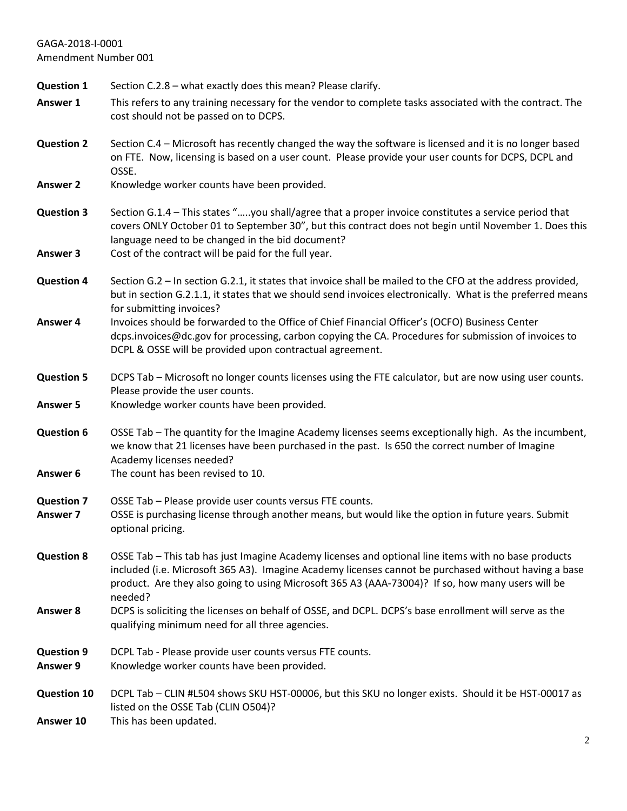**Question 1** Section C.2.8 – what exactly does this mean? Please clarify. **Answer 1** This refers to any training necessary for the vendor to complete tasks associated with the contract. The cost should not be passed on to DCPS. **Question 2** Section C.4 – Microsoft has recently changed the way the software is licensed and it is no longer based on FTE. Now, licensing is based on a user count. Please provide your user counts for DCPS, DCPL and OSSE. Answer 2 Knowledge worker counts have been provided. **Question 3** Section G.1.4 – This states "…..you shall/agree that a proper invoice constitutes a service period that covers ONLY October 01 to September 30", but this contract does not begin until November 1. Does this language need to be changed in the bid document? **Answer 3** Cost of the contract will be paid for the full year. **Question 4** Section G.2 – In section G.2.1, it states that invoice shall be mailed to the CFO at the address provided, but in section G.2.1.1, it states that we should send invoices electronically. What is the preferred means for submitting invoices? **Answer 4** Invoices should be forwarded to the Office of Chief Financial Officer's (OCFO) Business Center dcps.invoices@dc.gov for processing, carbon copying the CA. Procedures for submission of invoices to DCPL & OSSE will be provided upon contractual agreement. **Question 5** DCPS Tab – Microsoft no longer counts licenses using the FTE calculator, but are now using user counts. Please provide the user counts. Answer 5 Knowledge worker counts have been provided. **Question 6** OSSE Tab – The quantity for the Imagine Academy licenses seems exceptionally high. As the incumbent, we know that 21 licenses have been purchased in the past. Is 650 the correct number of Imagine Academy licenses needed? **Answer 6** The count has been revised to 10. **Question 7** OSSE Tab – Please provide user counts versus FTE counts. **Answer 7** OSSE is purchasing license through another means, but would like the option in future years. Submit optional pricing. **Question 8** OSSE Tab – This tab has just Imagine Academy licenses and optional line items with no base products included (i.e. Microsoft 365 A3). Imagine Academy licenses cannot be purchased without having a base product. Are they also going to using Microsoft 365 A3 (AAA-73004)? If so, how many users will be needed? **Answer 8** DCPS is soliciting the licenses on behalf of OSSE, and DCPL. DCPS's base enrollment will serve as the qualifying minimum need for all three agencies. **Question 9** DCPL Tab - Please provide user counts versus FTE counts. Answer 9 Knowledge worker counts have been provided. **Question 10** DCPL Tab – CLIN #L504 shows SKU HST-00006, but this SKU no longer exists. Should it be HST-00017 as listed on the OSSE Tab (CLIN O504)? **Answer 10** This has been updated.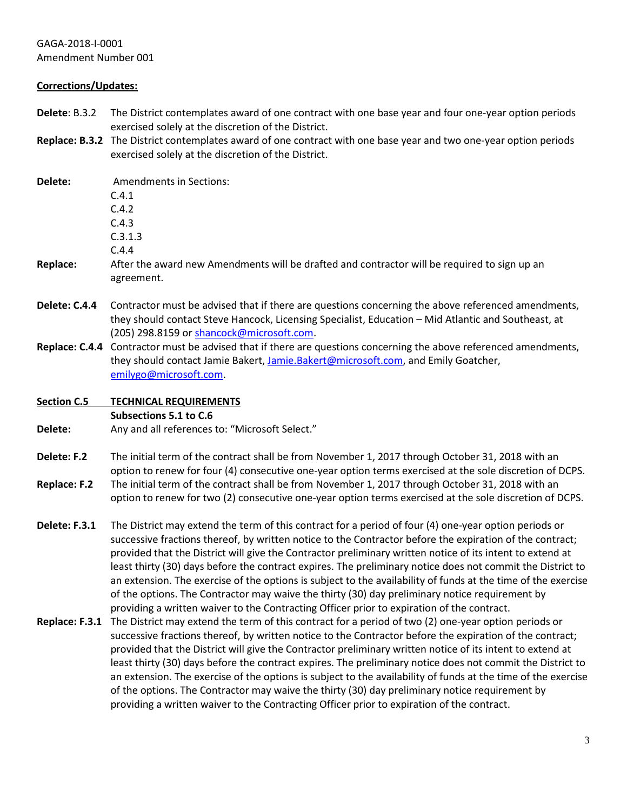### **Corrections/Updates:**

- **Delete**: B.3.2 The District contemplates award of one contract with one base year and four one-year option periods exercised solely at the discretion of the District.
- **Replace: B.3.2** The District contemplates award of one contract with one base year and two one-year option periods exercised solely at the discretion of the District.

| Delete:            | <b>Amendments in Sections:</b><br>C.4.1<br>C.4.2<br>C.4.3                                                                                                                                                                                                                                                                                                                                                                                                                                                                                                                                                                                                                                                                                                     |
|--------------------|---------------------------------------------------------------------------------------------------------------------------------------------------------------------------------------------------------------------------------------------------------------------------------------------------------------------------------------------------------------------------------------------------------------------------------------------------------------------------------------------------------------------------------------------------------------------------------------------------------------------------------------------------------------------------------------------------------------------------------------------------------------|
|                    | C.3.1.3                                                                                                                                                                                                                                                                                                                                                                                                                                                                                                                                                                                                                                                                                                                                                       |
| <b>Replace:</b>    | C.4.4<br>After the award new Amendments will be drafted and contractor will be required to sign up an<br>agreement.                                                                                                                                                                                                                                                                                                                                                                                                                                                                                                                                                                                                                                           |
| Delete: C.4.4      | Contractor must be advised that if there are questions concerning the above referenced amendments,<br>they should contact Steve Hancock, Licensing Specialist, Education - Mid Atlantic and Southeast, at<br>(205) 298.8159 or shancock@microsoft.com.                                                                                                                                                                                                                                                                                                                                                                                                                                                                                                        |
|                    | Replace: C.4.4 Contractor must be advised that if there are questions concerning the above referenced amendments,<br>they should contact Jamie Bakert, Jamie.Bakert@microsoft.com, and Emily Goatcher,<br>emilygo@microsoft.com.                                                                                                                                                                                                                                                                                                                                                                                                                                                                                                                              |
| <b>Section C.5</b> | <b>TECHNICAL REQUIREMENTS</b>                                                                                                                                                                                                                                                                                                                                                                                                                                                                                                                                                                                                                                                                                                                                 |
|                    | Subsections 5.1 to C.6                                                                                                                                                                                                                                                                                                                                                                                                                                                                                                                                                                                                                                                                                                                                        |
| Delete:            | Any and all references to: "Microsoft Select."                                                                                                                                                                                                                                                                                                                                                                                                                                                                                                                                                                                                                                                                                                                |
| Delete: F.2        | The initial term of the contract shall be from November 1, 2017 through October 31, 2018 with an<br>option to renew for four (4) consecutive one-year option terms exercised at the sole discretion of DCPS.                                                                                                                                                                                                                                                                                                                                                                                                                                                                                                                                                  |
| Replace: F.2       | The initial term of the contract shall be from November 1, 2017 through October 31, 2018 with an<br>option to renew for two (2) consecutive one-year option terms exercised at the sole discretion of DCPS.                                                                                                                                                                                                                                                                                                                                                                                                                                                                                                                                                   |
| Delete: F.3.1      | The District may extend the term of this contract for a period of four (4) one-year option periods or<br>successive fractions thereof, by written notice to the Contractor before the expiration of the contract;<br>provided that the District will give the Contractor preliminary written notice of its intent to extend at<br>least thirty (30) days before the contract expires. The preliminary notice does not commit the District to<br>an extension. The exercise of the options is subject to the availability of funds at the time of the exercise<br>of the options. The Contractor may waive the thirty (30) day preliminary notice requirement by<br>providing a written waiver to the Contracting Officer prior to expiration of the contract. |
| Replace: F.3.1     | The District may extend the term of this contract for a period of two (2) one-year option periods or<br>successive fractions thereof, by written notice to the Contractor before the expiration of the contract;<br>provided that the District will give the Contractor preliminary written notice of its intent to extend at                                                                                                                                                                                                                                                                                                                                                                                                                                 |

least thirty (30) days before the contract expires. The preliminary notice does not commit the District to an extension. The exercise of the options is subject to the availability of funds at the time of the exercise

of the options. The Contractor may waive the thirty (30) day preliminary notice requirement by

providing a written waiver to the Contracting Officer prior to expiration of the contract.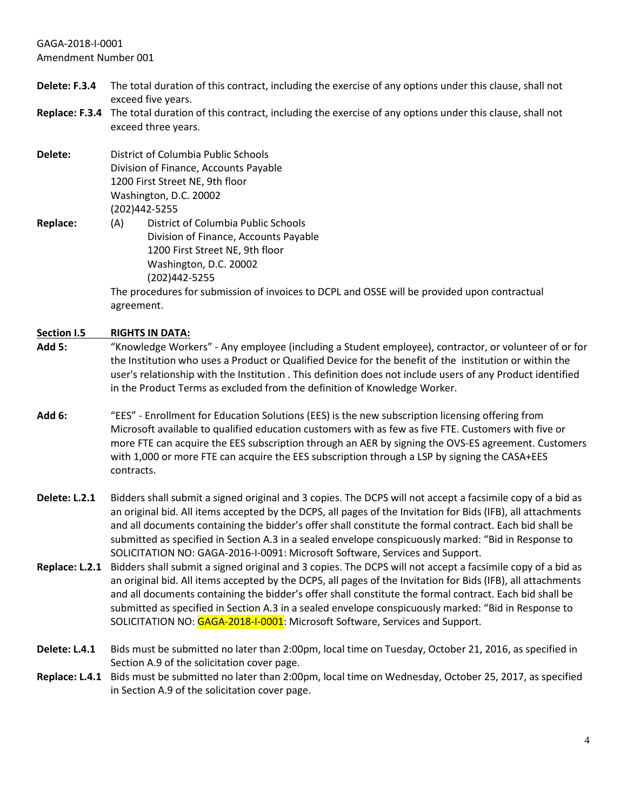- **Delete: F.3.4** The total duration of this contract, including the exercise of any options under this clause, shall not exceed five years.
- **Replace: F.3.4** The total duration of this contract, including the exercise of any options under this clause, shall not exceed three years.
- **Delete:** District of Columbia Public Schools Division of Finance, Accounts Payable 1200 First Street NE, 9th floor Washington, D.C. 20002 (202)442-5255 **Replace:** (A) District of Columbia Public Schools Division of Finance, Accounts Payable

1200 First Street NE, 9th floor Washington, D.C. 20002 (202)442-5255

The procedures for submission of invoices to DCPL and OSSE will be provided upon contractual agreement.

### **Section I.5 RIGHTS IN DATA:**

- **Add 5:** "Knowledge Workers" Any employee (including a Student employee), contractor, or volunteer of or for the Institution who uses a Product or Qualified Device for the benefit of the institution or within the user's relationship with the Institution . This definition does not include users of any Product identified in the Product Terms as excluded from the definition of Knowledge Worker.
- **Add 6:** "EES" Enrollment for Education Solutions (EES) is the new subscription licensing offering from Microsoft available to qualified education customers with as few as five FTE. Customers with five or more FTE can acquire the EES subscription through an AER by signing the OVS-ES agreement. Customers with 1,000 or more FTE can acquire the EES subscription through a LSP by signing the CASA+EES contracts.
- **Delete: L.2.1** Bidders shall submit a signed original and 3 copies. The DCPS will not accept a facsimile copy of a bid as an original bid. All items accepted by the DCPS, all pages of the Invitation for Bids (IFB), all attachments and all documents containing the bidder's offer shall constitute the formal contract. Each bid shall be submitted as specified in Section A.3 in a sealed envelope conspicuously marked: "Bid in Response to SOLICITATION NO: GAGA-2016-I-0091: Microsoft Software, Services and Support.
- **Replace: L.2.1** Bidders shall submit a signed original and 3 copies. The DCPS will not accept a facsimile copy of a bid as an original bid. All items accepted by the DCPS, all pages of the Invitation for Bids (IFB), all attachments and all documents containing the bidder's offer shall constitute the formal contract. Each bid shall be submitted as specified in Section A.3 in a sealed envelope conspicuously marked: "Bid in Response to SOLICITATION NO: GAGA-2018-I-0001: Microsoft Software, Services and Support.
- **Delete: L.4.1** Bids must be submitted no later than 2:00pm, local time on Tuesday, October 21, 2016, as specified in Section A.9 of the solicitation cover page.
- **Replace: L.4.1** Bids must be submitted no later than 2:00pm, local time on Wednesday, October 25, 2017, as specified in Section A.9 of the solicitation cover page.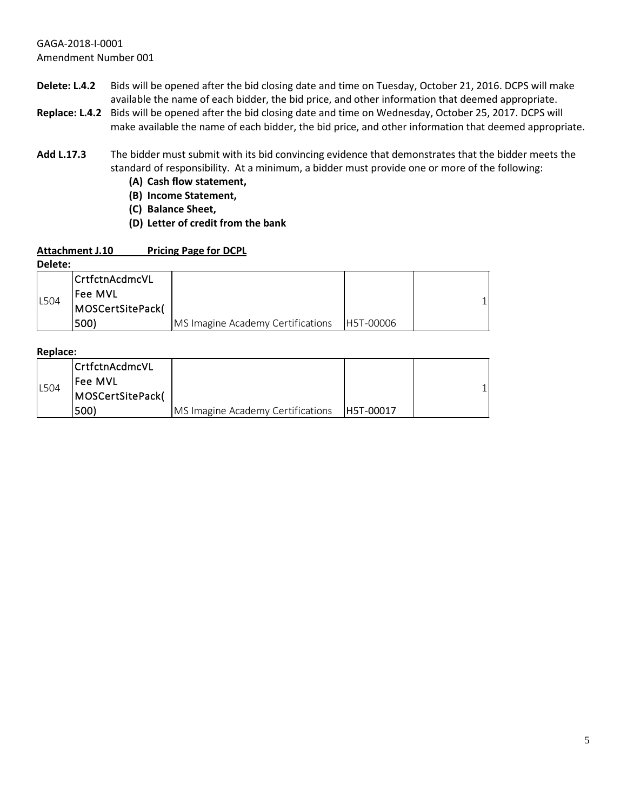- **Delete: L.4.2** Bids will be opened after the bid closing date and time on Tuesday, October 21, 2016. DCPS will make available the name of each bidder, the bid price, and other information that deemed appropriate.
- **Replace: L.4.2** Bids will be opened after the bid closing date and time on Wednesday, October 25, 2017. DCPS will make available the name of each bidder, the bid price, and other information that deemed appropriate.
- **Add L.17.3** The bidder must submit with its bid convincing evidence that demonstrates that the bidder meets the standard of responsibility. At a minimum, a bidder must provide one or more of the following:
	- **(A) Cash flow statement,**
	- **(B) Income Statement,**
	- **(C) Balance Sheet,**
	- **(D) Letter of credit from the bank**

#### **Attachment J.10 Pricing Page for DCPL**

**Delete:** 

| -------     |                        |                                   |           |  |
|-------------|------------------------|-----------------------------------|-----------|--|
|             | <b>ICrtfctnAcdmcVL</b> |                                   |           |  |
| <b>L504</b> | Fee MVL                |                                   |           |  |
|             | MOSCertSitePack(       |                                   |           |  |
|             | 500)                   | MS Imagine Academy Certifications | H5T-00006 |  |

**Replace:**

|      | CrtfctnAcdmcVL   |                                   |           |  |
|------|------------------|-----------------------------------|-----------|--|
| L504 | lFee MVL         |                                   |           |  |
|      | MOSCertSitePack( |                                   |           |  |
|      | 1500)            | MS Imagine Academy Certifications | H5T-00017 |  |

1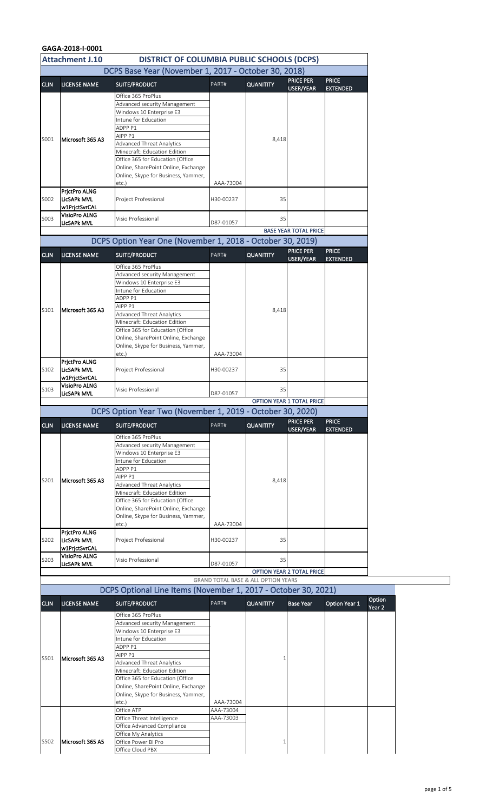|             | GAGA-2018-I-0001                           |                                                                         |           |                                                |                                  |                      |
|-------------|--------------------------------------------|-------------------------------------------------------------------------|-----------|------------------------------------------------|----------------------------------|----------------------|
|             | <b>Attachment J.10</b>                     | <b>DISTRICT OF COLUMBIA PUBLIC SCHOOLS (DCPS)</b>                       |           |                                                |                                  |                      |
|             |                                            | DCPS Base Year (November 1, 2017 - October 30, 2018)                    |           |                                                |                                  |                      |
| <b>CLIN</b> | <b>LICENSE NAME</b>                        | SUITE/PRODUCT                                                           | PART#     | <b>QUANITITY</b>                               | <b>PRICE PER</b>                 | <b>PRICE</b>         |
|             |                                            | Office 365 ProPlus                                                      |           |                                                | <b>USER/YEAR</b>                 | <b>EXTENDED</b>      |
|             |                                            | Advanced security Management                                            |           |                                                |                                  |                      |
|             |                                            | Windows 10 Enterprise E3                                                |           |                                                |                                  |                      |
|             |                                            | Intune for Education<br>ADPP <sub>P1</sub>                              |           |                                                |                                  |                      |
|             |                                            | AIPP <sub>P1</sub>                                                      |           |                                                |                                  |                      |
| S001        | Microsoft 365 A3                           | <b>Advanced Threat Analytics</b>                                        |           | 8,418                                          |                                  |                      |
|             |                                            | Minecraft: Education Edition                                            |           |                                                |                                  |                      |
|             |                                            | Office 365 for Education (Office<br>Online, SharePoint Online, Exchange |           |                                                |                                  |                      |
|             |                                            | Online, Skype for Business, Yammer,                                     |           |                                                |                                  |                      |
|             |                                            | etc.                                                                    | AAA-73004 |                                                |                                  |                      |
| S002        | PrictPro ALNG<br>LicSAPk MVL               | Project Professional                                                    | H30-00237 | 35                                             |                                  |                      |
|             | w1PrjctSvrCAL                              |                                                                         |           |                                                |                                  |                      |
| S003        | <b>VisioPro ALNG</b>                       | Visio Professional                                                      |           | 35                                             |                                  |                      |
|             | <b>LicSAPk MVL</b>                         |                                                                         | D87-01057 |                                                |                                  |                      |
|             |                                            | DCPS Option Year One (November 1, 2018 - October 30, 2019)              |           |                                                | <b>BASE YEAR TOTAL PRICE</b>     |                      |
|             |                                            |                                                                         |           |                                                | <b>PRICE PER</b>                 | <b>PRICE</b>         |
| <b>CLIN</b> | <b>LICENSE NAME</b>                        | SUITE/PRODUCT                                                           | PART#     | <b>QUANITITY</b>                               | <b>USER/YEAR</b>                 | <b>EXTENDED</b>      |
|             |                                            | Office 365 ProPlus                                                      |           |                                                |                                  |                      |
|             |                                            | Advanced security Management<br>Windows 10 Enterprise E3                |           |                                                |                                  |                      |
|             |                                            | Intune for Education                                                    |           |                                                |                                  |                      |
|             |                                            | ADPP <sub>P1</sub>                                                      |           |                                                |                                  |                      |
| S101        | Microsoft 365 A3                           | AIPP P1                                                                 |           | 8,418                                          |                                  |                      |
|             |                                            | <b>Advanced Threat Analytics</b><br>Minecraft: Education Edition        |           |                                                |                                  |                      |
|             |                                            | Office 365 for Education (Office                                        |           |                                                |                                  |                      |
|             |                                            | Online, SharePoint Online, Exchange                                     |           |                                                |                                  |                      |
|             |                                            | Online, Skype for Business, Yammer,                                     | AAA-73004 |                                                |                                  |                      |
|             | PrictPro ALNG                              | $etc.$ )                                                                |           |                                                |                                  |                      |
| S102        | LicSAPk MVL                                | Project Professional                                                    | H30-00237 | 35                                             |                                  |                      |
|             | w1PrjctSvrCAL                              |                                                                         |           |                                                |                                  |                      |
| S103        | <b>VisioPro ALNG</b><br><b>LicSAPk MVL</b> | Visio Professional                                                      | D87-01057 | 35                                             |                                  |                      |
|             |                                            |                                                                         |           |                                                | <b>OPTION YEAR 1 TOTAL PRICE</b> |                      |
|             |                                            | DCPS Option Year Two (November 1, 2019 - October 30, 2020)              |           |                                                |                                  |                      |
| <b>CLIN</b> | <b>LICENSE NAME</b>                        | SUITE/PRODUCT                                                           | PART#     | <b>QUANITITY</b>                               | <b>PRICE PER</b>                 | <b>PRICE</b>         |
|             |                                            | Office 365 ProPlus                                                      |           |                                                | <b>USER/YEAR</b>                 | <b>EXTENDED</b>      |
|             |                                            | Advanced security Management                                            |           |                                                |                                  |                      |
|             |                                            | Windows 10 Enterprise E3                                                |           |                                                |                                  |                      |
|             |                                            | Intune for Education<br>ADPP <sub>P1</sub>                              |           |                                                |                                  |                      |
|             |                                            | AIPP P1                                                                 |           |                                                |                                  |                      |
| S201        | Microsoft 365 A3                           | <b>Advanced Threat Analytics</b>                                        |           | 8,418                                          |                                  |                      |
|             |                                            | Minecraft: Education Edition                                            |           |                                                |                                  |                      |
|             |                                            | Office 365 for Education (Office<br>Online, SharePoint Online, Exchange |           |                                                |                                  |                      |
|             |                                            | Online, Skype for Business, Yammer,                                     |           |                                                |                                  |                      |
|             |                                            | $etc.$ )                                                                | AAA-73004 |                                                |                                  |                      |
| S202        | PrjctPro ALNG<br><b>ILicSAPk MVL</b>       | Project Professional                                                    | H30-00237 | 35                                             |                                  |                      |
|             | w1PrjctSvrCAL                              |                                                                         |           |                                                |                                  |                      |
| S203        | <b>VisioPro ALNG</b>                       | Visio Professional                                                      |           | 35                                             |                                  |                      |
|             | <b>LicSAPk MVL</b>                         |                                                                         | D87-01057 |                                                |                                  |                      |
|             |                                            |                                                                         |           | <b>GRAND TOTAL BASE &amp; ALL OPTION YEARS</b> | <b>OPTION YEAR 2 TOTAL PRICE</b> |                      |
|             |                                            | DCPS Optional Line Items (November 1, 2017 - October 30, 2021)          |           |                                                |                                  |                      |
|             |                                            |                                                                         |           |                                                |                                  |                      |
| <b>CLIN</b> | <b>LICENSE NAME</b>                        | <b>SUITE/PRODUCT</b>                                                    | PART#     | <b>QUANITITY</b>                               | <b>Base Year</b>                 | <b>Option Year 1</b> |
|             |                                            | Office 365 ProPlus                                                      |           |                                                |                                  |                      |
|             |                                            | Advanced security Management<br>Windows 10 Enterprise E3                |           |                                                |                                  |                      |
|             |                                            | Intune for Education                                                    |           |                                                |                                  |                      |
|             |                                            | ADPP <sub>P1</sub>                                                      |           |                                                |                                  |                      |
| S501        | Microsoft 365 A3                           | AIPP P1<br><b>Advanced Threat Analytics</b>                             |           |                                                |                                  |                      |
|             |                                            | Minecraft: Education Edition                                            |           |                                                |                                  |                      |
|             |                                            | Office 365 for Education (Office                                        |           |                                                |                                  |                      |
|             |                                            | Online, SharePoint Online, Exchange                                     |           |                                                |                                  |                      |
|             |                                            | Online, Skype for Business, Yammer,<br>etc.                             | AAA-73004 |                                                |                                  |                      |
|             |                                            | Office ATP                                                              | AAA-73004 |                                                |                                  |                      |
|             |                                            | Office Threat Intelligence                                              | AAA-73003 |                                                |                                  |                      |
|             |                                            | Office Advanced Compliance                                              |           |                                                |                                  |                      |
|             |                                            | Office My Analytics                                                     |           |                                                |                                  |                      |
| S502        | Microsoft 365 A5                           | Office Power BI Pro                                                     |           |                                                |                                  |                      |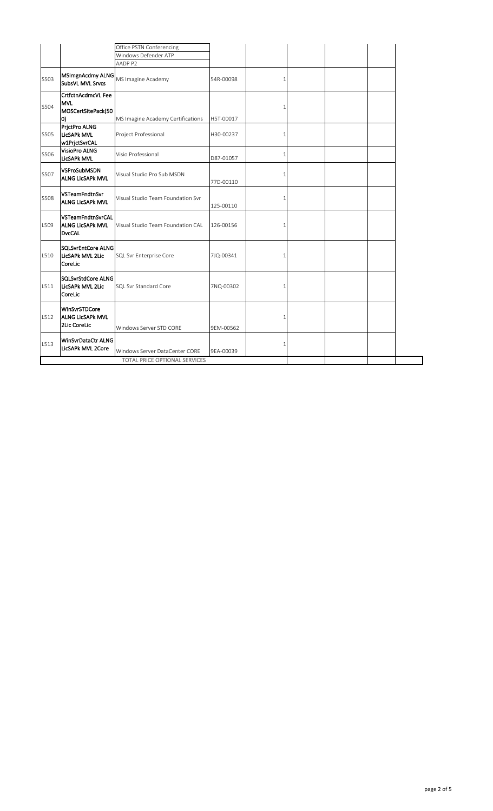|      |                                                                      | Office PSTN Conferencing             |           |   |  |  |
|------|----------------------------------------------------------------------|--------------------------------------|-----------|---|--|--|
|      |                                                                      | Windows Defender ATP                 |           |   |  |  |
|      |                                                                      | AADP P2                              |           |   |  |  |
| S503 | MSImgnAcdmy ALNG<br>SubsVL MVL Srvcs                                 | MS Imagine Academy                   | 54R-00098 |   |  |  |
| S504 | <b>CrtfctnAcdmcVL Fee</b><br><b>MVL</b><br>MOSCertSitePack(50<br>10) | MS Imagine Academy Certifications    | H5T-00017 |   |  |  |
| S505 | PrjctPro ALNG<br><b>LicSAPk MVL</b><br>w1PrjctSvrCAL                 | Project Professional                 | H30-00237 |   |  |  |
| S506 | <b>VisioPro ALNG</b><br>LicSAPk MVL                                  | Visio Professional                   | D87-01057 | 1 |  |  |
| S507 | <b>VSProSubMSDN</b><br><b>ALNG LicSAPk MVL</b>                       | Visual Studio Pro Sub MSDN           | 77D-00110 |   |  |  |
| S508 | VSTeamFndtnSvr<br><b>ALNG LicSAPk MVL</b>                            | Visual Studio Team Foundation Svr    | 125-00110 |   |  |  |
| L509 | VSTeamFndtnSvrCAL<br><b>ALNG LicSAPK MVL</b><br><b>DvcCAL</b>        | Visual Studio Team Foundation CAL    | 126-00156 |   |  |  |
| L510 | <b>SQLSvrEntCore ALNG</b><br>LicSAPk MVL 2Lic<br>CoreLic             | SQL Svr Enterprise Core              | 7JQ-00341 |   |  |  |
| L511 | <b>SQLSvrStdCore ALNG</b><br>LicSAPk MVL 2Lic<br>CoreLic             | <b>SQL Svr Standard Core</b>         | 7NQ-00302 | 1 |  |  |
| L512 | WinSvrSTDCore<br><b>ALNG LicSAPK MVL</b><br>2Lic CoreLic             | Windows Server STD CORE              | 9EM-00562 | 1 |  |  |
| L513 | WinSvrDataCtr ALNG<br>LicSAPk MVL 2Core                              | Windows Server DataCenter CORE       | 9EA-00039 |   |  |  |
|      |                                                                      | <b>TOTAL PRICE OPTIONAL SERVICES</b> |           |   |  |  |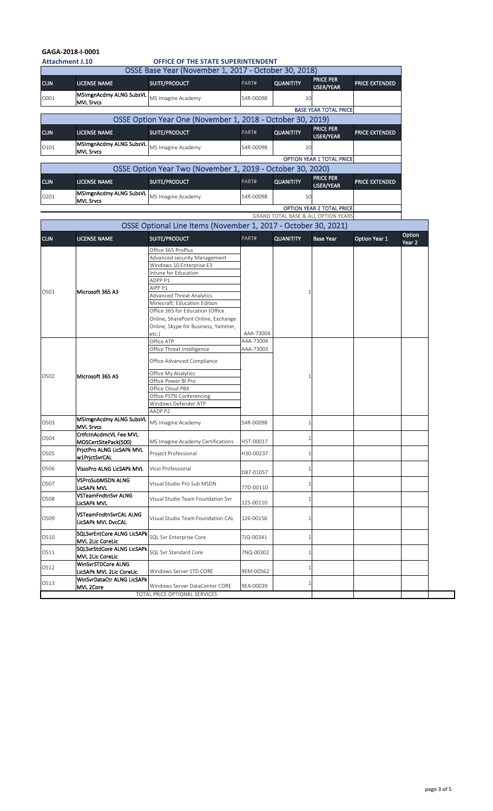| <b>Attachment J.10</b> |                                                       | <b>OFFICE OF THE STATE SUPERINTENDENT</b>                                                                                    |                        |                  |                                                |                      |                   |
|------------------------|-------------------------------------------------------|------------------------------------------------------------------------------------------------------------------------------|------------------------|------------------|------------------------------------------------|----------------------|-------------------|
|                        |                                                       | OSSE Base Year (November 1, 2017 - October 30, 2018)                                                                         |                        |                  |                                                |                      |                   |
| <b>CLIN</b>            | <b>LICENSE NAME</b>                                   | SUITE/PRODUCT                                                                                                                | PART#                  | <b>QUANITITY</b> | <b>PRICE PER</b><br><b>USER/YEAR</b>           | PRICE EXTENDED       |                   |
| O001                   | MSImgnAcdmy ALNG SubsVL<br><b>MVL Srvcs</b>           | MS Imagine Academy                                                                                                           | 54R-00098              | 10               |                                                |                      |                   |
|                        |                                                       |                                                                                                                              |                        |                  | <b>BASE YEAR TOTAL PRICE</b>                   |                      |                   |
|                        |                                                       | OSSE Option Year One (November 1, 2018 - October 30, 2019)                                                                   |                        |                  |                                                |                      |                   |
| <b>CLIN</b>            | <b>LICENSE NAME</b>                                   | SUITE/PRODUCT                                                                                                                | PART#                  | <b>QUANITITY</b> | <b>PRICE PER</b><br>USER/YEAR                  | PRICE EXTENDED       |                   |
| 0101                   | MSImgnAcdmy ALNG SubsVL<br><b>MVL Srvcs</b>           | MS Imagine Academy                                                                                                           | 54R-00098              | 10               |                                                |                      |                   |
|                        |                                                       |                                                                                                                              |                        |                  | <b>OPTION YEAR 1 TOTAL PRICE</b>               |                      |                   |
|                        |                                                       | OSSE Option Year Two (November 1, 2019 - October 30, 2020)                                                                   |                        |                  |                                                |                      |                   |
| <b>CLIN</b>            | <b>LICENSE NAME</b>                                   | SUITE/PRODUCT                                                                                                                | PART#                  | <b>QUANITITY</b> | <b>PRICE PER</b><br><b>USER/YEAR</b>           | PRICE EXTENDED       |                   |
| 0201                   | MSImgnAcdmy ALNG SubsVL<br><b>MVL Srvcs</b>           | MS Imagine Academy                                                                                                           | 54R-00098              | 10               |                                                |                      |                   |
|                        |                                                       |                                                                                                                              |                        |                  | <b>OPTION YEAR 2 TOTAL PRICE</b>               |                      |                   |
|                        |                                                       |                                                                                                                              |                        |                  | <b>GRAND TOTAL BASE &amp; ALL OPTION YEARS</b> |                      |                   |
|                        |                                                       | OSSE Optional Line Items (November 1, 2017 - October 30, 2021)                                                               |                        |                  |                                                |                      | Option            |
| <b>CLIN</b>            | <b>LICENSE NAME</b>                                   | <b>SUITE/PRODUCT</b>                                                                                                         | PART#                  | <b>QUANITITY</b> | <b>Base Year</b>                               | <b>Option Year 1</b> | Year <sub>2</sub> |
|                        |                                                       | Office 365 ProPlus<br>Advanced security Management<br>Windows 10 Enterprise E3<br>Intune for Education<br>ADPP <sub>P1</sub> |                        |                  |                                                |                      |                   |
| 0501                   | Microsoft 365 A3                                      | AIPP <sub>P1</sub><br><b>Advanced Threat Analytics</b><br>Minecraft: Education Edition<br>Office 365 for Education (Office   |                        |                  |                                                |                      |                   |
|                        |                                                       | Online, SharePoint Online, Exchange<br>Online, Skype for Business, Yammer,<br>etc.                                           | AAA-73004<br>AAA-73004 |                  |                                                |                      |                   |
|                        |                                                       | Office ATP<br>Office Threat Intelligence<br>Office Advanced Compliance                                                       | AAA-73003              |                  |                                                |                      |                   |
| O502                   | Microsoft 365 A5                                      | Office My Analytics<br>Office Power BI Pro<br>Office Cloud PBX<br>Office PSTN Conferencing<br>Windows Defender ATP           |                        |                  |                                                |                      |                   |
|                        | MSImgnAcdmy ALNG SubsVL                               | AADP P2                                                                                                                      |                        |                  |                                                |                      |                   |
| O503                   | <b>MVL Srvcs</b>                                      | MS Imagine Academy                                                                                                           | 54R-00098              |                  |                                                |                      |                   |
| O504                   | CrtfctnAcdmcVL Fee MVL<br>MOSCertSitePack(500)        | MS Imagine Academy Certifications                                                                                            | H5T-00017              |                  |                                                |                      |                   |
| O505                   | PrjctPro ALNG LicSAPk MVL<br>w1PrjctSvrCAL            | Project Professional                                                                                                         | H30-00237              |                  |                                                |                      |                   |
| O506                   | VisioPro ALNG LicSAPk MVL                             | Visio Professional                                                                                                           | D87-01057              |                  |                                                |                      |                   |
| O507                   | <b>VSProSubMSDN ALNG</b><br><b>LicSAPk MVL</b>        | Visual Studio Pro Sub MSDN                                                                                                   | 77D-00110              |                  |                                                |                      |                   |
| O508                   | VSTeamFndtnSvr ALNG<br><b>LicSAPk MVL</b>             | Visual Studio Team Foundation Svr                                                                                            | 125-00110              |                  |                                                |                      |                   |
| O509                   | VSTeamFndtnSvrCAL ALNG<br><b>LicSAPk MVL DvcCAL</b>   | Visual Studio Team Foundation CAL                                                                                            | 126-00156              |                  |                                                |                      |                   |
| 0510                   | <b>SQLSvrEntCore ALNG LicSAPk</b><br>MVL 2Lic CoreLic | <b>SQL Svr Enterprise Core</b>                                                                                               | 7JQ-00341              |                  |                                                |                      |                   |
| O511                   | <b>SQLSvrStdCore ALNG LicSAPk</b><br>MVL 2Lic CoreLic | <b>SQL Svr Standard Core</b>                                                                                                 | 7NQ-00302              |                  |                                                |                      |                   |
| O512                   | WinSvrSTDCore ALNG<br>LicSAPk MVL 2Lic CoreLic        | Windows Server STD CORE                                                                                                      | 9EM-00562              |                  |                                                |                      |                   |
| O513                   | WinSvrDataCtr ALNG LicSAPk<br>MVL 2Core               | Windows Server DataCenter CORE                                                                                               | 9EA-00039              |                  |                                                |                      |                   |
|                        |                                                       | <b>TOTAL PRICE OPTIONAL SERVICES</b>                                                                                         |                        |                  |                                                |                      |                   |

# **GAGA-2018-I-0001**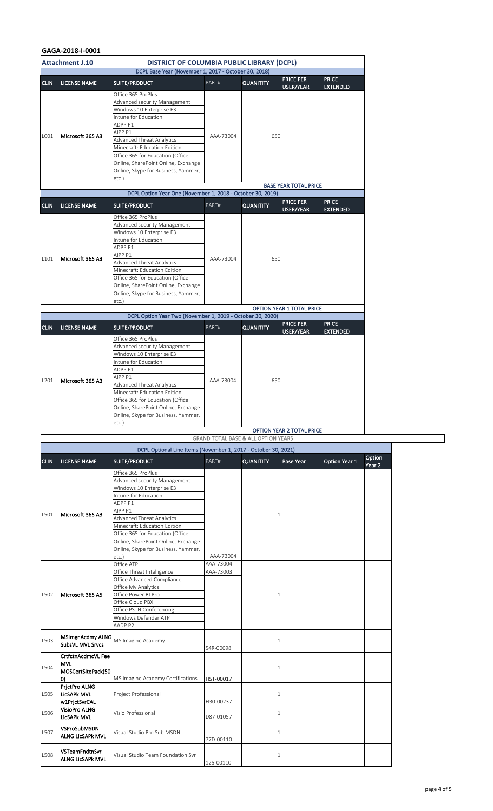|             | <b>Attachment J.10</b>                                               | <b>DISTRICT OF COLUMBIA PUBLIC LIBRARY (DCPL)</b>                                                                                                                                                                                                                                                                                                 |                        |                                                |                                  |                      |        |
|-------------|----------------------------------------------------------------------|---------------------------------------------------------------------------------------------------------------------------------------------------------------------------------------------------------------------------------------------------------------------------------------------------------------------------------------------------|------------------------|------------------------------------------------|----------------------------------|----------------------|--------|
| <b>CLIN</b> | <b>LICENSE NAME</b>                                                  | DCPL Base Year (November 1, 2017 - October 30, 2018)<br>SUITE/PRODUCT                                                                                                                                                                                                                                                                             | PART#                  | <b>QUANITITY</b>                               | <b>PRICE PER</b>                 | <b>PRICE</b>         |        |
|             |                                                                      | Office 365 ProPlus                                                                                                                                                                                                                                                                                                                                |                        |                                                | USER/YEAR                        | <b>EXTENDED</b>      |        |
|             |                                                                      | Advanced security Management<br>Windows 10 Enterprise E3<br>Intune for Education<br>ADPP <sub>P1</sub><br>AIPP <sub>P1</sub>                                                                                                                                                                                                                      |                        |                                                |                                  |                      |        |
| L001        | Microsoft 365 A3                                                     | Advanced Threat Analytics<br>Minecraft: Education Edition<br>Office 365 for Education (Office<br>Online, SharePoint Online, Exchange<br>Online, Skype for Business, Yammer,<br>etc.)                                                                                                                                                              | AAA-73004              | 650                                            |                                  |                      |        |
|             |                                                                      | DCPL Option Year One (November 1, 2018 - October 30, 2019)                                                                                                                                                                                                                                                                                        |                        |                                                | <b>BASE YEAR TOTAL PRICE</b>     |                      |        |
| <b>CLIN</b> | <b>LICENSE NAME</b>                                                  | SUITE/PRODUCT                                                                                                                                                                                                                                                                                                                                     | PART#                  | <b>QUANITITY</b>                               | <b>PRICE PER</b>                 | <b>PRICE</b>         |        |
|             |                                                                      | Office 365 ProPlus                                                                                                                                                                                                                                                                                                                                |                        |                                                | USER/YEAR                        | <b>EXTENDED</b>      |        |
| L101        | Microsoft 365 A3                                                     | Advanced security Management<br>Windows 10 Enterprise E3<br>Intune for Education<br>ADPP P1<br>AIPP <sub>P1</sub><br><b>Advanced Threat Analytics</b>                                                                                                                                                                                             | AAA-73004              | 650                                            |                                  |                      |        |
|             |                                                                      | Minecraft: Education Edition<br>Office 365 for Education (Office<br>Online, SharePoint Online, Exchange<br>Online, Skype for Business, Yammer,<br>$etc.$ )                                                                                                                                                                                        |                        |                                                | <b>OPTION YEAR 1 TOTAL PRICE</b> |                      |        |
|             |                                                                      | DCPL Option Year Two (November 1, 2019 - October 30, 2020)                                                                                                                                                                                                                                                                                        |                        |                                                | <b>PRICE PER</b>                 | <b>PRICE</b>         |        |
| <b>CLIN</b> | <b>LICENSE NAME</b>                                                  | SUITE/PRODUCT                                                                                                                                                                                                                                                                                                                                     | PART#                  | <b>QUANITITY</b>                               | USER/YEAR                        | <b>EXTENDED</b>      |        |
| L201        | Microsoft 365 A3                                                     | Office 365 ProPlus<br>Advanced security Management<br>Windows 10 Enterprise E3<br>Intune for Education<br>ADPP <sub>P1</sub><br>AIPP <sub>P1</sub><br><b>Advanced Threat Analytics</b><br>Minecraft: Education Edition<br>Office 365 for Education (Office<br>Online, SharePoint Online, Exchange<br>Online, Skype for Business, Yammer,<br>etc.) | AAA-73004              | 650                                            |                                  |                      |        |
|             |                                                                      |                                                                                                                                                                                                                                                                                                                                                   |                        | <b>GRAND TOTAL BASE &amp; ALL OPTION YEARS</b> | <b>OPTION YEAR 2 TOTAL PRICE</b> |                      |        |
|             |                                                                      | DCPL Optional Line Items (November 1, 2017 - October 30, 2021)                                                                                                                                                                                                                                                                                    |                        |                                                |                                  |                      |        |
| <b>CLIN</b> | <b>LICENSE NAME</b>                                                  | SUITE/PRODUCT                                                                                                                                                                                                                                                                                                                                     | PART#                  | <b>QUANITITY</b>                               | <b>Base Year</b>                 | <b>Option Year 1</b> | Option |
|             |                                                                      | Office 365 ProPlus<br>Advanced security Management<br>Windows 10 Enterprise E3<br>Intune for Education<br>ADPP <sub>P1</sub>                                                                                                                                                                                                                      |                        |                                                |                                  |                      | Year 2 |
| L501        | Microsoft 365 A3                                                     | AIPP <sub>P1</sub><br><b>Advanced Threat Analytics</b><br>Minecraft: Education Edition<br>Office 365 for Education (Office<br>Online, SharePoint Online, Exchange<br>Online, Skype for Business, Yammer,<br>$etc.$ )                                                                                                                              | AAA-73004              |                                                |                                  |                      |        |
|             |                                                                      | Office ATP                                                                                                                                                                                                                                                                                                                                        | AAA-73004              |                                                |                                  |                      |        |
| L502        | Microsoft 365 A5                                                     | Office Threat Intelligence<br>Office Advanced Compliance<br>Office My Analytics<br>Office Power BI Pro<br>Office Cloud PBX<br>Office PSTN Conferencing<br>Windows Defender ATP<br>AADP P2                                                                                                                                                         | AAA-73003              |                                                |                                  |                      |        |
| L503        | MSImgnAcdmy ALNG<br>SubsVL MVL Srvcs                                 | MS Imagine Academy                                                                                                                                                                                                                                                                                                                                | 54R-00098              |                                                |                                  |                      |        |
| L504        | <b>CrtfctnAcdmcVL Fee</b><br><b>MVL</b><br>MOSCertSitePack(50<br>10) | MS Imagine Academy Certifications                                                                                                                                                                                                                                                                                                                 | H5T-00017              |                                                |                                  |                      |        |
| L505        | PrictPro ALNG<br>LicSAPk MVL                                         | Project Professional                                                                                                                                                                                                                                                                                                                              | H30-00237              |                                                |                                  |                      |        |
| L506        | w1PrjctSvrCAL<br><b>VisioPro ALNG</b>                                | Visio Professional                                                                                                                                                                                                                                                                                                                                |                        |                                                |                                  |                      |        |
| L507        | <b>LicSAPk MVL</b><br><b>VSProSubMSDN</b><br><b>ALNG LicSAPk MVL</b> | Visual Studio Pro Sub MSDN                                                                                                                                                                                                                                                                                                                        | D87-01057              |                                                |                                  |                      |        |
| L508        | VSTeamFndtnSvr<br><b>ALNG LicSAPk MVL</b>                            | Visual Studio Team Foundation Svr                                                                                                                                                                                                                                                                                                                 | 77D-00110<br>125-00110 |                                                |                                  |                      |        |

# **GAGA-2018-I-0001**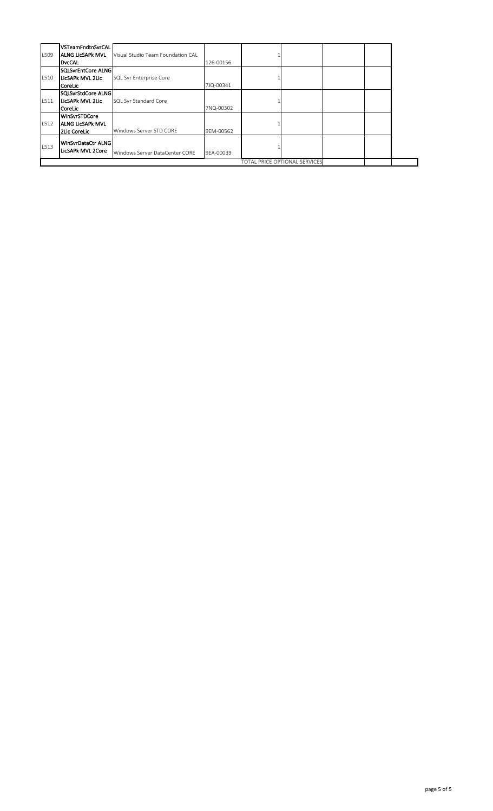| L509 | VSTeamFndtnSvrCAL<br><b>ALNG LicSAPK MVL</b><br>DvcCAL   | Visual Studio Team Foundation CAL | 126-00156 |                                      |  |  |
|------|----------------------------------------------------------|-----------------------------------|-----------|--------------------------------------|--|--|
| L510 | SQLSvrEntCore ALNG<br>LicSAPk MVL 2Lic<br>CoreLic        | <b>SQL Svr Enterprise Core</b>    | 7JQ-00341 |                                      |  |  |
| L511 | SQLSvrStdCore ALNG<br>LicSAPk MVL 2Lic<br>CoreLic        | <b>SQL Svr Standard Core</b>      | 7NQ-00302 |                                      |  |  |
| L512 | WinSvrSTDCore<br><b>ALNG LicSAPK MVL</b><br>2Lic CoreLic | Windows Server STD CORE           | 9EM-00562 |                                      |  |  |
| L513 | WinSvrDataCtr ALNG<br><b>LicSAPk MVL 2Core</b>           | Windows Server DataCenter CORE    | 9EA-00039 |                                      |  |  |
|      |                                                          |                                   |           | <b>TOTAL PRICE OPTIONAL SERVICES</b> |  |  |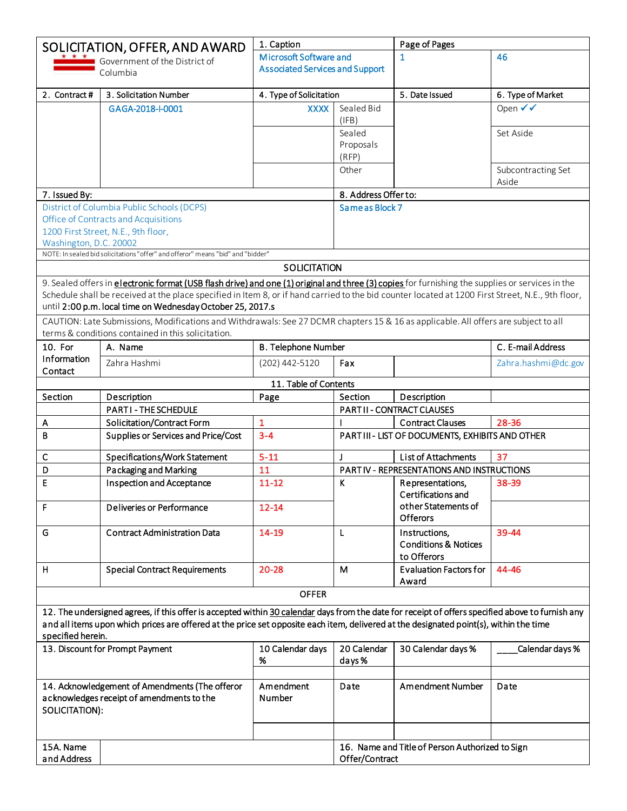|                        | SOLICITATION, OFFER, AND AWARD                                                                                                                                                            | 1. Caption                             |                       | Page of Pages                                    |                             |
|------------------------|-------------------------------------------------------------------------------------------------------------------------------------------------------------------------------------------|----------------------------------------|-----------------------|--------------------------------------------------|-----------------------------|
|                        | Government of the District of                                                                                                                                                             | Microsoft Software and                 |                       | $\mathbf 1$                                      | 46                          |
|                        | Columbia                                                                                                                                                                                  | <b>Associated Services and Support</b> |                       |                                                  |                             |
| 2. Contract#           | 3. Solicitation Number                                                                                                                                                                    | 4. Type of Solicitation                |                       | 5. Date Issued                                   | 6. Type of Market           |
|                        | GAGA-2018-I-0001                                                                                                                                                                          | <b>XXXX</b>                            | Sealed Bid<br>(IFB)   |                                                  | Open √ √                    |
|                        |                                                                                                                                                                                           |                                        | Sealed                |                                                  | Set Aside                   |
|                        |                                                                                                                                                                                           |                                        | Proposals<br>(RFP)    |                                                  |                             |
|                        |                                                                                                                                                                                           |                                        | Other                 |                                                  | Subcontracting Set<br>Aside |
| 7. Issued By:          |                                                                                                                                                                                           |                                        | 8. Address Offer to:  |                                                  |                             |
|                        | District of Columbia Public Schools (DCPS)                                                                                                                                                |                                        | Same as Block 7       |                                                  |                             |
|                        | Office of Contracts and Acquisitions                                                                                                                                                      |                                        |                       |                                                  |                             |
|                        | 1200 First Street, N.E., 9th floor,                                                                                                                                                       |                                        |                       |                                                  |                             |
| Washington, D.C. 20002 | NOTE: In sealed bid solicitations "offer" and offeror" means "bid" and "bidder"                                                                                                           |                                        |                       |                                                  |                             |
|                        |                                                                                                                                                                                           | <b>SOLICITATION</b>                    |                       |                                                  |                             |
|                        | 9. Sealed offers in <i>electronic format (USB flash drive)</i> and one (1) original and three (3) copies for furnishing the supplies or services in the                                   |                                        |                       |                                                  |                             |
|                        | Schedule shall be received at the place specified in Item 8, or if hand carried to the bid counter located at 1200 First Street, N.E., 9th floor,                                         |                                        |                       |                                                  |                             |
|                        | until 2:00 p.m. local time on Wednesday October 25, 2017.s                                                                                                                                |                                        |                       |                                                  |                             |
|                        | CAUTION: Late Submissions, Modifications and Withdrawals: See 27 DCMR chapters 15 & 16 as applicable. All offers are subject to all<br>terms & conditions contained in this solicitation. |                                        |                       |                                                  |                             |
| 10. For                | A. Name                                                                                                                                                                                   | <b>B. Telephone Number</b>             |                       |                                                  | C. E-mail Address           |
| Information            | Zahra Hashmi                                                                                                                                                                              |                                        | Fax                   |                                                  |                             |
| Contact                |                                                                                                                                                                                           | (202) 442-5120                         |                       |                                                  | Zahra.hashmi@dc.gov         |
|                        |                                                                                                                                                                                           | 11. Table of Contents                  |                       |                                                  |                             |
| Section                | Description                                                                                                                                                                               | Page                                   | Section               | Description                                      |                             |
|                        | <b>PARTI-THE SCHEDULE</b>                                                                                                                                                                 |                                        |                       | PARTII - CONTRACT CLAUSES                        |                             |
| A                      | Solicitation/Contract Form                                                                                                                                                                | $\mathbf{1}$                           |                       | <b>Contract Clauses</b>                          | 28-36                       |
| В                      | Supplies or Services and Price/Cost                                                                                                                                                       | $3 - 4$                                |                       | PART III - LIST OF DOCUMENTS, EXHIBITS AND OTHER |                             |
| с                      | Specifications/Work Statement                                                                                                                                                             | $5 - 11$                               | J                     | List of Attachments                              | 37                          |
| D                      | Packaging and Marking                                                                                                                                                                     | 11                                     |                       | PART IV - REPRESENTATIONS AND INSTRUCTIONS       |                             |
| E                      | <b>Inspection and Acceptance</b>                                                                                                                                                          | $11 - 12$                              | K                     | Representations,<br>Certifications and           | 38-39                       |
| F                      | Deliveries or Performance                                                                                                                                                                 | $12 - 14$                              |                       | other Statements of<br><b>Offerors</b>           |                             |
| G                      | <b>Contract Administration Data</b>                                                                                                                                                       | 14-19                                  | L                     | Instructions,                                    | 39-44                       |
|                        |                                                                                                                                                                                           |                                        |                       | <b>Conditions &amp; Notices</b>                  |                             |
|                        |                                                                                                                                                                                           |                                        |                       | to Offerors                                      |                             |
| н                      | <b>Special Contract Requirements</b>                                                                                                                                                      | $20 - 28$                              | M                     | <b>Evaluation Factors for</b><br>Award           | 44-46                       |
|                        |                                                                                                                                                                                           | <b>OFFER</b>                           |                       |                                                  |                             |
|                        | 12. The undersigned agrees, if this offer is accepted within 30 calendar days from the date for receipt of offers specified above to furnish any                                          |                                        |                       |                                                  |                             |
|                        | and all items upon which prices are offered at the price set opposite each item, delivered at the designated point(s), within the time                                                    |                                        |                       |                                                  |                             |
| specified herein.      |                                                                                                                                                                                           |                                        |                       |                                                  |                             |
|                        | 13. Discount for Prompt Payment                                                                                                                                                           | 10 Calendar days<br>%                  | 20 Calendar<br>days % | 30 Calendar days %                               | Calendar days %             |
|                        |                                                                                                                                                                                           |                                        |                       |                                                  |                             |
| SOLICITATION):         | 14. Acknowledgement of Amendments (The offeror<br>a cknowledges receipt of amendments to the                                                                                              | Amendment<br>Number                    | Date                  | <b>Amendment Number</b>                          | Date                        |
|                        |                                                                                                                                                                                           |                                        |                       |                                                  |                             |
| 15A. Name              |                                                                                                                                                                                           |                                        |                       | 16. Name and Title of Person Authorized to Sign  |                             |
| and Address            |                                                                                                                                                                                           |                                        | Offer/Contract        |                                                  |                             |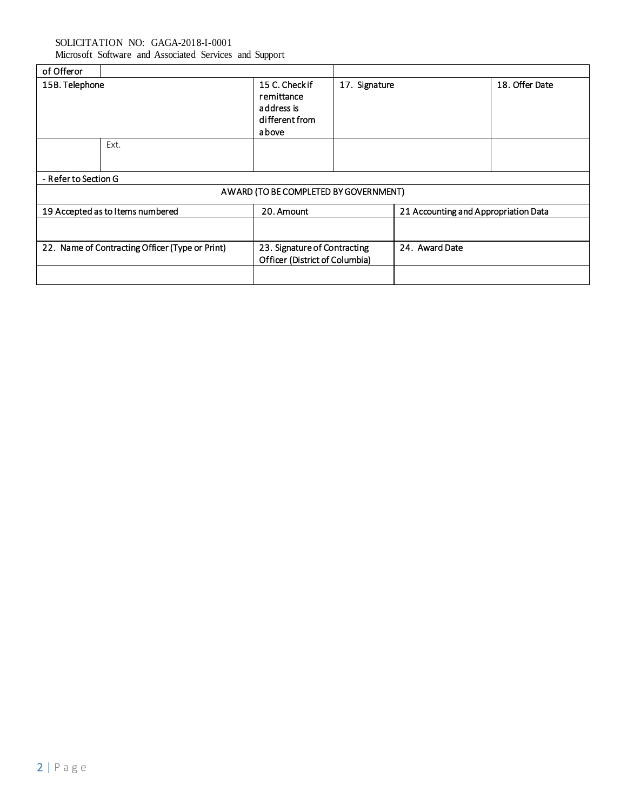Microsoft Software and Associated Services and Support

| of Offeror           |                                                 |                                                                      |               |                                      |                |
|----------------------|-------------------------------------------------|----------------------------------------------------------------------|---------------|--------------------------------------|----------------|
| 15B. Telephone       |                                                 | 15 C. Checkif<br>remittance<br>address is<br>different from<br>above | 17. Signature |                                      | 18. Offer Date |
|                      | Ext.                                            |                                                                      |               |                                      |                |
| - Refer to Section G |                                                 |                                                                      |               |                                      |                |
|                      |                                                 | AWARD (TO BE COMPLETED BY GOVERNMENT)                                |               |                                      |                |
|                      | 19 Accepted as to I tems numbered               | 20. Amount                                                           |               | 21 Accounting and Appropriation Data |                |
|                      |                                                 |                                                                      |               |                                      |                |
|                      | 22. Name of Contracting Officer (Type or Print) | 23. Signature of Contracting<br>Officer (District of Columbia)       |               | 24. Award Date                       |                |
|                      |                                                 |                                                                      |               |                                      |                |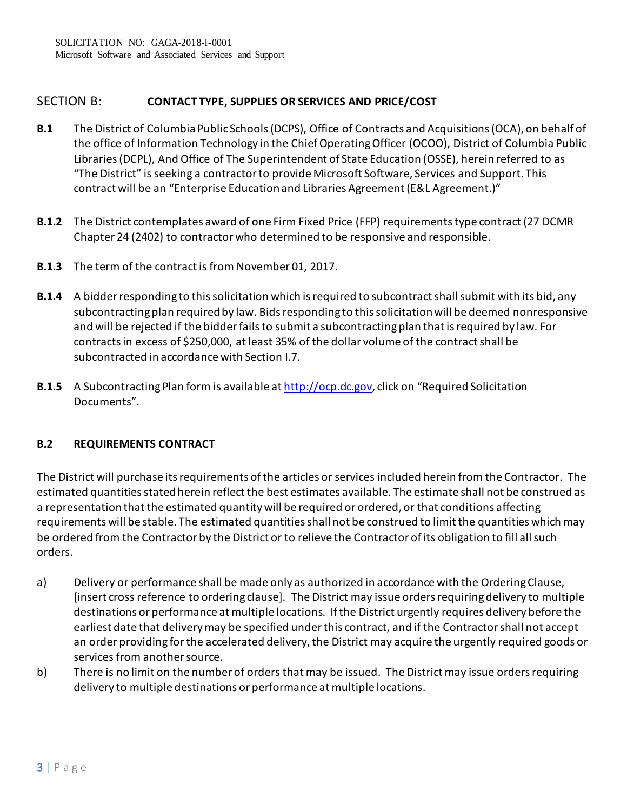# SECTION B: **CONTACT TYPE, SUPPLIES OR SERVICES AND PRICE/COST**

- **B.1** The District of Columbia Public Schools (DCPS), Office of Contracts and Acquisitions (OCA), on behalf of the office of Information Technology in the Chief Operating Officer (OCOO), District of Columbia Public Libraries (DCPL), And Office of The Superintendent of State Education (OSSE), herein referred to as "The District" is seeking a contractor to provide Microsoft Software, Services and Support. This contract will be an "Enterprise Education and Libraries Agreement (E&L Agreement.)"
- **B.1.2** The District contemplates award of one Firm Fixed Price (FFP) requirementstype contract (27 DCMR Chapter 24 (2402) to contractor who determined to be responsive and responsible.
- **B.1.3** The term of the contract is from November 01, 2017.
- **B.1.4** A bidder responding to this solicitation which is required to subcontract shall submit with its bid, any subcontracting plan required by law. Bids responding to this solicitation will be deemed nonresponsive and will be rejected if the bidder fails to submit a subcontracting plan that is required by law. For contracts in excess of \$250,000, at least 35% of the dollar volume of the contract shall be subcontracted in accordance with Section I.7.
- **B.1.5** A Subcontracting Plan form is available a[t http://ocp.dc.gov,](http://ocp.dc.gov/) click on "Required Solicitation Documents".

## **B.2 REQUIREMENTS CONTRACT**

The District will purchase its requirements of the articles or services included herein from the Contractor. The estimated quantities stated herein reflect the best estimates available. The estimate shall not be construed as a representation that the estimated quantity will be required or ordered, or that conditions affecting requirements will be stable. The estimated quantities shall not be construed to limit the quantities which may be ordered from the Contractor by the District or to relieve the Contractor of its obligation to fill all such orders.

- a) Delivery or performance shall be made only as authorized in accordance with the Ordering Clause, [insert cross reference to ordering clause]. The District may issue orders requiringdelivery to multiple destinations or performance at multiple locations. If the District urgently requires delivery before the earliest date that delivery may be specified under this contract, and if the Contractor shall not accept an order providing for the accelerated delivery, the District may acquire the urgently required goods or services from another source.
- b) There is no limit on the number of orders that may be issued. The District may issue orders requiring delivery to multiple destinations or performance at multiple locations.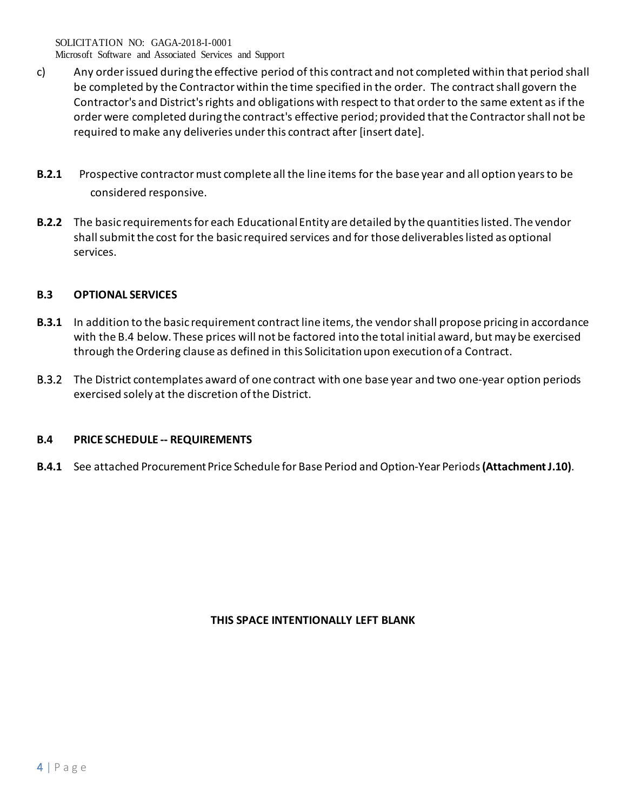Microsoft Software and Associated Services and Support

- c) Any order issued during the effective period of this contract and not completed within that period shall be completed by the Contractor within the time specified in the order. The contract shall govern the Contractor's and District's rights and obligations with respect to that order to the same extent as if the order were completed during the contract's effective period; provided that the Contractor shall not be required to make any deliveries under this contract after [insert date].
- **B.2.1** Prospective contractor must complete all the line items for the base year and all option years to be considered responsive.
- **B.2.2** The basic requirements for each Educational Entity are detailed by the quantities listed. The vendor shallsubmit the cost for the basic required services and for those deliverables listed as optional services.

## **B.3 OPTIONAL SERVICES**

- **B.3.1** In addition to the basic requirement contract line items, the vendor shall propose pricing in accordance with the B.4 below. These prices will not be factored into the total initial award, but may be exercised through the Ordering clause as defined in this Solicitation upon execution of a Contract.
- B.3.2 The District contemplates award of one contract with one base year and two one-year option periods exercised solely at the discretion of the District.

## **B.4 PRICE SCHEDULE -- REQUIREMENTS**

**B.4.1** See attached Procurement Price Schedule for Base Period and Option-Year Periods (Attachment J.10).

## **THIS SPACE INTENTIONALLY LEFT BLANK**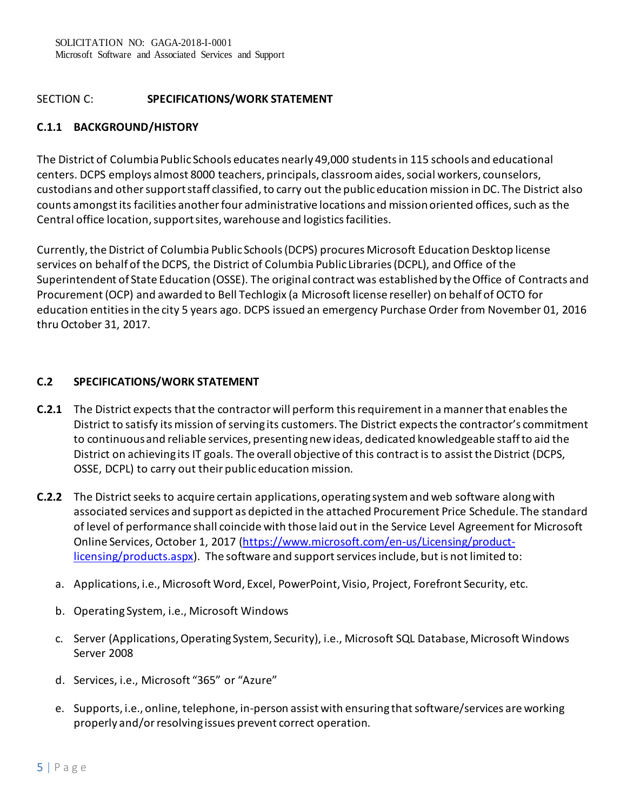# SECTION C: **SPECIFICATIONS/WORK STATEMENT**

# **C.1.1 BACKGROUND/HISTORY**

The District of Columbia Public Schools educates nearly 49,000 students in 115 schools and educational centers. DCPS employs almost 8000 teachers, principals, classroom aides, social workers, counselors, custodians and other support staff classified, to carry out the public education mission in DC. The District also counts amongst its facilities another four administrative locations and mission oriented offices, such as the Central office location, support sites, warehouse and logistics facilities.

Currently, the District of Columbia Public Schools (DCPS) procures Microsoft Education Desktop license services on behalf of the DCPS, the District of Columbia Public Libraries (DCPL), and Office of the Superintendent of State Education (OSSE). The original contract was established by the Office of Contracts and Procurement (OCP) and awarded to Bell Techlogix (a Microsoft license reseller) on behalf of OCTO for education entities in the city 5 years ago. DCPS issued an emergency Purchase Order from November 01, 2016 thru October 31, 2017.

## **C.2 SPECIFICATIONS/WORK STATEMENT**

- **C.2.1** The District expects that the contractor will perform this requirement in a manner that enables the District to satisfy its mission of serving its customers. The District expects the contractor's commitment to continuous and reliable services, presenting new ideas, dedicated knowledgeable staff to aid the District on achieving its IT goals. The overall objective of this contract is to assist the District (DCPS, OSSE, DCPL) to carry out their public education mission.
- **C.2.2** The District seeks to acquire certain applications, operating system and web software along with associated services and support as depicted in the attached Procurement Price Schedule. The standard of level of performance shall coincide with those laid out in the Service Level Agreement for Microsoft Online Services, October 1, 2017 [\(https://www.microsoft.com/en-us/Licensing/product](https://www.microsoft.com/en-us/Licensing/product-licensing/products.aspx)[licensing/products.aspx](https://www.microsoft.com/en-us/Licensing/product-licensing/products.aspx)). The software and support services include, but is not limited to:
	- a. Applications, i.e., Microsoft Word, Excel, PowerPoint, Visio, Project, Forefront Security, etc.
	- b. Operating System, i.e., Microsoft Windows
	- c. Server (Applications, Operating System, Security), i.e., Microsoft SQL Database, Microsoft Windows Server 2008
	- d. Services, i.e., Microsoft "365" or "Azure"
	- e. Supports, i.e., online, telephone, in-person assist with ensuring that software/services are working properly and/or resolving issues prevent correct operation.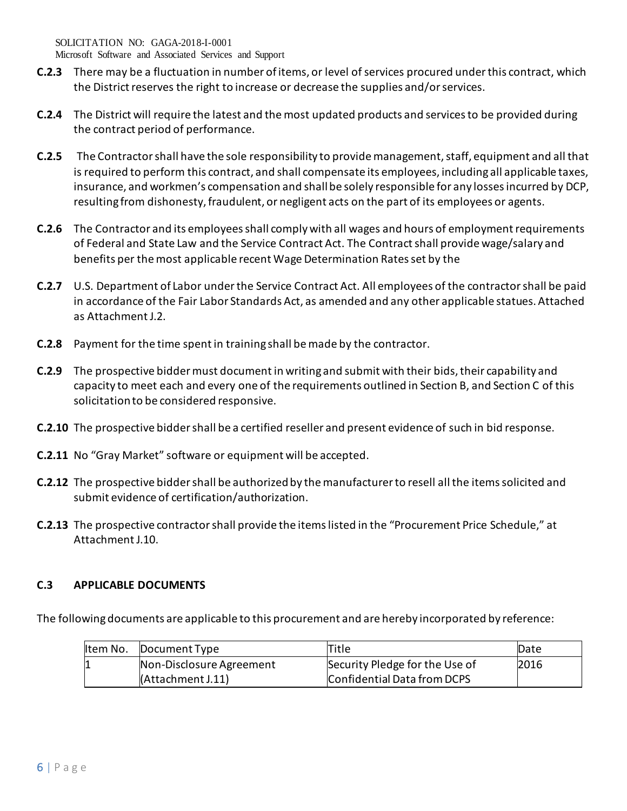Microsoft Software and Associated Services and Support

- **C.2.3** There may be a fluctuation in number of items, or level of services procured under this contract, which the District reserves the right to increase or decrease the supplies and/or services.
- **C.2.4** The District will require the latest and the most updated products and services to be provided during the contract period of performance.
- **C.2.5** The Contractor shall have the sole responsibility to provide management, staff, equipment and all that is required to perform this contract, and shall compensate its employees, including all applicable taxes, insurance, and workmen's compensation and shall be solely responsible for any losses incurred by DCP, resulting from dishonesty, fraudulent, or negligent acts on the part of its employees or agents.
- **C.2.6** The Contractor and its employees shall comply with all wages and hours of employment requirements of Federal and State Law and the Service Contract Act. The Contract shall provide wage/salary and benefits per the most applicable recent Wage Determination Rates set by the
- **C.2.7** U.S. Department of Labor under the Service Contract Act. All employees of the contractor shall be paid in accordance of the Fair Labor Standards Act, as amended and any other applicable statues. Attached as Attachment J.2.
- **C.2.8** Payment for the time spent in training shall be made by the contractor.
- **C.2.9** The prospective bidder must document in writing and submit with their bids, their capability and capacity to meet each and every one of the requirements outlined in Section B, and Section C of this solicitation to be considered responsive.
- **C.2.10** The prospective bidder shall be a certified reseller and present evidence of such in bid response.
- **C.2.11** No "Gray Market" software or equipment will be accepted.
- **C.2.12** The prospective bidder shall be authorized by the manufacturer to resell all the items solicited and submit evidence of certification/authorization.
- **C.2.13** The prospective contractor shall provide the items listed in the "Procurement Price Schedule," at Attachment J.10.

## **C.3 APPLICABLE DOCUMENTS**

The following documents are applicable to this procurement and are hereby incorporated by reference:

| ltem No. | Document Type            | Title                          | Date |
|----------|--------------------------|--------------------------------|------|
|          | Non-Disclosure Agreement | Security Pledge for the Use of | 2016 |
|          | (Attachment J.11)        | Confidential Data from DCPS    |      |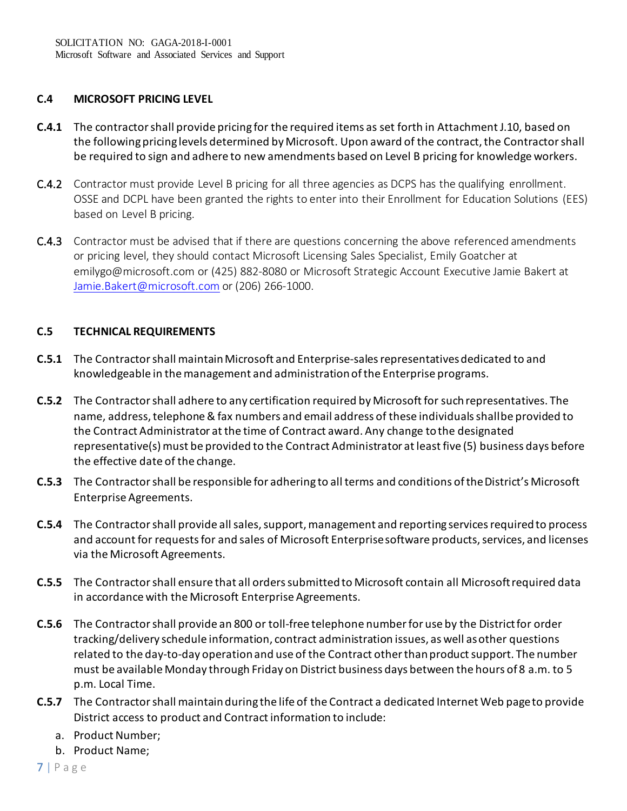## **C.4 MICROSOFT PRICING LEVEL**

- **C.4.1** The contractor shall provide pricing for the required items as set forth in Attachment J.10, based on the following pricing levels determined by Microsoft. Upon award of the contract, the Contractor shall be required to sign and adhere to new amendments based on Level B pricing for knowledge workers.
- C.4.2 Contractor must provide Level B pricing for all three agencies as DCPS has the qualifying enrollment. OSSE and DCPL have been granted the rights to enter into their Enrollment for Education Solutions (EES) based on Level B pricing.
- C.4.3 Contractor must be advised that if there are questions concerning the above referenced amendments or pricing level, they should contact Microsoft Licensing Sales Specialist, Emily Goatcher at emilygo@microsoft.com or (425) 882-8080 or Microsoft Strategic Account Executive Jamie Bakert at [Jamie.Bakert@microsoft.com](mailto:Jamie.Bakert@microsoft.com) or (206) 266-1000.

# **C.5 TECHNICAL REQUIREMENTS**

- **C.5.1** The Contractor shall maintain Microsoft and Enterprise-sales representatives dedicated to and knowledgeable in the management and administration of the Enterprise programs.
- **C.5.2** The Contractor shall adhere to any certification required by Microsoft for suchrepresentatives. The name, address, telephone & fax numbers and email address of these individuals shallbe provided to the Contract Administrator at the time of Contract award. Any change tothe designated representative(s) must be provided to the Contract Administrator at least five (5) business days before the effective date of the change.
- **C.5.3** The Contractor shall be responsible for adhering to all terms and conditions of the District's Microsoft Enterprise Agreements.
- **C.5.4** The Contractor shall provide all sales, support, management and reporting services requiredto process and account for requests for and sales of Microsoft Enterprisesoftware products, services, and licenses via the Microsoft Agreements.
- **C.5.5** The Contractor shall ensure that all orders submitted to Microsoft contain all Microsoftrequired data in accordance with the Microsoft Enterprise Agreements.
- **C.5.6** The Contractor shall provide an 800 or toll-free telephone number for use by the Districtfor order tracking/delivery schedule information, contract administration issues, as well asother questions related to the day-to-day operation and use of the Contract other thanproduct support. The number must be available Monday through Friday on District business days between the hours of 8 a.m. to 5 p.m. Local Time.
- **C.5.7** The Contractor shall maintain during the life of the Contract a dedicated Internet Web pageto provide District access to product and Contract information to include:
	- a. Product Number;
	- b. Product Name;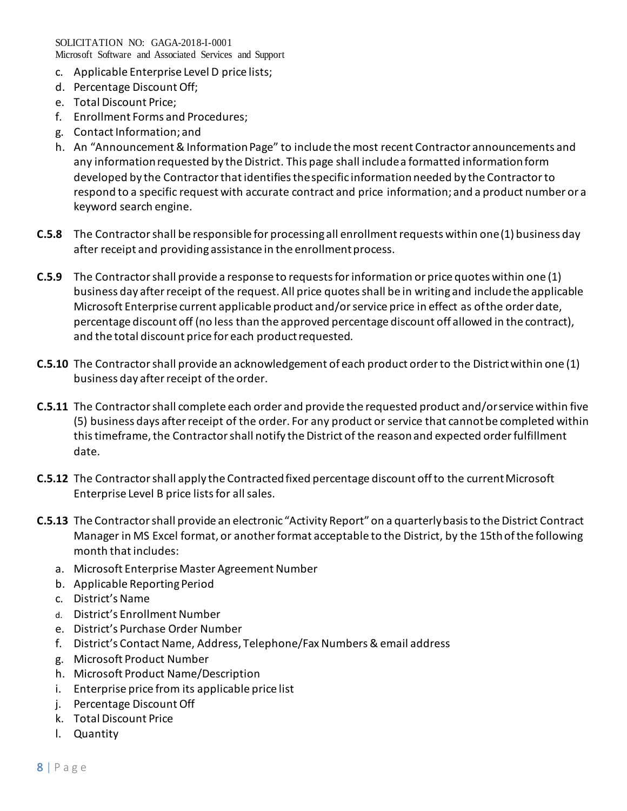Microsoft Software and Associated Services and Support

- c. Applicable Enterprise Level D price lists;
- d. Percentage DiscountOff;
- e. Total Discount Price;
- f. Enrollment Forms and Procedures;
- g. Contact Information; and
- h. An "Announcement & Information Page" to include the most recent Contractor announcements and any information requested by the District. This page shall includea formatted information form developed by the Contractor that identifies thespecific information needed by the Contractor to respond to a specific request with accurate contract and price information; and a product number or a keyword search engine.
- **C.5.8** The Contractor shall be responsible for processing all enrollment requests within one(1) business day after receipt and providing assistance in the enrollmentprocess.
- **C.5.9** The Contractor shall provide a response to requests for information or price quotes within one (1) business day after receipt of the request. All price quotes shall be in writing and includethe applicable Microsoft Enterprise current applicable product and/or service price in effect as ofthe order date, percentage discount off (no less than the approved percentage discount off allowed in the contract), and the total discount price for each product requested.
- **C.5.10** The Contractor shall provide an acknowledgement of each product order to the Districtwithin one (1) business day after receipt of the order.
- **C.5.11** The Contractor shall complete each order and provide the requested product and/orservice within five (5) business days after receipt of the order. For any product or service that cannotbe completed within this timeframe, the Contractor shall notify the District of the reasonand expected order fulfillment date.
- **C.5.12** The Contractor shall apply the Contracted fixed percentage discount off to the currentMicrosoft Enterprise Level B price lists for all sales.
- **C.5.13** The Contractor shall provide an electronic "Activity Report" on a quarterly basis to the District Contract Manager in MS Excel format, or anotherformat acceptable to the District, by the 15thof the following month thatincludes:
	- a. Microsoft Enterprise Master Agreement Number
	- b. Applicable Reporting Period
	- c. District'sName
	- d. District's Enrollment Number
	- e. District's Purchase Order Number
	- f. District's Contact Name, Address, Telephone/Fax Numbers & email address
	- g. Microsoft Product Number
	- h. Microsoft Product Name/Description
	- i. Enterprise price from its applicable price list
	- j. Percentage DiscountOff
	- k. Total Discount Price
	- l. Quantity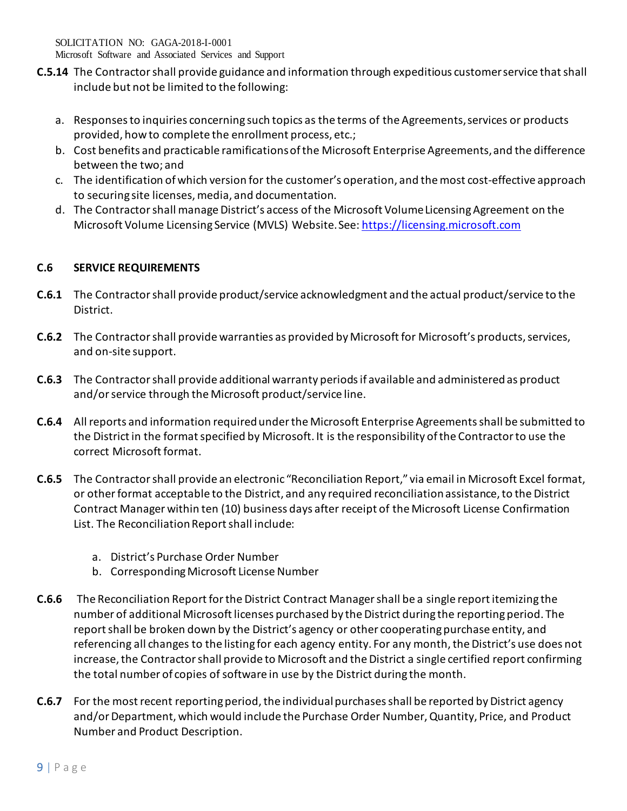Microsoft Software and Associated Services and Support

- **C.5.14** The Contractor shall provide guidance and information through expeditious customerservice that shall include but not be limited to the following:
	- a. Responses to inquiries concerning such topics as the terms of the Agreements, services or products provided, how to complete the enrollment process, etc.;
	- b. Cost benefits and practicable ramifications of the Microsoft Enterprise Agreements,and the difference between the two; and
	- c. The identification of which version for the customer's operation, and the most cost-effective approach to securing site licenses, media, and documentation.
	- d. The Contractor shall manage District's access of the Microsoft VolumeLicensing Agreement on the Microsoft Volume Licensing Service (MVLS) Website.See[: https://licensing.microsoft.com](https://licensing.microsoft.com/)

# **C.6 SERVICE REQUIREMENTS**

- **C.6.1** The Contractor shall provide product/service acknowledgment and the actual product/service to the District.
- **C.6.2** The Contractor shall provide warranties as provided by Microsoft for Microsoft's products, services, and on-site support.
- **C.6.3** The Contractor shall provide additional warranty periods if available and administered as product and/or service through the Microsoft product/service line.
- **C.6.4** All reports and information required under the Microsoft Enterprise Agreements shall be submitted to the District in the format specified by Microsoft. It is the responsibility of the Contractor to use the correct Microsoft format.
- **C.6.5** The Contractor shall provide an electronic "Reconciliation Report," via email in Microsoft Excel format, or other format acceptable to the District, and any required reconciliation assistance, to the District Contract Manager within ten (10) business days after receipt of the Microsoft License Confirmation List. The Reconciliation Report shall include:
	- a. District's Purchase Order Number
	- b. Corresponding Microsoft License Number
- **C.6.6** The Reconciliation Report for the District Contract Manager shall be a single report itemizing the number of additional Microsoft licenses purchased by the District during the reporting period. The report shall be broken down by the District's agency or other cooperating purchase entity, and referencing all changes to the listing for each agency entity. For any month, the District's use does not increase, the Contractor shall provide to Microsoft and the District a single certified report confirming the total number of copies of software in use by the District during the month.
- **C.6.7** For the most recent reporting period, the individual purchases shall be reported by District agency and/or Department, which would include the Purchase Order Number, Quantity, Price, and Product Number and Product Description.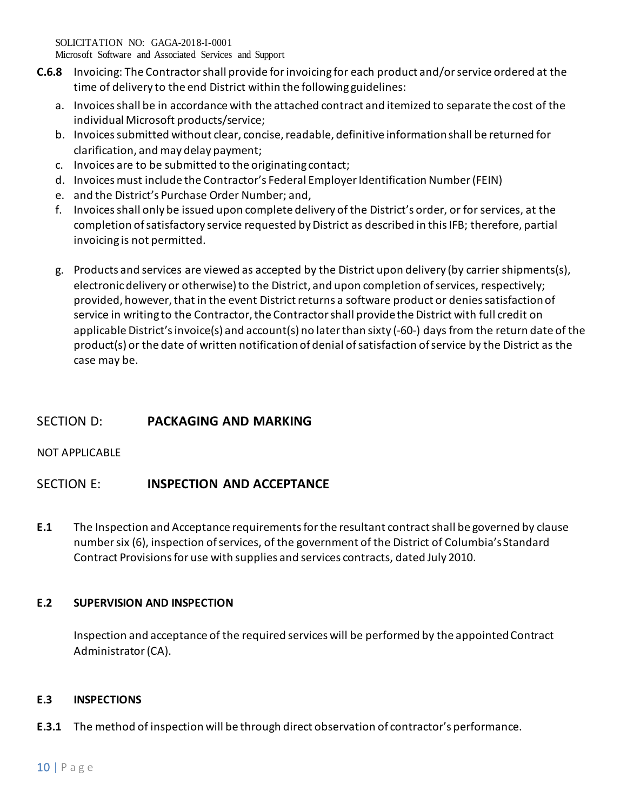Microsoft Software and Associated Services and Support

- **C.6.8** Invoicing: The Contractor shall provide for invoicing for each product and/or service ordered at the time of delivery to the end District within the following guidelines:
	- a. Invoices shall be in accordance with the attached contract and itemized to separate the cost of the individual Microsoft products/service;
	- b. Invoices submitted without clear, concise, readable, definitive information shall be returned for clarification, and may delay payment;
	- c. Invoices are to be submitted to the originating contact;
	- d. Invoicesmust include the Contractor's Federal Employer Identification Number (FEIN)
	- e. and the District's Purchase Order Number; and,
	- f. Invoices shall only be issued upon complete delivery of the District's order, or for services, at the completion of satisfactory service requested by District as described in this IFB; therefore, partial invoicing is not permitted.
	- g. Products and services are viewed as accepted by the District upon delivery (by carrier shipments(s), electronic delivery or otherwise) to the District, and upon completion of services, respectively; provided, however, that in the event District returns a software product or denies satisfaction of service in writing to the Contractor, the Contractor shall provide the District with full credit on applicable District's invoice(s) and account(s) no later than sixty (-60-) days from the return date of the product(s) or the date of written notification of denial of satisfaction of service by the District as the case may be.

# SECTION D: **PACKAGING AND MARKING**

NOT APPLICABLE

# SECTION E: **INSPECTION AND ACCEPTANCE**

**E.1** The Inspection and Acceptance requirements for the resultant contract shall be governed by clause number six (6), inspection of services, of the government of the District of Columbia's Standard Contract Provisions for use with supplies and services contracts, dated July 2010.

# **E.2 SUPERVISION AND INSPECTION**

Inspection and acceptance of the required services will be performed by the appointedContract Administrator(CA).

## **E.3 INSPECTIONS**

**E.3.1** The method of inspection will be through direct observation of contractor's performance.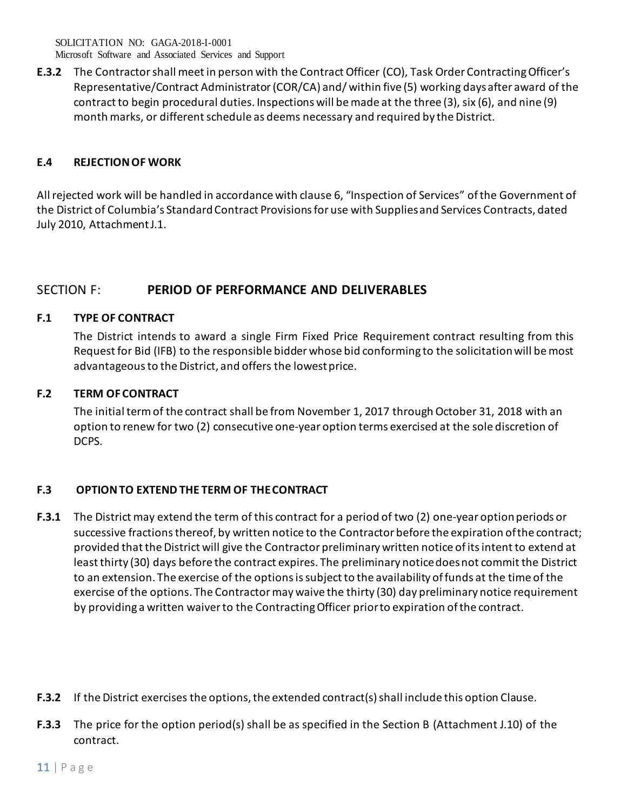SOLICITATION NO: GAGA-2018-I-0001 Microsoft Software and Associated Services and Support

**E.3.2** The Contractor shall meet in person with the Contract Officer (CO), Task Order Contracting Officer's Representative/Contract Administrator (COR/CA) and/ within five (5) working daysafter award of the contract to begin procedural duties. Inspections will be made at the three (3), six (6), and nine (9) month marks, or different schedule as deems necessary and required by the District.

## **E.4 REJECTION OF WORK**

All rejected work will be handled in accordance with clause 6, "Inspection of Services" ofthe Government of the District of Columbia's Standard Contract Provisions for use with Suppliesand Services Contracts, dated July 2010, AttachmentJ.1.

# SECTION F: **PERIOD OF PERFORMANCE AND DELIVERABLES**

# **F.1 TYPE OF CONTRACT**

The District intends to award a single Firm Fixed Price Requirement contract resulting from this Request for Bid (IFB) to the responsible bidder whose bid conforming to the solicitation will bemost advantageous to the District, and offers the lowest price.

# **F.2 TERM OF CONTRACT**

The initial term of the contract shall be from November 1, 2017 through October 31, 2018 with an option to renew for two (2) consecutive one-year option terms exercised at the sole discretion of DCPS.

# **F.3 OPTION TO EXTEND THE TERM OF THECONTRACT**

- **F.3.1** The District may extend the term of this contract for a period of two (2) one-year option periods or successive fractions thereof, by written notice to the Contractor before the expiration ofthe contract; provided that the District will give the Contractor preliminary written notice ofits intent to extend at least thirty (30) days before the contract expires. The preliminary noticedoes not commit the District to an extension. The exercise of the options is subject to the availability of funds at the time of the exercise of the options. The Contractor may waive the thirty (30) day preliminary notice requirement by providing a written waiver to the Contracting Officer priorto expiration of the contract.
- **F.3.2** If the District exercises the options, the extended contract(s) shall include this option Clause.
- **F.3.3** The price for the option period(s) shall be as specified in the Section B (Attachment J.10) of the contract.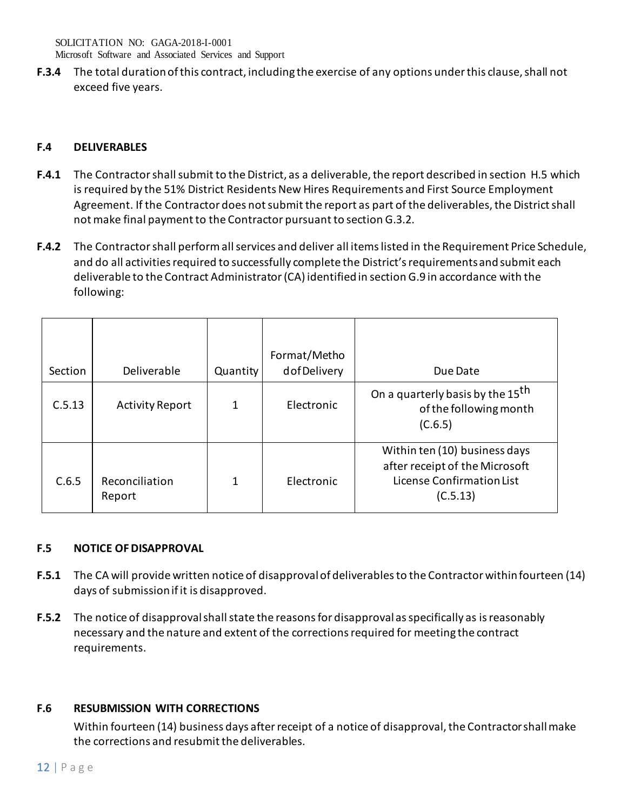**F.3.4** The total duration of this contract, including the exercise of any options under this clause, shall not exceed five years.

## **F.4 DELIVERABLES**

- **F.4.1** The Contractor shall submit to the District, as a deliverable, the report described in section H.5 which is required by the 51% District Residents New Hires Requirements and First Source Employment Agreement. If the Contractor does not submit the report as part of the deliverables, the District shall not make final payment to the Contractor pursuant to section G.3.2.
- **F.4.2** The Contractor shall perform all services and deliver all items listed in the Requirement Price Schedule, and do all activities required to successfully complete the District's requirementsand submit each deliverable to the Contract Administrator (CA) identified in section G.9 in accordance with the following:

| Section | Deliverable              | Quantity | Format/Metho<br>dofDelivery | Due Date                                                                                                 |
|---------|--------------------------|----------|-----------------------------|----------------------------------------------------------------------------------------------------------|
| C.5.13  | <b>Activity Report</b>   | 1        | Electronic                  | On a quarterly basis by the 15 <sup>th</sup><br>of the following month<br>(C.6.5)                        |
| C.6.5   | Reconciliation<br>Report | 1        | Electronic                  | Within ten (10) business days<br>after receipt of the Microsoft<br>License Confirmation List<br>(C.5.13) |

# **F.5 NOTICE OF DISAPPROVAL**

- **F.5.1** The CA will provide written notice of disapproval of deliverablesto the Contractor within fourteen (14) days of submission if it is disapproved.
- **F.5.2** The notice of disapproval shall state the reasons for disapproval as specifically as isreasonably necessary and the nature and extent of the corrections required for meeting the contract requirements.

# **F.6 RESUBMISSION WITH CORRECTIONS**

Within fourteen (14) business days after receipt of a notice of disapproval, the Contractorshall make the corrections and resubmit the deliverables.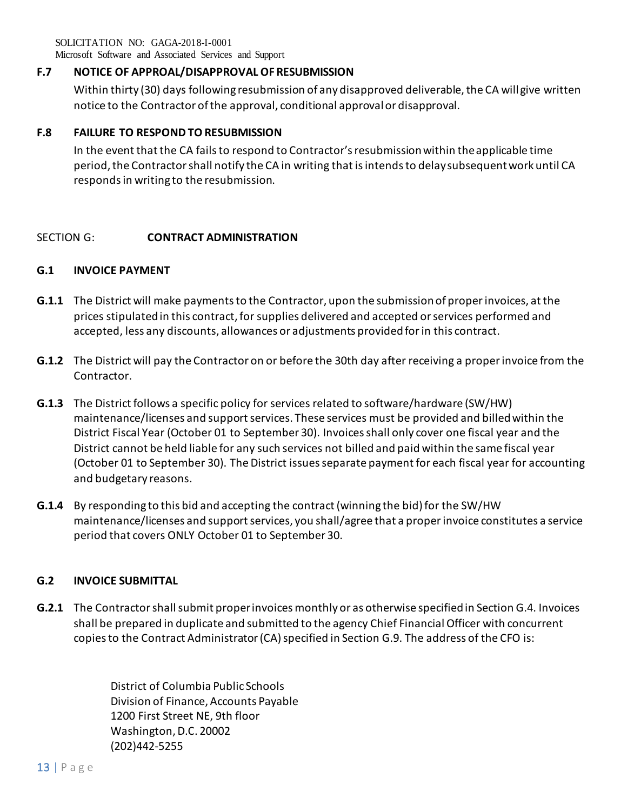Microsoft Software and Associated Services and Support

## **F.7 NOTICE OF APPROAL/DISAPPROVAL OF RESUBMISSION**

Within thirty (30) days following resubmission of any disapproved deliverable, the CA will give written notice to the Contractor of the approval, conditional approval or disapproval.

## **F.8 FAILURE TO RESPOND TO RESUBMISSION**

In the event that the CA fails to respond to Contractor's resubmission within theapplicable time period, the Contractor shall notify the CA in writing that is intends to delaysubsequent work until CA responds in writing to the resubmission.

## SECTION G: **CONTRACT ADMINISTRATION**

## **G.1 INVOICE PAYMENT**

- **G.1.1** The District will make payments to the Contractor, upon the submission of proper invoices, at the prices stipulated in this contract, for supplies delivered and accepted or services performed and accepted, less any discounts, allowances or adjustments provided for in this contract.
- **G.1.2** The District will pay the Contractor on or before the 30th day after receiving a proper invoice from the Contractor.
- **G.1.3** The District follows a specific policy for services related to software/hardware (SW/HW) maintenance/licenses and support services. These services must be provided and billed within the District Fiscal Year (October 01 to September 30). Invoices shall only cover one fiscal year and the District cannot be held liable for any such services not billed and paid within the same fiscal year (October 01 to September 30). The District issues separate payment for each fiscal year for accounting and budgetary reasons.
- **G.1.4** By responding to this bid and accepting the contract (winning the bid) for the SW/HW maintenance/licenses and support services, you shall/agree that a proper invoice constitutes a service period that covers ONLY October 01 to September 30.

## **G.2 INVOICE SUBMITTAL**

**G.2.1** The Contractor shall submit proper invoices monthly or as otherwise specifiedin Section G.4. Invoices shall be prepared in duplicate and submitted to the agency Chief Financial Officer with concurrent copies to the Contract Administrator (CA) specified in Section G.9. The address of the CFO is:

> District of Columbia Public Schools Division of Finance, Accounts Payable 1200 First Street NE, 9th floor Washington, D.C. 20002 (202)442-5255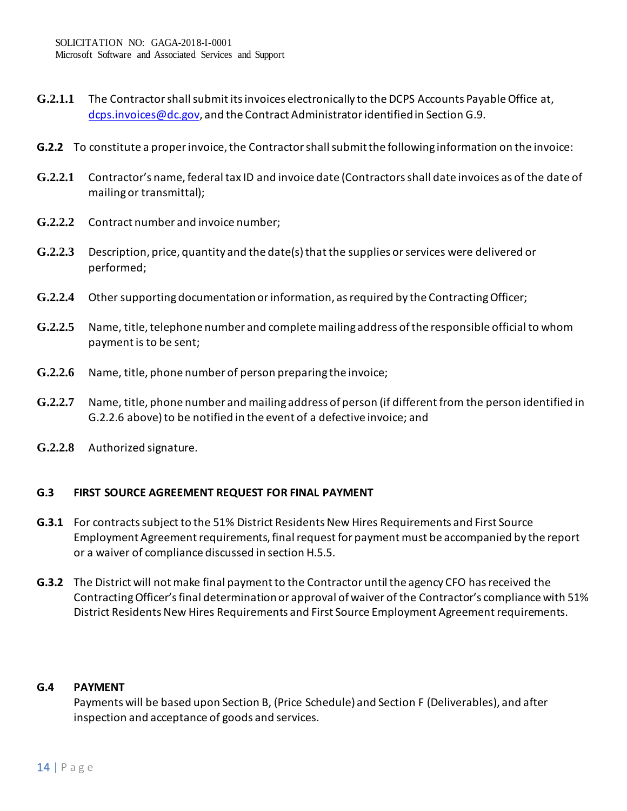- **G.2.1.1** The Contractor shall submit its invoices electronically to the DCPS Accounts Payable Office at, [dcps.invoices@dc.gov,](mailto:dcps.invoices@dc.gov) and the Contract Administrator identified in Section G.9.
- **G.2.2** To constitute a proper invoice, the Contractor shall submit the following information on the invoice:
- **G.2.2.1** Contractor's name, federal tax ID and invoice date (Contractors shall date invoices as of the date of mailing or transmittal);
- **G.2.2.2** Contract number and invoice number;
- **G.2.2.3** Description, price, quantity and the date(s) that the supplies or services were delivered or performed;
- **G.2.2.4** Other supporting documentation or information, as required by the Contracting Officer;
- **G.2.2.5** Name, title, telephone number and complete mailing address of the responsible official to whom payment is to be sent;
- **G.2.2.6** Name, title, phone number of person preparing the invoice;
- **G.2.2.7** Name, title, phone number and mailing address of person (if different from the person identified in G.2.2.6 above) to be notified in the event of a defective invoice; and
- **G.2.2.8** Authorized signature.

## **G.3 FIRST SOURCE AGREEMENT REQUEST FOR FINAL PAYMENT**

- **G.3.1** For contracts subject to the 51% District Residents New Hires Requirements and First Source Employment Agreement requirements, final request for payment must be accompanied by the report or a waiver of compliance discussed in section H.5.5.
- **G.3.2** The District will not make final payment to the Contractor until the agency CFO has received the Contracting Officer's final determination or approval of waiver of the Contractor's compliance with 51% District Residents New Hires Requirements and First Source Employment Agreement requirements.

## **G.4 PAYMENT**

Payments will be based upon Section B, (Price Schedule) and Section F (Deliverables), and after inspection and acceptance of goods and services.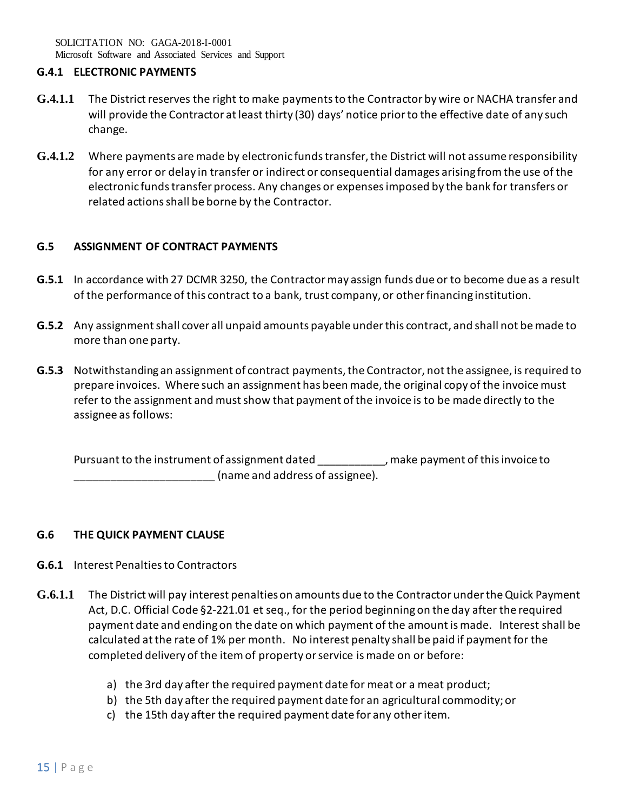### **G.4.1 ELECTRONIC PAYMENTS**

- **G.4.1.1** The District reserves the right to make payments to the Contractor by wire or NACHA transfer and will provide the Contractor at least thirty (30) days' notice prior to the effective date of any such change.
- **G.4.1.2** Where payments are made by electronic funds transfer, the District will not assume responsibility for any error or delay in transfer or indirect or consequential damages arising from the use of the electronic funds transfer process. Any changes or expenses imposed by the bank for transfers or related actions shall be borne by the Contractor.

## **G.5 ASSIGNMENT OF CONTRACT PAYMENTS**

- **G.5.1** In accordance with 27 DCMR 3250, the Contractor may assign funds due or to become due as a result of the performance of this contract to a bank, trust company, or other financing institution.
- **G.5.2** Any assignment shall cover all unpaid amounts payable under this contract, and shall not be made to more than one party.
- **G.5.3** Notwithstanding an assignment of contract payments, the Contractor, not the assignee, is required to prepare invoices. Where such an assignment has been made, the original copy of the invoice must refer to the assignment and must show that payment of the invoice is to be made directly to the assignee as follows:

Pursuant to the instrument of assignment dated \_\_\_\_\_\_\_\_\_\_, make payment of this invoice to \_\_\_\_\_\_\_\_\_\_\_\_\_\_\_\_\_\_\_\_\_\_\_ (name and address of assignee).

## **G.6 THE QUICK PAYMENT CLAUSE**

- **G.6.1** Interest Penalties to Contractors
- **G.6.1.1** The District will pay interest penalties on amounts due to the Contractor under the Quick Payment Act, D.C. Official Code §2-221.01 et seq., for the period beginning on the day after the required payment date and ending on the date on which payment of the amount is made. Interest shall be calculated at the rate of 1% per month. No interest penalty shall be paid if payment for the completed delivery of the item of property or service is made on or before:
	- a) the 3rd day after the required payment date for meat or a meat product;
	- b) the 5th day after the required payment date for an agricultural commodity; or
	- c) the 15th day after the required payment date for any other item.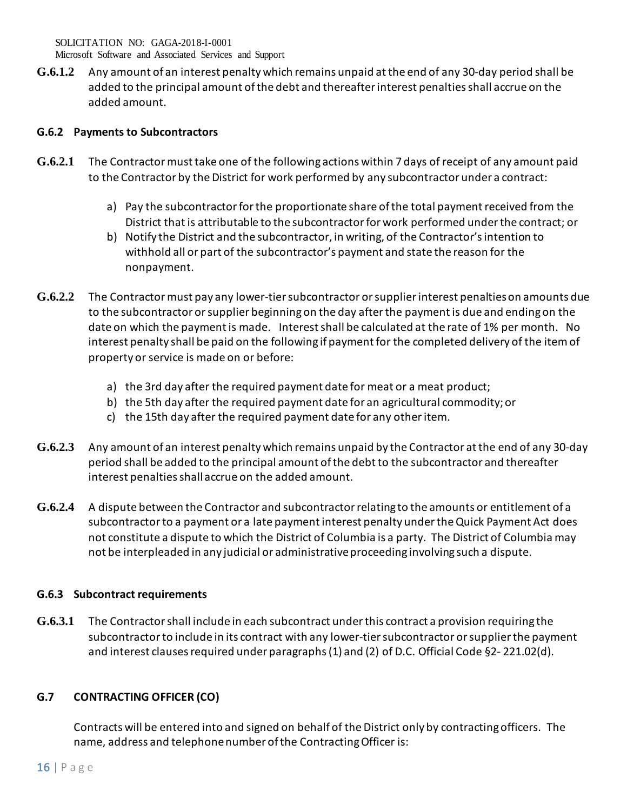Microsoft Software and Associated Services and Support

**G.6.1.2** Any amount of an interest penalty which remains unpaid at the end of any 30-day period shall be added to the principal amount of the debt and thereafter interest penalties shall accrue on the added amount.

## **G.6.2 Payments to Subcontractors**

- **G.6.2.1** The Contractor must take one of the following actions within 7 days of receipt of any amount paid to the Contractor by the District for work performed by any subcontractor under a contract:
	- a) Pay the subcontractor for the proportionate share of the total payment received from the District that is attributable to the subcontractor for work performed under the contract; or
	- b) Notify the District and the subcontractor, in writing, of the Contractor's intention to withhold all or part of the subcontractor's payment and state the reason for the nonpayment.
- **G.6.2.2** The Contractor must pay any lower-tier subcontractor or supplier interest penalties on amounts due to the subcontractor or supplier beginning on the day after the payment is due and ending on the date on which the payment is made. Interest shall be calculated at the rate of 1% per month. No interest penalty shall be paid on the following if payment for the completed delivery of the item of property or service is made on or before:
	- a) the 3rd day after the required payment date for meat or a meat product;
	- b) the 5th day after the required payment date for an agricultural commodity; or
	- c) the 15th day after the required payment date for any other item.
- **G.6.2.3** Any amount of an interest penalty which remains unpaid by the Contractor at the end of any 30-day period shall be added to the principal amount of the debt to the subcontractor and thereafter interest penalties shall accrue on the added amount.
- **G.6.2.4** A dispute between the Contractor and subcontractor relating to the amounts or entitlement of a subcontractor to a payment or a late payment interest penalty under the Quick Payment Act does not constitute a dispute to which the District of Columbia is a party. The District of Columbia may not be interpleaded in any judicial or administrative proceeding involving such a dispute.

# **G.6.3 Subcontract requirements**

**G.6.3.1** The Contractor shall include in each subcontract under this contract a provision requiring the subcontractor to include in its contract with any lower-tier subcontractor or supplier the payment and interest clauses required under paragraphs (1) and (2) of D.C. Official Code §2- 221.02(d).

# **G.7 CONTRACTING OFFICER (CO)**

Contracts will be entered into and signed on behalf of the District only by contracting officers. The name, address and telephone number of the Contracting Officer is: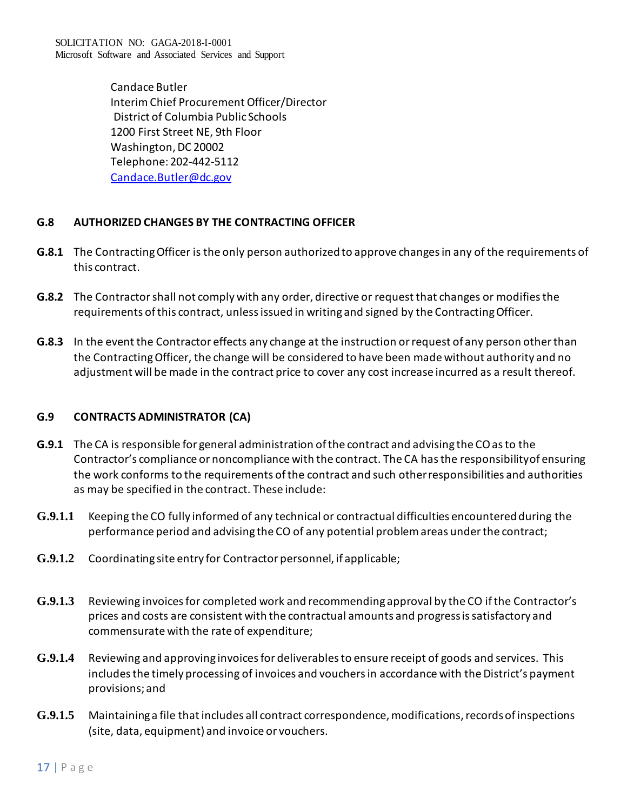SOLICITATION NO: GAGA-2018-I-0001 Microsoft Software and Associated Services and Support

> Candace Butler Interim Chief Procurement Officer/Director District of Columbia Public Schools 1200 First Street NE, 9th Floor Washington, DC 20002 Telephone: 202-442-5112 [Candace.Butler@dc.gov](mailto:Candace.Butler@dc.gov)

## **G.8 AUTHORIZED CHANGES BY THE CONTRACTING OFFICER**

- **G.8.1** The Contracting Officer is the only person authorized to approve changes in any of the requirements of this contract.
- **G.8.2** The Contractor shall not comply with any order, directive or request that changes or modifies the requirements of this contract, unless issued in writing and signed by the Contracting Officer.
- **G.8.3** In the event the Contractor effects any change at the instruction or request of any person other than the Contracting Officer, the change will be considered to have been made without authority and no adjustment will be made in the contract price to cover any cost increase incurred as a result thereof.

## **G.9 CONTRACTS ADMINISTRATOR (CA)**

- **G.9.1** The CA is responsible for general administration ofthe contract and advising the COasto the Contractor's compliance or noncompliance with the contract. The CA has the responsibilityof ensuring the work conforms to the requirements of the contract and such otherresponsibilities and authorities as may be specified in the contract. These include:
- **G.9.1.1** Keeping the CO fully informed of any technical or contractual difficulties encountered during the performance period and advising the CO of any potential problem areas under the contract;
- **G.9.1.2** Coordinating site entry for Contractor personnel, if applicable;
- **G.9.1.3** Reviewing invoices for completed work and recommending approval by the CO ifthe Contractor's prices and costs are consistent with the contractual amounts and progressis satisfactory and commensurate with the rate of expenditure;
- **G.9.1.4** Reviewing and approving invoices for deliverables to ensure receipt of goods and services. This includes the timely processing of invoices and vouchers in accordance with the District's payment provisions; and
- **G.9.1.5** Maintaining a file that includes all contract correspondence, modifications, recordsof inspections (site, data, equipment) and invoice or vouchers.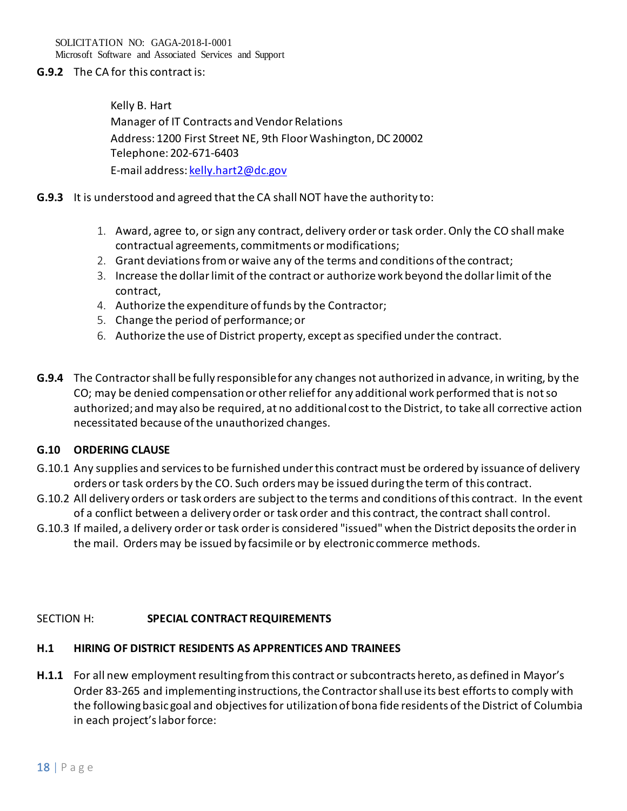SOLICITATION NO: GAGA-2018-I-0001 Microsoft Software and Associated Services and Support

## **G.9.2** The CA for this contract is:

Kelly B. Hart Manager of IT Contracts and Vendor Relations Address: 1200 First Street NE, 9th Floor Washington, DC 20002 Telephone: 202-671-6403 E-mail address[: kelly.hart2@dc.gov](mailto:kelly.hart2@dc.gov)

- **G.9.3** It is understood and agreed that the CA shall NOT have the authority to:
	- 1. Award, agree to, or sign any contract, delivery order or task order. Only the CO shall make contractual agreements, commitments or modifications;
	- 2. Grant deviations from or waive any of the terms and conditions of the contract;
	- 3. Increase the dollar limit of the contract or authorize work beyond the dollar limit of the contract,
	- 4. Authorize the expenditure of funds by the Contractor;
	- 5. Change the period of performance; or
	- 6. Authorize the use of District property, except as specified under the contract.
- **G.9.4** The Contractor shall be fully responsible for any changes not authorized in advance, in writing, by the CO; may be denied compensation or other relief for any additional work performed that is not so authorized; and may also be required, at no additional cost to the District, to take all corrective action necessitated because ofthe unauthorized changes.

#### **G.10 ORDERING CLAUSE**

- G.10.1 Any supplies and services to be furnished under this contract must be ordered by issuance of delivery orders or task orders by the CO. Such orders may be issued during the term of this contract.
- G.10.2 All delivery orders or task orders are subject to the terms and conditions of this contract. In the event of a conflict between a delivery order or task order and this contract, the contract shall control.
- G.10.3 If mailed, a delivery order or task order is considered "issued" when the District deposits the order in the mail. Orders may be issued by facsimile or by electronic commerce methods.

#### SECTION H: **SPECIAL CONTRACT REQUIREMENTS**

#### **H.1 HIRING OF DISTRICT RESIDENTS AS APPRENTICES AND TRAINEES**

**H.1.1** For all new employment resulting from this contract or subcontracts hereto, as defined in Mayor's Order 83-265 and implementing instructions, the Contractor shall use its best efforts to comply with the following basic goal and objectives for utilization of bona fide residents of the District of Columbia in each project's labor force: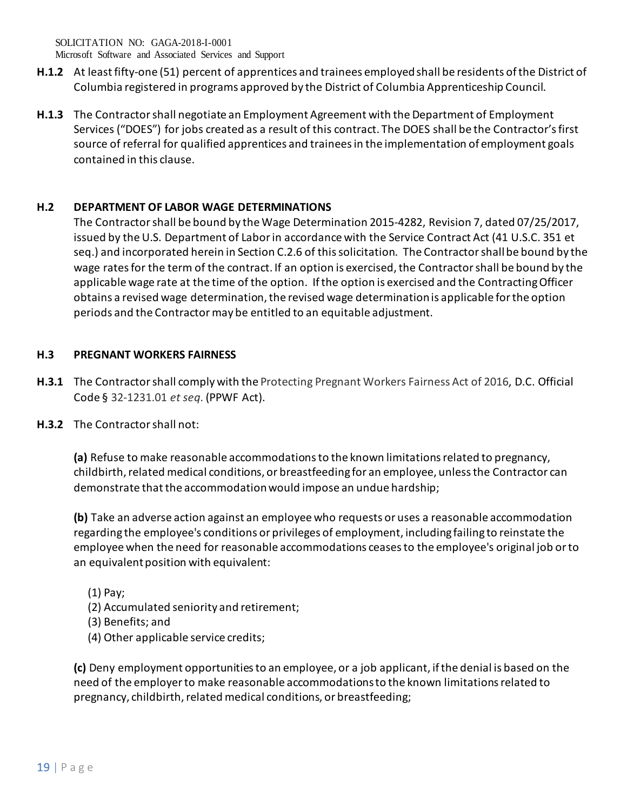Microsoft Software and Associated Services and Support

- **H.1.2** At least fifty-one (51) percent of apprentices and trainees employed shall be residents of the District of Columbia registered in programs approved by the District of Columbia Apprenticeship Council.
- **H.1.3** The Contractor shall negotiate an Employment Agreement with the Department of Employment Services ("DOES") for jobs created as a result of this contract. The DOES shall be the Contractor's first source of referral for qualified apprentices and trainees in the implementation of employment goals contained in this clause.

# **H.2 DEPARTMENT OF LABOR WAGE DETERMINATIONS**

The Contractor shall be bound by the Wage Determination 2015-4282, Revision 7, dated 07/25/2017, issued by the U.S. Department of Labor in accordance with the Service Contract Act (41 U.S.C. 351 et seq.) and incorporated herein in Section C.2.6 of this solicitation. The Contractor shall be bound by the wage rates for the term of the contract. If an option is exercised, the Contractor shall be bound by the applicable wage rate at the time of the option. If the option is exercised and the Contracting Officer obtains a revised wage determination, the revised wage determination is applicable for the option periods and the Contractor may be entitled to an equitable adjustment.

# **H.3 PREGNANT WORKERS FAIRNESS**

- **H.3.1** The Contractor shall comply with the Protecting Pregnant Workers Fairness Act of 2016, D.C. Official Code § 32-1231.01 *et seq*. (PPWF Act).
- **H.3.2** The Contractor shall not:

**(a)** Refuse to make reasonable accommodations to the known limitations related to pregnancy, childbirth, related medical conditions, or breastfeeding for an employee, unless the Contractor can demonstrate that the accommodation would impose an undue hardship;

**(b)** Take an adverse action against an employee who requests or uses a reasonable accommodation regarding the employee's conditions or privileges of employment, including failing to reinstate the employee when the need for reasonable accommodations ceases to the employee's original job or to an equivalent position with equivalent:

- (1) Pay;
- (2) Accumulated seniority and retirement;
- (3) Benefits; and
- (4) Other applicable service credits;

**(c)** Deny employment opportunities to an employee, or a job applicant, if the denial is based on the need of the employer to make reasonable accommodations to the known limitations related to pregnancy, childbirth, related medical conditions, or breastfeeding;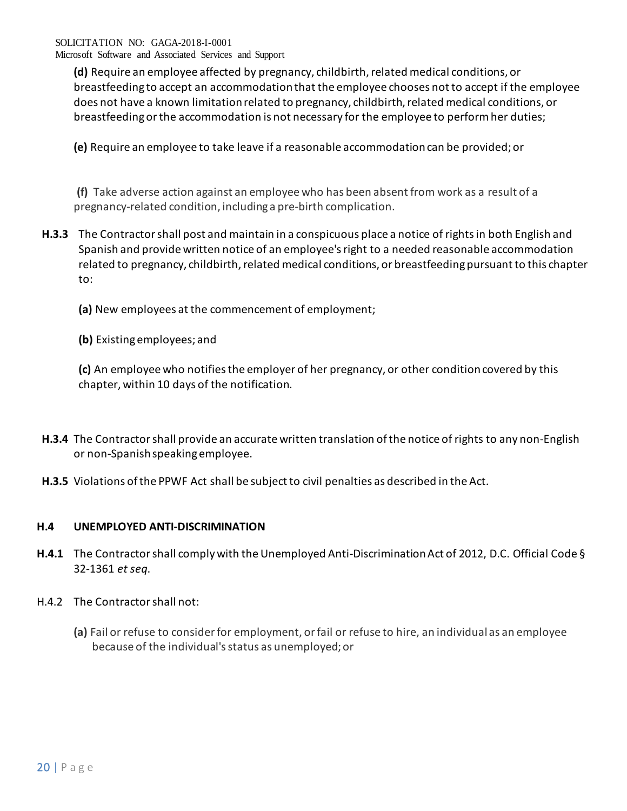**(d)** Require an employee affected by pregnancy, childbirth, related medical conditions, or breastfeeding to accept an accommodation that the employee chooses not to accept if the employee does not have a known limitation related to pregnancy, childbirth, related medical conditions, or breastfeeding or the accommodation is not necessary for the employee to perform her duties;

**(e)** Require an employee to take leave if a reasonable accommodation can be provided; or

**(f)** Take adverse action against an employee who has been absent from work as a result of a pregnancy-related condition, including a pre-birth complication.

- **H.3.3** The Contractor shall post and maintain in a conspicuous place a notice of rights in both English and Spanish and provide written notice of an employee's right to a needed reasonable accommodation related to pregnancy, childbirth, related medical conditions, or breastfeeding pursuant to this chapter to:
	- **(a)** New employees at the commencement of employment;
	- **(b)** Existing employees; and

**(c)** An employee who notifies the employer of her pregnancy, or other condition covered by this chapter, within 10 days of the notification.

- **H.3.4** The Contractor shall provide an accurate written translation of the notice of rights to any non-English or non-Spanish speaking employee.
- **H.3.5** Violations of the PPWF Act shall be subject to civil penalties as described in the Act.

# **H.4 UNEMPLOYED ANTI-DISCRIMINATION**

- **H.4.1** The Contractor shall comply with the Unemployed Anti-Discrimination Act of 2012, D.C. Official Code § 32-1361 *et seq*.
- H.4.2 The Contractor shall not:
	- **(a)** Fail or refuse to consider for employment, or fail or refuse to hire, an individual as an employee because of the individual's status as unemployed; or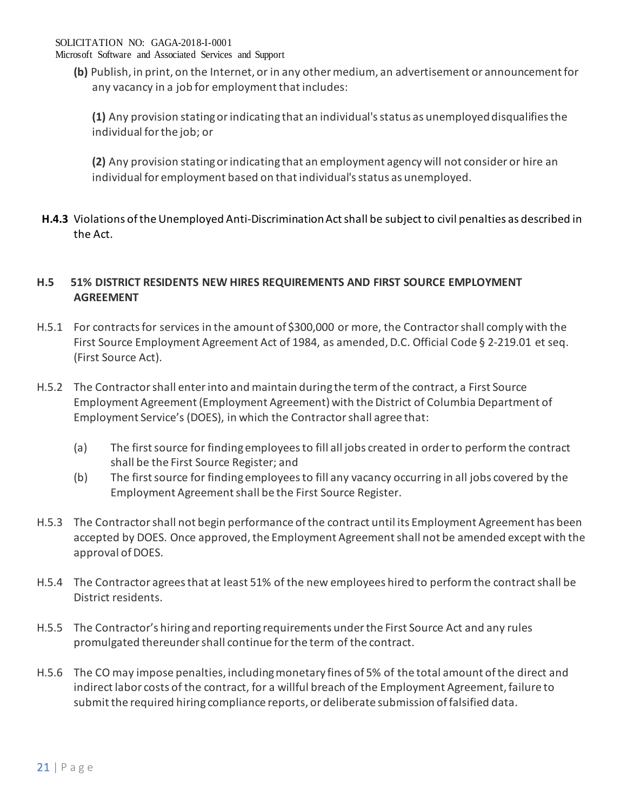Microsoft Software and Associated Services and Support

**(b)** Publish, in print, on the Internet, or in any other medium, an advertisement or announcement for any vacancy in a job for employment that includes:

**(1)** Any provision stating or indicating that an individual's status as unemployed disqualifies the individual for the job; or

**(2)** Any provision stating or indicating that an employment agency will not consider or hire an individual for employment based on that individual's status as unemployed.

**H.4.3** Violations of the Unemployed Anti-Discrimination Act shall be subject to civil penalties as described in the Act.

# **H.5 51% DISTRICT RESIDENTS NEW HIRES REQUIREMENTS AND FIRST SOURCE EMPLOYMENT AGREEMENT**

- H.5.1 For contracts for services in the amount of \$300,000 or more, the Contractor shall comply with the First Source Employment Agreement Act of 1984, as amended, D.C. Official Code § 2-219.01 et seq. (First Source Act).
- H.5.2 The Contractor shall enter into and maintain during the term of the contract, a First Source Employment Agreement (Employment Agreement) with the District of Columbia Department of Employment Service's (DOES), in which the Contractor shall agree that:
	- (a) The first source for finding employees to fill all jobs created in order to perform the contract shall be the First Source Register; and
	- (b) The first source for finding employees to fill any vacancy occurring in all jobs covered by the Employment Agreement shall be the First Source Register.
- H.5.3 The Contractor shall not begin performance of the contract until its Employment Agreement has been accepted by DOES. Once approved, the Employment Agreement shall not be amended except with the approval of DOES.
- H.5.4 The Contractor agrees that at least 51% of the new employees hired to perform the contract shall be District residents.
- H.5.5 The Contractor's hiring and reporting requirements under the First Source Act and any rules promulgated thereunder shall continue for the term of the contract.
- H.5.6 The CO may impose penalties, including monetary fines of 5% of the total amount of the direct and indirect labor costs of the contract, for a willful breach of the Employment Agreement, failure to submit the required hiring compliance reports, or deliberate submission of falsified data.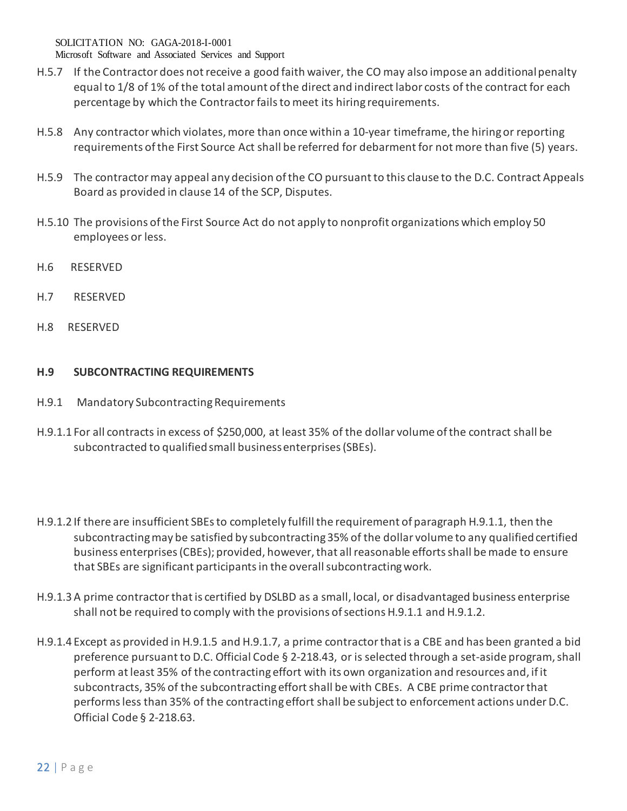Microsoft Software and Associated Services and Support

- H.5.7 If the Contractor does not receive a good faith waiver, the CO may also impose an additional penalty equal to 1/8 of 1% of the total amount of the direct and indirect labor costs of the contract for each percentage by which the Contractor fails to meet its hiring requirements.
- H.5.8 Any contractor which violates, more than once within a 10-year timeframe, the hiring or reporting requirements of the First Source Act shall be referred for debarment for not more than five (5) years.
- H.5.9 The contractor may appeal any decision of the CO pursuant to this clause to the D.C. Contract Appeals Board as provided in clause 14 of the SCP, Disputes.
- H.5.10 The provisions of the First Source Act do not apply to nonprofit organizations which employ 50 employees or less.
- H.6 RESERVED
- H.7 RESERVED
- H.8 RESERVED

## **H.9 SUBCONTRACTING REQUIREMENTS**

- H.9.1 Mandatory Subcontracting Requirements
- H.9.1.1 For all contracts in excess of \$250,000, at least 35% of the dollar volume of the contract shall be subcontracted to qualified small business enterprises (SBEs).
- H.9.1.2 If there are insufficient SBEs to completely fulfill the requirement of paragraph H.9.1.1, then the subcontracting may be satisfied by subcontracting 35% of the dollar volume to any qualified certified business enterprises (CBEs); provided, however, that all reasonable efforts shall be made to ensure that SBEs are significant participants in the overall subcontracting work.
- H.9.1.3A prime contractor that is certified by DSLBD as a small, local, or disadvantaged business enterprise shall not be required to comply with the provisions of sections H.9.1.1 and H.9.1.2.
- H.9.1.4 Except as provided in H.9.1.5 and H.9.1.7, a prime contractor that is a CBE and has been granted a bid preference pursuant to D.C. Official Code § 2-218.43, or is selected through a set-aside program, shall perform at least 35% of the contracting effort with its own organization and resources and, if it subcontracts, 35% of the subcontracting effort shall be with CBEs. A CBE prime contractor that performs less than 35% of the contracting effort shall be subject to enforcement actions under D.C. Official Code § 2-218.63.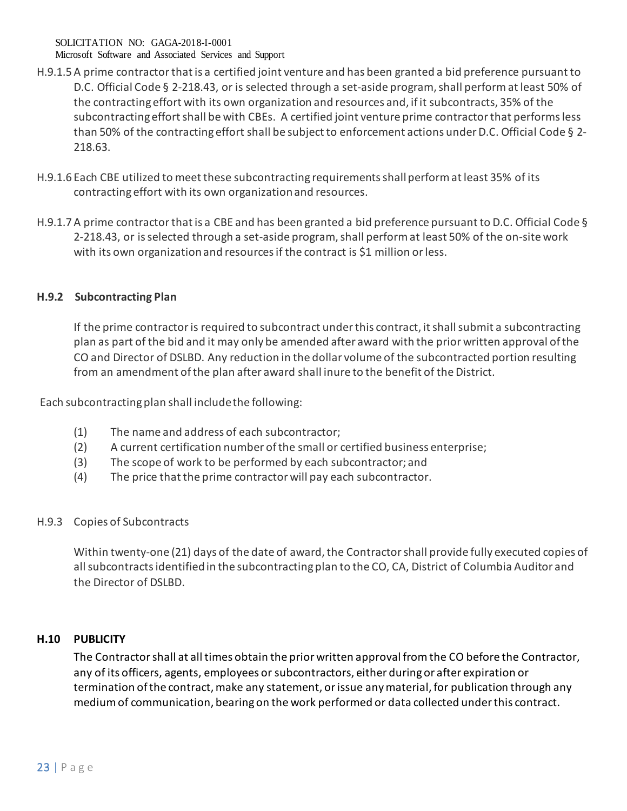Microsoft Software and Associated Services and Support

- H.9.1.5A prime contractor that is a certified joint venture and has been granted a bid preference pursuant to D.C. Official Code § 2-218.43, or is selected through a set-aside program, shall perform at least 50% of the contracting effort with its own organization and resources and, if it subcontracts, 35% of the subcontracting effort shall be with CBEs. A certified joint venture prime contractor that performs less than 50% of the contracting effort shall be subject to enforcement actions under D.C. Official Code § 2- 218.63.
- H.9.1.6 Each CBE utilized to meet these subcontracting requirements shall perform at least 35% of its contracting effort with its own organization and resources.
- H.9.1.7A prime contractor that is a CBE and has been granted a bid preference pursuant to D.C. Official Code § 2-218.43, or is selected through a set-aside program, shall perform at least 50% of the on-site work with its own organization and resources if the contract is \$1 million or less.

# **H.9.2 Subcontracting Plan**

If the prime contractor is required to subcontract under this contract, it shall submit a subcontracting plan as part of the bid and it may only be amended after award with the prior written approval of the CO and Director of DSLBD. Any reduction in the dollar volume of the subcontracted portion resulting from an amendment of the plan after award shall inure to the benefit of the District.

Each subcontracting plan shall include the following:

- (1) The name and address of each subcontractor;
- (2) A current certification number of the small or certified business enterprise;
- (3) The scope of work to be performed by each subcontractor; and
- (4) The price that the prime contractor will pay each subcontractor.

## H.9.3 Copies of Subcontracts

Within twenty-one (21) days of the date of award, the Contractor shall provide fully executed copies of all subcontracts identified in the subcontracting plan to the CO, CA, District of Columbia Auditor and the Director of DSLBD.

## **H.10 PUBLICITY**

The Contractor shall at all times obtain the prior written approval from the CO before the Contractor, any of its officers, agents, employees or subcontractors, either during or after expiration or termination of the contract, make any statement, or issue any material, for publication through any medium of communication, bearing on the work performed or data collected under this contract.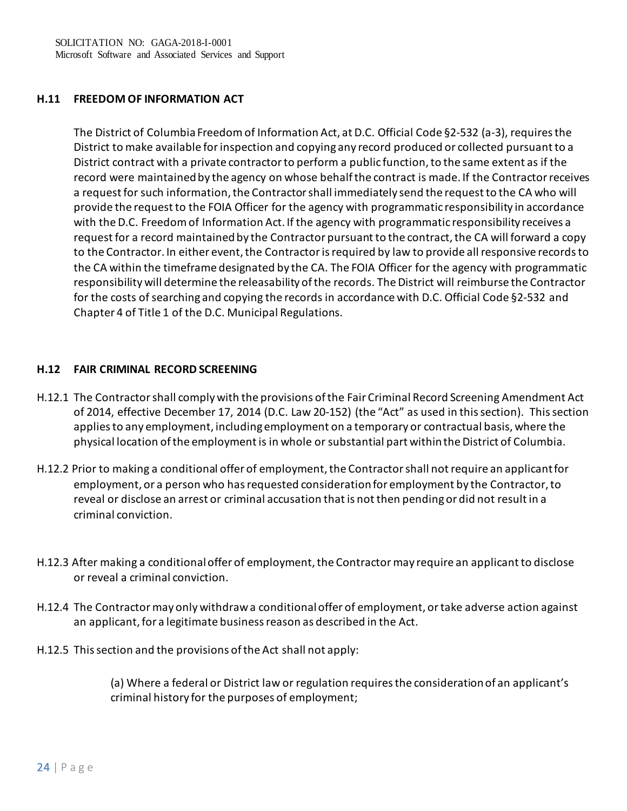## **H.11 FREEDOM OF INFORMATION ACT**

The District of Columbia Freedom of Information Act, at D.C. Official Code §2-532 (a-3), requires the District to make available for inspection and copying any record produced or collected pursuantto a District contract with a private contractor to perform a public function, to the same extent as if the record were maintained by the agency on whose behalf the contract is made. If the Contractor receives a request for such information, the Contractor shall immediately send the request to the CA who will provide the request to the FOIA Officer for the agency with programmatic responsibility in accordance with the D.C. Freedom of Information Act. If the agency with programmatic responsibility receives a request for a record maintained by the Contractor pursuant to the contract, the CA will forward a copy to the Contractor. In either event, the Contractor is required by law to provide all responsive records to the CA within the timeframe designated by the CA. The FOIA Officer for the agency with programmatic responsibility will determine the releasability of the records. The District will reimburse the Contractor for the costs of searching and copying the records in accordance with D.C. Official Code §2-532 and Chapter 4 of Title 1 of the D.C. Municipal Regulations.

## **H.12 FAIR CRIMINAL RECORD SCREENING**

- H.12.1 The Contractor shall comply with the provisions of the Fair Criminal Record Screening Amendment Act of 2014, effective December 17, 2014 (D.C. Law 20-152) (the "Act" as used in this section). This section applies to any employment, including employment on a temporary or contractual basis, where the physical location of the employment is in whole or substantial part within the District of Columbia.
- H.12.2 Prior to making a conditional offer of employment, the Contractor shall not require an applicant for employment, or a person who has requested consideration for employment by the Contractor, to reveal or disclose an arrest or criminal accusation that is not then pending or did not result in a criminal conviction.
- H.12.3 After making a conditional offer of employment, the Contractor may require an applicant to disclose or reveal a criminal conviction.
- H.12.4 The Contractor may only withdraw a conditional offer of employment, or take adverse action against an applicant, for a legitimate business reason as described in the Act.
- H.12.5 This section and the provisions of the Act shall not apply:

(a) Where a federal or District law or regulation requires the consideration of an applicant's criminal history for the purposes of employment;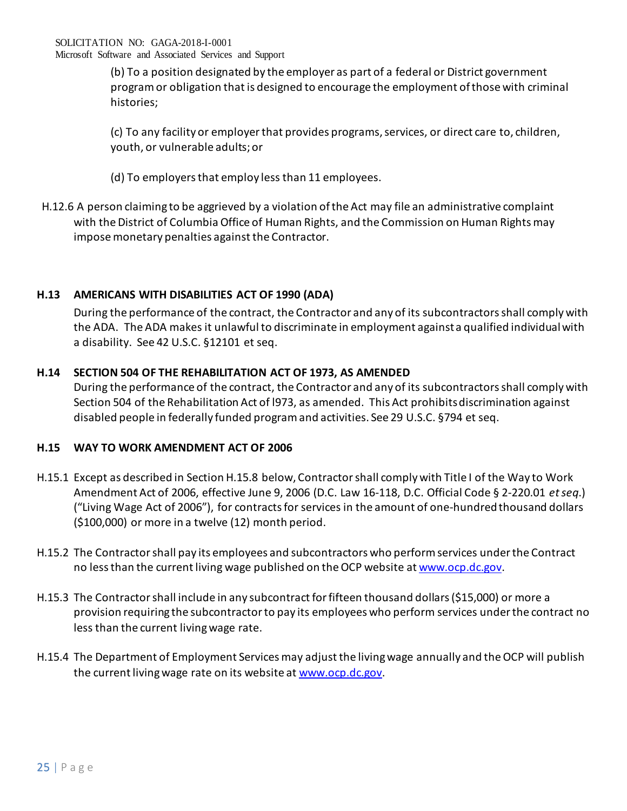(b) To a position designated by the employer as part of a federal or District government program or obligation that is designed to encourage the employment of those with criminal histories;

(c) To any facility or employer that provides programs, services, or direct care to, children, youth, or vulnerable adults; or

- (d) To employers that employ less than 11 employees.
- H.12.6 A person claiming to be aggrieved by a violation of the Act may file an administrative complaint with the District of Columbia Office of Human Rights, and the Commission on Human Rights may impose monetary penalties against the Contractor.

# **H.13 AMERICANS WITH DISABILITIES ACT OF 1990 (ADA)**

During the performance of the contract, the Contractor and any of its subcontractors shall comply with the ADA. The ADA makes it unlawful to discriminate in employment against a qualified individual with a disability. See 42 U.S.C. §12101 et seq.

# **H.14 SECTION 504 OF THE REHABILITATION ACT OF 1973, AS AMENDED**

During the performance of the contract, the Contractor and any of its subcontractors shall comply with Section 504 of the Rehabilitation Act of l973, as amended. This Act prohibits discrimination against disabled people in federally funded program and activities. See 29 U.S.C. §794 et seq.

# **H.15 WAY TO WORK AMENDMENT ACT OF 2006**

- H.15.1 Except as described in Section H.15.8 below, Contractor shall comply with Title I of the Way to Work Amendment Act of 2006, effective June 9, 2006 (D.C. Law 16-118, D.C. Official Code § 2-220.01 *et seq*.) ("Living Wage Act of 2006"), for contracts for services in the amount of one-hundred thousand dollars (\$100,000) or more in a twelve (12) month period.
- H.15.2 The Contractor shall pay its employees and subcontractors who perform services under the Contract no less than the current living wage published on the OCP website a[t www.ocp.dc.gov.](http://www.ocp.dc.gov/)
- H.15.3 The Contractor shall include in any subcontract for fifteen thousand dollars (\$15,000) or more a provision requiring the subcontractor to pay its employees who perform services under the contract no less than the current living wage rate.
- H.15.4 The Department of Employment Services may adjust the living wage annually and the OCP will publish the current living wage rate on its website at [www.ocp.dc.gov.](http://www.ocp.dc.gov/)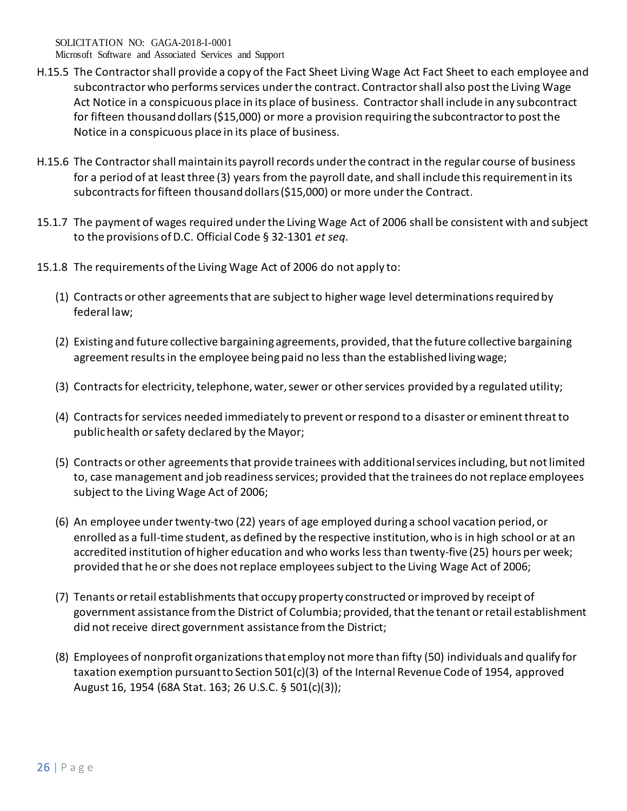Microsoft Software and Associated Services and Support

- H.15.5 The Contractor shall provide a copy of the Fact Sheet Living Wage Act Fact Sheet to each employee and subcontractor who performs services under the contract. Contractor shall also post the Living Wage Act Notice in a conspicuous place in its place of business. Contractor shall include in any subcontract for fifteen thousand dollars (\$15,000) or more a provision requiring the subcontractor to post the Notice in a conspicuous place in its place of business.
- H.15.6 The Contractor shall maintain its payroll records under the contract in the regular course of business for a period of at least three (3) years from the payroll date, and shall include this requirement in its subcontracts for fifteen thousand dollars (\$15,000) or more under the Contract.
- 15.1.7 The payment of wages required under the Living Wage Act of 2006 shall be consistent with and subject to the provisions of D.C. Official Code § 32-1301 *et seq*.
- 15.1.8 The requirements of the Living Wage Act of 2006 do not apply to:
	- (1) Contracts or other agreements that are subject to higher wage level determinations required by federal law;
	- (2) Existing and future collective bargaining agreements, provided, that the future collective bargaining agreement results in the employee being paid no less than the established living wage;
	- (3) Contracts for electricity, telephone, water, sewer or other services provided by a regulated utility;
	- (4) Contracts for services needed immediately to prevent or respond to a disaster or eminent threat to public health or safety declared by the Mayor;
	- (5) Contracts or other agreements that provide trainees with additional services including, but not limited to, case management and job readiness services; provided that the trainees do not replace employees subject to the Living Wage Act of 2006;
	- (6) An employee under twenty-two (22) years of age employed during a school vacation period, or enrolled as a full-time student, as defined by the respective institution, who is in high school or at an accredited institution of higher education and who works less than twenty-five (25) hours per week; provided that he or she does not replace employees subject to the Living Wage Act of 2006;
	- (7) Tenants or retail establishments that occupy property constructed or improved by receipt of government assistance from the District of Columbia; provided, that the tenant or retail establishment did not receive direct government assistance from the District;
	- (8) Employees of nonprofit organizations that employ not more than fifty (50) individuals and qualify for taxation exemption pursuant to Section 501(c)(3) of the Internal Revenue Code of 1954, approved August 16, 1954 (68A Stat. 163; 26 U.S.C. § 501(c)(3));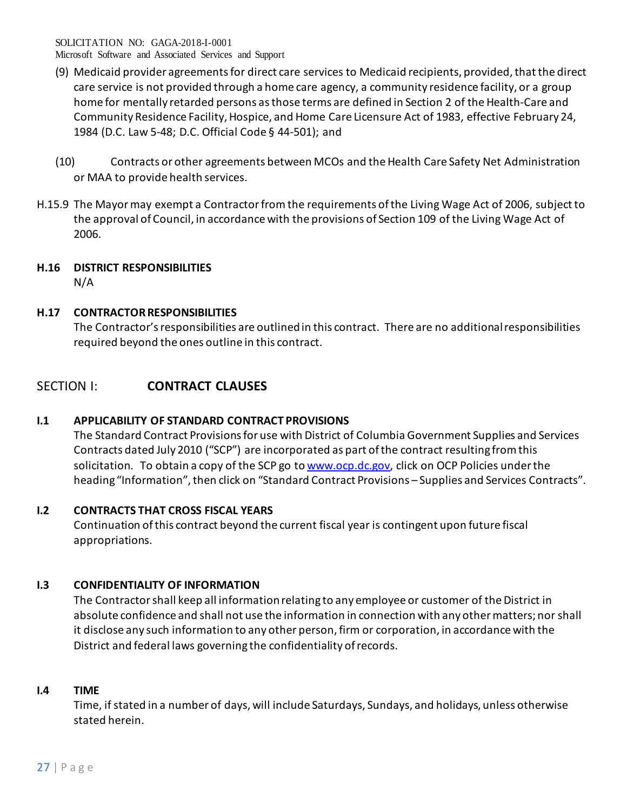Microsoft Software and Associated Services and Support

- (9) Medicaid provider agreements for direct care services to Medicaid recipients, provided, that the direct care service is not provided through a home care agency, a community residence facility, or a group home for mentally retarded persons as those terms are defined in Section 2 of the Health-Care and Community Residence Facility, Hospice, and Home Care Licensure Act of 1983, effective February 24, 1984 (D.C. Law 5-48; D.C. Official Code § 44-501); and
- (10) Contracts or other agreements between MCOs and the Health Care Safety Net Administration or MAA to provide health services.
- H.15.9 The Mayor may exempt a Contractor from the requirements of the Living Wage Act of 2006, subject to the approval of Council, in accordance with the provisions of Section 109 of the Living Wage Act of 2006.

# **H.16 DISTRICT RESPONSIBILITIES**

N/A

# **H.17 CONTRACTOR RESPONSIBILITIES**

The Contractor's responsibilities are outlined in this contract. There are no additional responsibilities required beyond the ones outline in this contract.

# SECTION I: **CONTRACT CLAUSES**

# **I.1 APPLICABILITY OF STANDARD CONTRACT PROVISIONS**

The Standard Contract Provisions for use with District of Columbia Government Supplies and Services Contracts dated July 2010 ("SCP") are incorporated as part of the contract resulting from this solicitation. To obtain a copy of the SCP go to [www.ocp.dc.gov,](http://www.ocp.dc.gov/) click on OCP Policies under the heading "Information", then click on "Standard Contract Provisions – Supplies and Services Contracts".

# **I.2 CONTRACTS THAT CROSS FISCAL YEARS**

Continuation of this contract beyond the current fiscal year is contingent upon future fiscal appropriations.

# **I.3 CONFIDENTIALITY OF INFORMATION**

The Contractor shall keep all information relating to any employee or customer of the District in absolute confidence and shall not use the information in connection with any other matters; nor shall it disclose any such information to any other person, firm or corporation, in accordance with the District and federal laws governing the confidentiality of records.

# **I.4 TIME**

Time, if stated in a number of days, will include Saturdays, Sundays, and holidays, unless otherwise stated herein.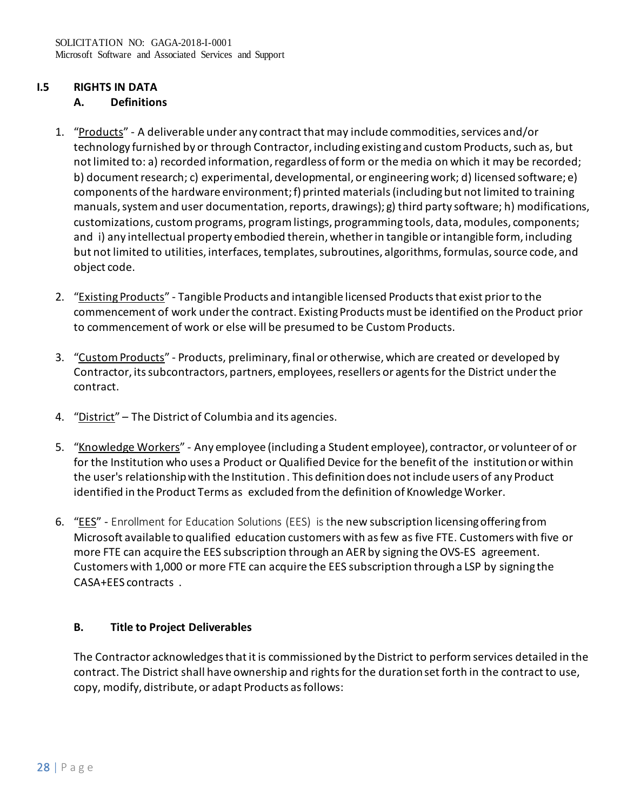# **I.5 RIGHTS IN DATA**

## **A. Definitions**

- 1. "Products" A deliverable under any contract that may include commodities, services and/or technology furnished by or through Contractor, including existing and custom Products, such as, but not limited to: a) recorded information, regardless of form or the media on which it may be recorded; b) document research; c) experimental, developmental, or engineering work; d) licensed software; e) components of the hardware environment; f) printed materials (including but not limited to training manuals, system and user documentation, reports, drawings); g) third party software; h) modifications, customizations, custom programs, program listings, programming tools, data, modules, components; and i) any intellectual property embodied therein, whether in tangible or intangible form, including but not limited to utilities, interfaces, templates, subroutines, algorithms, formulas, source code, and object code.
- 2. "Existing Products" Tangible Products and intangible licensed Products that exist prior to the commencement of work under the contract. Existing Products must be identified on the Product prior to commencement of work or else will be presumed to be Custom Products.
- 3. "Custom Products" Products, preliminary, final or otherwise, which are created or developed by Contractor, its subcontractors, partners, employees, resellers or agents for the District under the contract.
- 4. "District" The District of Columbia and its agencies.
- 5. "Knowledge Workers" Any employee (including a Student employee), contractor, or volunteer of or for the Institution who uses a Product or Qualified Device for the benefit of the institution or within the user's relationship with the Institution. This definition does not include users of any Product identified in the Product Terms as excluded from the definition of Knowledge Worker.
- 6. "EES" Enrollment for Education Solutions (EES) is the new subscription licensing offering from Microsoft available to qualified education customers with as few as five FTE. Customers with five or more FTE can acquire the EES subscription through an AER by signing the OVS-ES agreement. Customers with 1,000 or more FTE can acquire the EES subscription through a LSP by signing the CASA+EES contracts .

# **B. Title to Project Deliverables**

The Contractor acknowledges that it is commissioned by the District to perform services detailed in the contract. The District shall have ownership and rights for the duration set forth in the contract to use, copy, modify, distribute, or adapt Products as follows: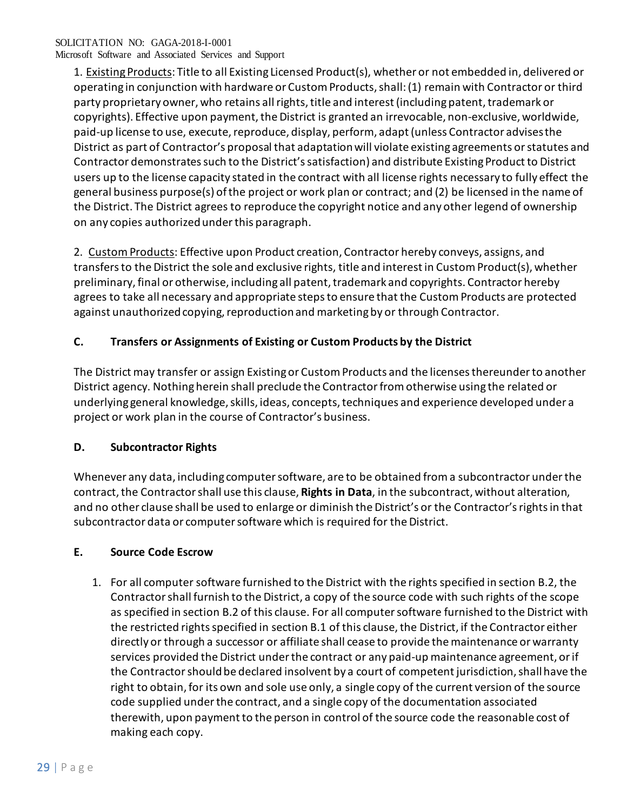Microsoft Software and Associated Services and Support

1. Existing Products: Title to all Existing Licensed Product(s), whether or not embedded in, delivered or operating in conjunction with hardware or Custom Products, shall: (1) remain with Contractor or third party proprietary owner, who retains all rights, title and interest (including patent, trademark or copyrights). Effective upon payment, the District is granted an irrevocable, non-exclusive, worldwide, paid-up license to use, execute, reproduce, display, perform, adapt (unless Contractor advises the District as part of Contractor's proposal that adaptation will violate existing agreements or statutes and Contractor demonstrates such to the District's satisfaction) and distribute Existing Product to District users up to the license capacity stated in the contract with all license rights necessary to fully effect the general business purpose(s) of the project or work plan or contract; and (2) be licensed in the name of the District. The District agrees to reproduce the copyright notice and any other legend of ownership on any copies authorized under this paragraph.

2. Custom Products: Effective upon Product creation, Contractor hereby conveys, assigns, and transfers to the District the sole and exclusive rights, title and interest in Custom Product(s), whether preliminary, final or otherwise, including all patent, trademark and copyrights. Contractor hereby agrees to take all necessary and appropriate steps to ensure that the Custom Products are protected against unauthorized copying, reproduction and marketing by or through Contractor.

# **C. Transfers or Assignments of Existing or Custom Products by the District**

The District may transfer or assign Existing or Custom Products and the licenses thereunder to another District agency. Nothing herein shall preclude the Contractor from otherwise using the related or underlying general knowledge, skills, ideas, concepts, techniques and experience developed under a project or work plan in the course of Contractor's business.

## **D. Subcontractor Rights**

Whenever any data, including computer software, are to be obtained from a subcontractor under the contract, the Contractor shall use this clause, **Rights in Data**, in the subcontract, without alteration, and no other clause shall be used to enlarge or diminish the District's or the Contractor's rights in that subcontractor data or computer software which is required for the District.

## **E. Source Code Escrow**

1. For all computer software furnished to the District with the rights specified in section B.2, the Contractor shall furnish to the District, a copy of the source code with such rights of the scope as specified in section B.2 of this clause. For all computer software furnished to the District with the restricted rights specified in section B.1 of this clause, the District, if the Contractor either directly or through a successor or affiliate shall cease to provide the maintenance or warranty services provided the District under the contract or any paid-up maintenance agreement, or if the Contractor should be declared insolvent by a court of competent jurisdiction, shall have the right to obtain, for its own and sole use only, a single copy of the current version of the source code supplied under the contract, and a single copy of the documentation associated therewith, upon payment to the person in control of the source code the reasonable cost of making each copy.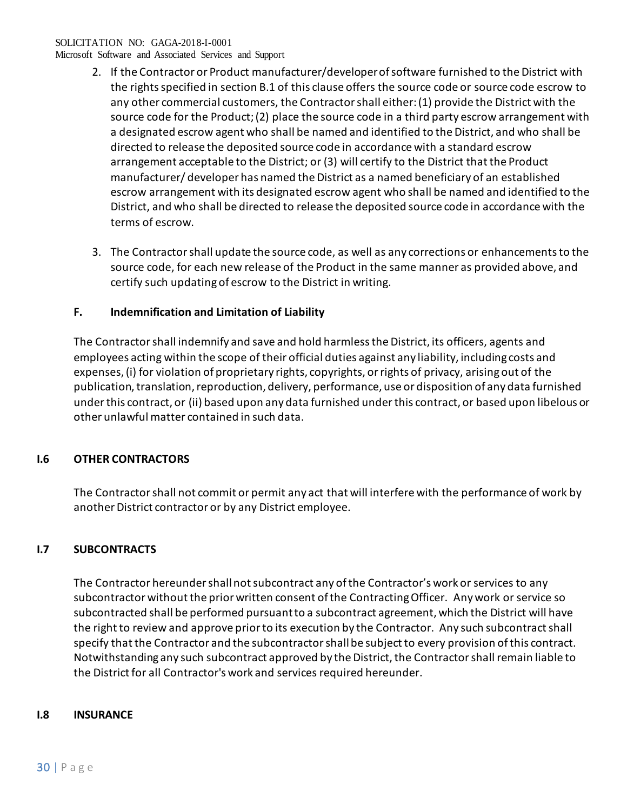Microsoft Software and Associated Services and Support

- 2. If the Contractor or Product manufacturer/developer of software furnished to the District with the rights specified in section B.1 of this clause offers the source code or source code escrow to any other commercial customers, the Contractor shall either: (1) provide the District with the source code for the Product; (2) place the source code in a third party escrow arrangement with a designated escrow agent who shall be named and identified to the District, and who shall be directed to release the deposited source code in accordance with a standard escrow arrangement acceptable to the District; or (3) will certify to the District that the Product manufacturer/ developer has named the District as a named beneficiary of an established escrow arrangement with its designated escrow agent who shall be named and identified to the District, and who shall be directed to release the deposited source code in accordance with the terms of escrow.
- 3. The Contractor shall update the source code, as well as any corrections or enhancements to the source code, for each new release of the Product in the same manner as provided above, and certify such updating of escrow to the District in writing.

## **F. Indemnification and Limitation of Liability**

The Contractor shall indemnify and save and hold harmless the District, its officers, agents and employees acting within the scope of their official duties against any liability, including costs and expenses, (i) for violation of proprietary rights, copyrights, or rights of privacy, arising out of the publication, translation, reproduction, delivery, performance, use or disposition of any data furnished under this contract, or (ii) based upon any data furnished under this contract, or based upon libelous or other unlawful matter contained in such data.

# **I.6 OTHER CONTRACTORS**

The Contractor shall not commit or permit any act that will interfere with the performance of work by another District contractor or by any District employee.

# **I.7 SUBCONTRACTS**

The Contractor hereunder shall not subcontract any of the Contractor's work or services to any subcontractor without the prior written consent of the Contracting Officer. Any work or service so subcontracted shall be performed pursuant to a subcontract agreement, which the District will have the right to review and approve prior to its execution by the Contractor. Any such subcontract shall specify that the Contractor and the subcontractor shall be subject to every provision of this contract. Notwithstanding any such subcontract approved by the District, the Contractor shall remain liable to the District for all Contractor's work and services required hereunder.

## **I.8 INSURANCE**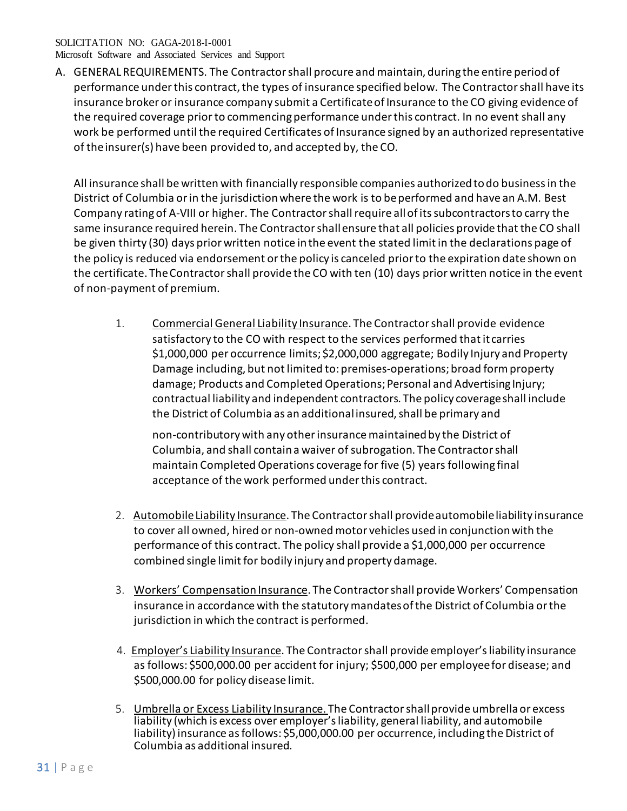Microsoft Software and Associated Services and Support

A. GENERAL REQUIREMENTS. The Contractor shall procure and maintain, during the entire period of performance under this contract, the types of insurance specified below. The Contractor shall have its insurance broker or insurance company submit a Certificateof Insurance to the CO giving evidence of the required coverage prior to commencing performance under this contract. In no event shall any work be performed until the required Certificates of Insurance signed by an authorized representative of theinsurer(s) have been provided to, and accepted by, the CO.

All insurance shall be written with financially responsible companies authorized todo business in the District of Columbia or in the jurisdiction where the work is to beperformed and have an A.M. Best Company rating of A-VIII or higher. The Contractor shall require allof its subcontractors to carry the same insurance required herein. The Contractor shallensure that all policies provide that the CO shall be given thirty (30) days prior written notice inthe event the stated limit in the declarations page of the policy is reduced via endorsement or the policy is canceled prior to the expiration date shown on the certificate. TheContractor shall provide the CO with ten (10) days prior written notice in the event of non-payment of premium.

1. Commercial General Liability Insurance. The Contractor shall provide evidence satisfactory to the CO with respect to the services performed that it carries \$1,000,000 per occurrence limits; \$2,000,000 aggregate; Bodily Injury and Property Damage including, but not limited to: premises-operations; broad form property damage; Products and Completed Operations; Personal and Advertising Injury; contractual liability and independent contractors. The policy coverageshall include the District of Columbia as an additional insured, shall be primary and

non-contributory with any other insurance maintained by the District of Columbia, and shall contain a waiver of subrogation. The Contractorshall maintain Completed Operations coverage for five (5) years following final acceptance of the work performed under this contract.

- 2. Automobile Liability Insurance. The Contractor shall provide automobileliability insurance to cover all owned, hired or non-owned motor vehicles used in conjunction with the performance of this contract. The policy shall provide a \$1,000,000 per occurrence combined single limit for bodily injury and property damage.
- 3. Workers' Compensation Insurance. The Contractor shall provide Workers' Compensation insurance in accordance with the statutory mandates of the District of Columbia or the jurisdiction in which the contract is performed.
- 4. Employer's Liability Insurance. The Contractor shall provide employer'sliability insurance as follows: \$500,000.00 per accident for injury; \$500,000 per employeefor disease; and \$500,000.00 for policy disease limit.
- 5. Umbrella or Excess Liability Insurance. The Contractor shall provide umbrellaor excess liability (which is excess over employer's liability, general liability, and automobile liability) insurance as follows: \$5,000,000.00 per occurrence, including the District of Columbia as additional insured.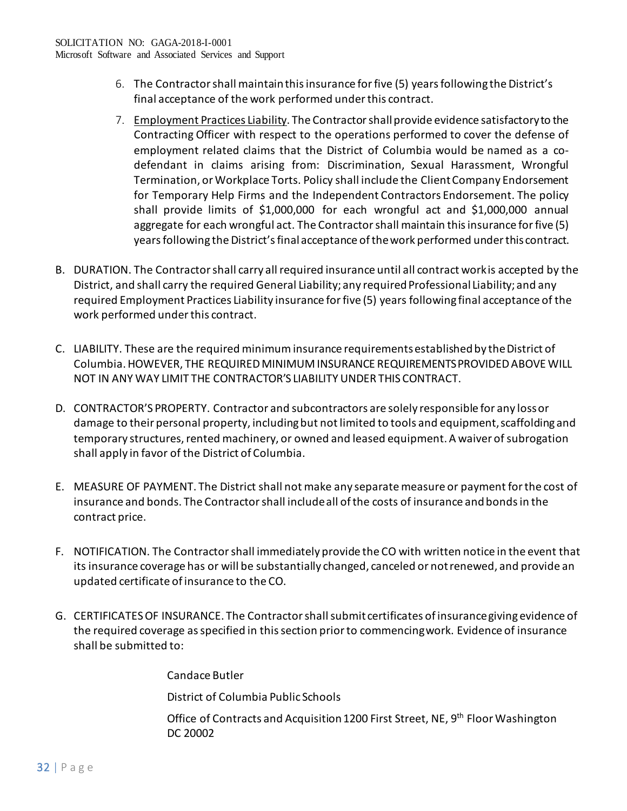- 6. The Contractor shall maintain this insurance for five (5) years following the District's final acceptance of the work performed under this contract.
- 7. Employment Practices Liability. The Contractor shall provide evidence satisfactoryto the Contracting Officer with respect to the operations performed to cover the defense of employment related claims that the District of Columbia would be named as a codefendant in claims arising from: Discrimination, Sexual Harassment, Wrongful Termination, or Workplace Torts. Policy shall include the ClientCompany Endorsement for Temporary Help Firms and the Independent Contractors Endorsement. The policy shall provide limits of \$1,000,000 for each wrongful act and \$1,000,000 annual aggregate for each wrongful act. The Contractor shall maintain this insurance for five (5) years following the District's final acceptance of thework performed under this contract.
- B. DURATION. The Contractor shall carry all required insurance until all contract workis accepted by the District, and shall carry the required General Liability; any required Professional Liability; and any required Employment Practices Liability insurance for five (5) years following final acceptance of the work performed under this contract.
- C. LIABILITY. These are the required minimum insurance requirements established by the District of Columbia. HOWEVER, THE REQUIRED MINIMUM INSURANCE REQUIREMENTSPROVIDEDABOVE WILL NOT IN ANY WAY LIMIT THE CONTRACTOR'S LIABILITY UNDER THIS CONTRACT.
- D. CONTRACTOR'S PROPERTY. Contractor and subcontractors are solely responsible for any lossor damage to their personal property, including but not limited to tools and equipment,scaffolding and temporary structures, rented machinery, or owned and leased equipment. A waiver of subrogation shall apply in favor of the District of Columbia.
- E. MEASURE OF PAYMENT. The District shall not make any separate measure or payment forthe cost of insurance and bonds. The Contractor shall include all of the costs of insurance andbonds in the contract price.
- F. NOTIFICATION. The Contractor shall immediately provide the CO with written notice in the event that its insurance coverage has or will be substantially changed, canceled or notrenewed, and provide an updated certificate of insurance to the CO.
- G. CERTIFICATES OF INSURANCE. The Contractor shall submit certificates of insurancegiving evidence of the required coverage as specified in this section prior to commencingwork. Evidence of insurance shall be submitted to:

Candace Butler

District of Columbia Public Schools

Office of Contracts and Acquisition 1200 First Street, NE, 9<sup>th</sup> Floor Washington DC 20002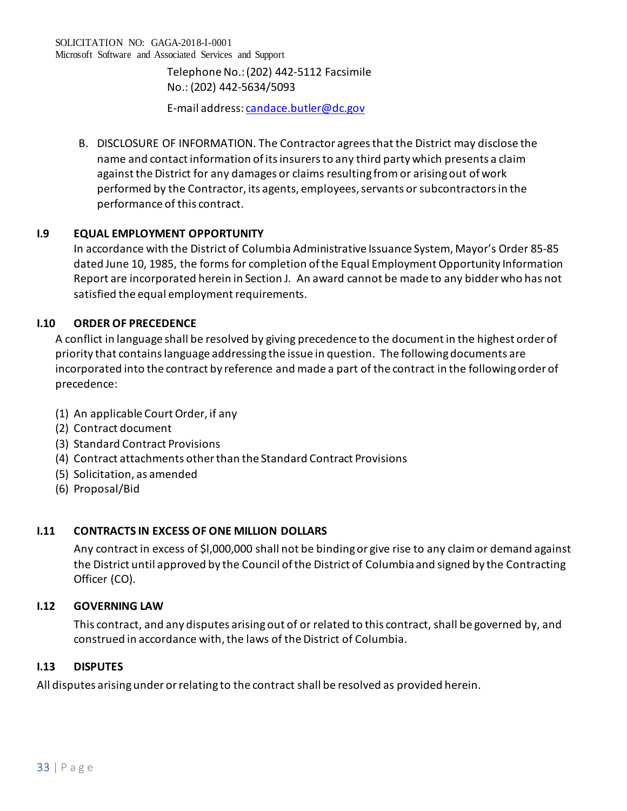Telephone No.: (202) 442-5112 Facsimile No.: (202) 442-5634/5093

E-mail address: [candace.butler@dc.gov](mailto:candace.butler@dc.gov)

B. DISCLOSURE OF INFORMATION. The Contractor agrees that the District may disclose the name and contact information of its insurers to any third party which presents a claim against the District for any damages or claims resulting from or arising out of work performed by the Contractor, its agents, employees, servants or subcontractors in the performance of this contract.

# **I.9 EQUAL EMPLOYMENT OPPORTUNITY**

In accordance with the District of Columbia Administrative Issuance System, Mayor's Order 85-85 dated June 10, 1985, the forms for completion of the Equal Employment Opportunity Information Report are incorporated herein in Section J. An award cannot be made to any bidder who has not satisfied the equal employment requirements.

# **I.10 ORDER OF PRECEDENCE**

A conflict in language shall be resolved by giving precedence to the document in the highest order of priority that contains language addressing the issue in question. The following documents are incorporated into the contract by reference and made a part of the contract in the following order of precedence:

- (1) An applicable Court Order, if any
- (2) Contract document
- (3) Standard Contract Provisions
- (4) Contract attachments other than the Standard Contract Provisions
- (5) Solicitation, as amended
- (6) Proposal/Bid

# **I.11 CONTRACTS IN EXCESS OF ONE MILLION DOLLARS**

Any contract in excess of \$l,000,000 shall not be binding or give rise to any claim or demand against the District until approved by the Council of the District of Columbia and signed by the Contracting Officer (CO).

# **I.12 GOVERNING LAW**

This contract, and any disputes arising out of or related to this contract, shall be governed by, and construed in accordance with, the laws of the District of Columbia.

# **I.13 DISPUTES**

All disputes arising under or relating to the contract shall be resolved as provided herein.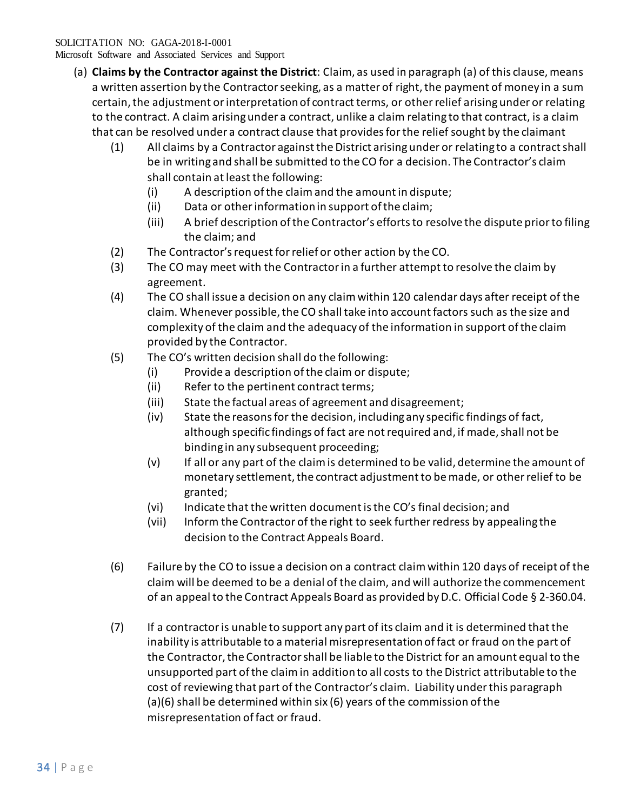Microsoft Software and Associated Services and Support

- (a) **Claims by the Contractor against the District**: Claim, as used in paragraph (a) of this clause, means a written assertion by the Contractor seeking, as a matter of right, the payment of money in a sum certain, the adjustment or interpretation of contract terms, or other relief arising under or relating to the contract. A claim arising under a contract, unlike a claim relating to that contract, is a claim that can be resolved under a contract clause that provides for the relief sought by the claimant
	- (1) All claims by a Contractor against the District arising under or relating to a contract shall be in writing and shall be submitted to the CO for a decision. The Contractor's claim shall contain at least the following:
		- (i) A description of the claim and the amount in dispute;
		- (ii) Data or other information in support of the claim;
		- (iii) A brief description of the Contractor's efforts to resolve the dispute prior to filing the claim; and
	- (2) The Contractor's request for relief or other action by the CO.
	- (3) The CO may meet with the Contractor in a further attempt to resolve the claim by agreement.
	- (4) The CO shall issue a decision on any claim within 120 calendar days after receipt of the claim. Whenever possible, the CO shall take into account factors such as the size and complexity of the claim and the adequacy of the information in support of the claim provided by the Contractor.
	- (5) The CO's written decision shall do the following:
		- (i) Provide a description of the claim or dispute;
		- (ii) Refer to the pertinent contract terms;
		- (iii) State the factual areas of agreement and disagreement;
		- (iv) State the reasons for the decision, including any specific findings of fact, although specific findings of fact are not required and, if made, shall not be binding in any subsequent proceeding;
		- (v) If all or any part of the claim is determined to be valid, determine the amount of monetary settlement, the contract adjustment to be made, or other relief to be granted;
		- (vi) Indicate that the written document is the CO's final decision; and
		- (vii) Inform the Contractor of the right to seek further redress by appealing the decision to the Contract Appeals Board.
	- (6) Failure by the CO to issue a decision on a contract claim within 120 days of receipt of the claim will be deemed to be a denial of the claim, and will authorize the commencement of an appeal to the Contract Appeals Board as provided by D.C. Official Code § 2-360.04.
	- (7) If a contractor is unable to support any part of its claim and it is determined that the inability is attributable to a material misrepresentation of fact or fraud on the part of the Contractor, the Contractor shall be liable to the District for an amount equal to the unsupported part of the claim in addition to all costs to the District attributable to the cost of reviewing that part of the Contractor's claim. Liability under this paragraph (a)(6) shall be determined within six (6) years of the commission of the misrepresentation of fact or fraud.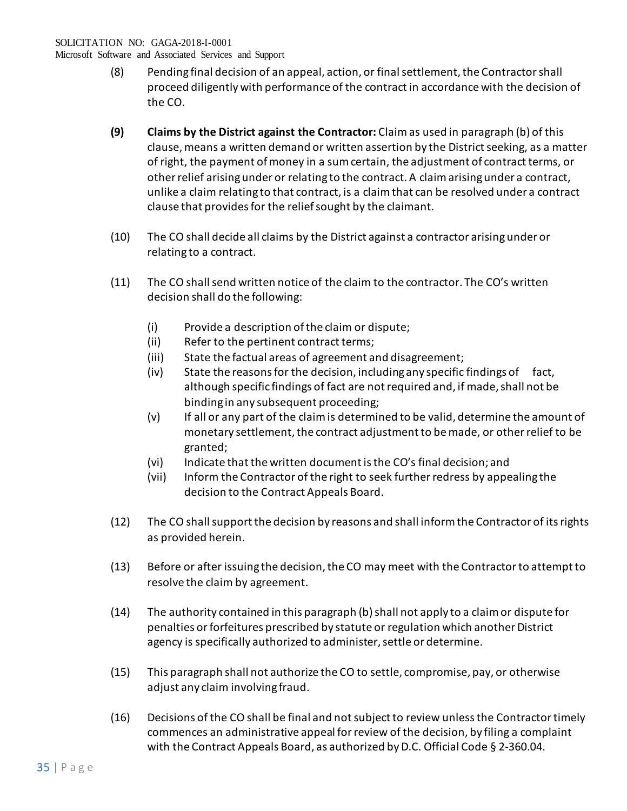Microsoft Software and Associated Services and Support

- (8) Pending final decision of an appeal, action, or final settlement, the Contractor shall proceed diligently with performance of the contract in accordance with the decision of the CO.
- **(9) Claims by the District against the Contractor:** Claim as used in paragraph (b) of this clause, means a written demand or written assertion by the District seeking, as a matter of right, the payment of money in a sum certain, the adjustment of contract terms, or other relief arising under or relating to the contract. A claim arising under a contract, unlike a claim relating to that contract, is a claim that can be resolved under a contract clause that provides for the relief sought by the claimant.
- (10) The CO shall decide all claims by the District against a contractor arising under or relating to a contract.
- (11) The CO shall send written notice of the claim to the contractor. The CO's written decision shall do the following:
	- (i) Provide a description of the claim or dispute;
	- (ii) Refer to the pertinent contract terms;
	- (iii) State the factual areas of agreement and disagreement;
	- (iv) State the reasons for the decision, including any specific findings of fact, although specific findings of fact are not required and, if made, shall not be binding in any subsequent proceeding;
	- (v) If all or any part of the claim is determined to be valid, determine the amount of monetary settlement, the contract adjustment to be made, or other relief to be granted;
	- (vi) Indicate that the written document is the CO's final decision; and
	- (vii) Inform the Contractor of the right to seek further redress by appealing the decision to the Contract Appeals Board.
- (12) The CO shall support the decision by reasons and shall inform the Contractor of its rights as provided herein.
- (13) Before or after issuing the decision, the CO may meet with the Contractor to attempt to resolve the claim by agreement.
- (14) The authority contained in this paragraph (b) shall not apply to a claim or dispute for penalties or forfeitures prescribed by statute or regulation which another District agency is specifically authorized to administer, settle or determine.
- (15) This paragraph shall not authorize the CO to settle, compromise, pay, or otherwise adjust any claim involving fraud.
- (16) Decisions of the CO shall be final and not subject to review unless the Contractor timely commences an administrative appeal for review of the decision, by filing a complaint with the Contract Appeals Board, as authorized by D.C. Official Code § 2-360.04.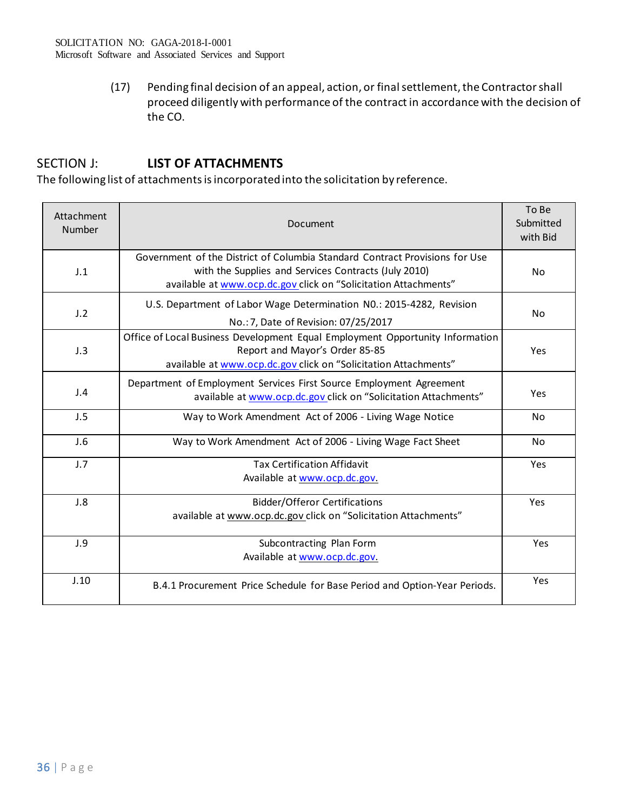(17) Pending final decision of an appeal, action, or final settlement, the Contractor shall proceed diligently with performance of the contract in accordance with the decision of the CO.

# SECTION J: **LIST OF ATTACHMENTS**

The following list of attachments is incorporated into the solicitation by reference.

| Attachment<br>Number | Document                                                                                                                                                                                               | To Be<br>Submitted<br>with Bid |
|----------------------|--------------------------------------------------------------------------------------------------------------------------------------------------------------------------------------------------------|--------------------------------|
| J.1                  | Government of the District of Columbia Standard Contract Provisions for Use<br>with the Supplies and Services Contracts (July 2010)<br>available at www.ocp.dc.gov click on "Solicitation Attachments" | N <sub>o</sub>                 |
| J.2                  | U.S. Department of Labor Wage Determination N0.: 2015-4282, Revision<br>No.: 7, Date of Revision: 07/25/2017                                                                                           | N <sub>o</sub>                 |
| J.3                  | Office of Local Business Development Equal Employment Opportunity Information<br>Report and Mayor's Order 85-85<br>available at www.ocp.dc.gov_click on "Solicitation Attachments"                     | Yes                            |
| J.4                  | Department of Employment Services First Source Employment Agreement<br>available at www.ocp.dc.gov_click on "Solicitation Attachments"                                                                 | Yes                            |
| J.5                  | Way to Work Amendment Act of 2006 - Living Wage Notice                                                                                                                                                 | No                             |
| J.6                  | Way to Work Amendment Act of 2006 - Living Wage Fact Sheet                                                                                                                                             | No.                            |
| J.7                  | <b>Tax Certification Affidavit</b><br>Available at www.ocp.dc.gov.                                                                                                                                     | Yes                            |
| J.8                  | <b>Bidder/Offeror Certifications</b><br>available at www.ocp.dc.gov click on "Solicitation Attachments"                                                                                                | Yes                            |
| J.9                  | Subcontracting Plan Form<br>Available at www.ocp.dc.gov.                                                                                                                                               | Yes                            |
| J.10                 | B.4.1 Procurement Price Schedule for Base Period and Option-Year Periods.                                                                                                                              | Yes                            |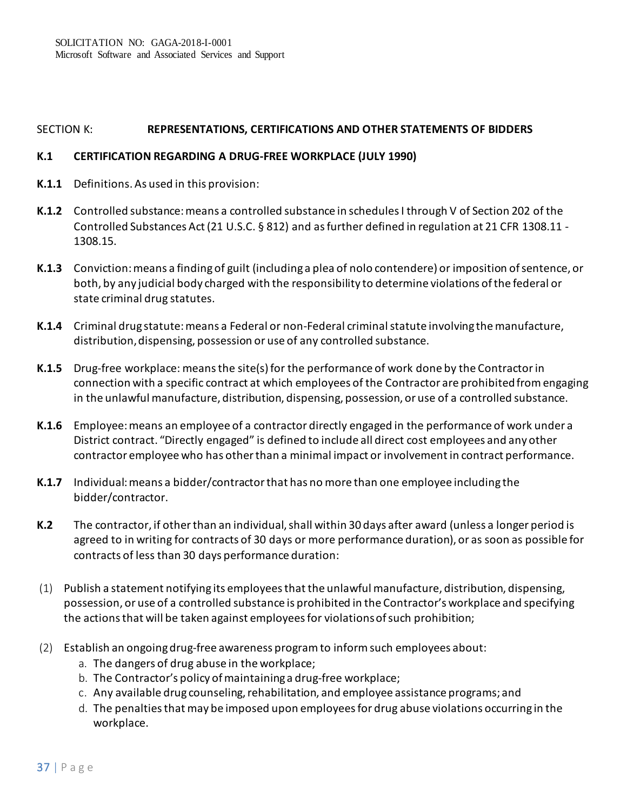### SECTION K: **REPRESENTATIONS, CERTIFICATIONS AND OTHER STATEMENTS OF BIDDERS**

#### **K.1 CERTIFICATION REGARDING A DRUG-FREE WORKPLACE (JULY 1990)**

- **K.1.1** Definitions. As used in this provision:
- **K.1.2** Controlled substance: means a controlled substance in schedules I through V of Section 202 of the Controlled Substances Act (21 U.S.C. § 812) and as further defined in regulation at 21 CFR 1308.11 - 1308.15.
- **K.1.3** Conviction: means a finding of guilt (including a plea of nolo contendere) or imposition of sentence, or both, by any judicial body charged with the responsibility to determine violations of the federal or state criminal drug statutes.
- **K.1.4** Criminal drug statute: means a Federal or non-Federal criminal statute involving the manufacture, distribution, dispensing, possession or use of any controlled substance.
- **K.1.5** Drug-free workplace: means the site(s) for the performance of work done by the Contractor in connection with a specific contract at which employees of the Contractor are prohibited from engaging in the unlawful manufacture, distribution, dispensing, possession, or use of a controlled substance.
- **K.1.6** Employee: means an employee of a contractor directly engaged in the performance of work under a District contract. "Directly engaged" is defined to include all direct cost employees and any other contractor employee who has other than a minimal impact or involvement in contract performance.
- **K.1.7** Individual: means a bidder/contractor that has no more than one employee including the bidder/contractor.
- **K.2** The contractor, if other than an individual, shall within 30 days after award (unless a longer period is agreed to in writing for contracts of 30 days or more performance duration), or as soon as possible for contracts of less than 30 days performance duration:
- (1) Publish a statement notifying its employees that the unlawful manufacture, distribution, dispensing, possession, or use of a controlled substance is prohibited in the Contractor's workplace and specifying the actions that will be taken against employees for violations of such prohibition;
- (2) Establish an ongoing drug-free awareness program to inform such employees about:
	- a. The dangers of drug abuse in the workplace;
	- b. The Contractor's policy of maintaining a drug-free workplace;
	- c. Any available drug counseling, rehabilitation, and employee assistance programs; and
	- d. The penalties that may be imposed upon employees for drug abuse violations occurring in the workplace.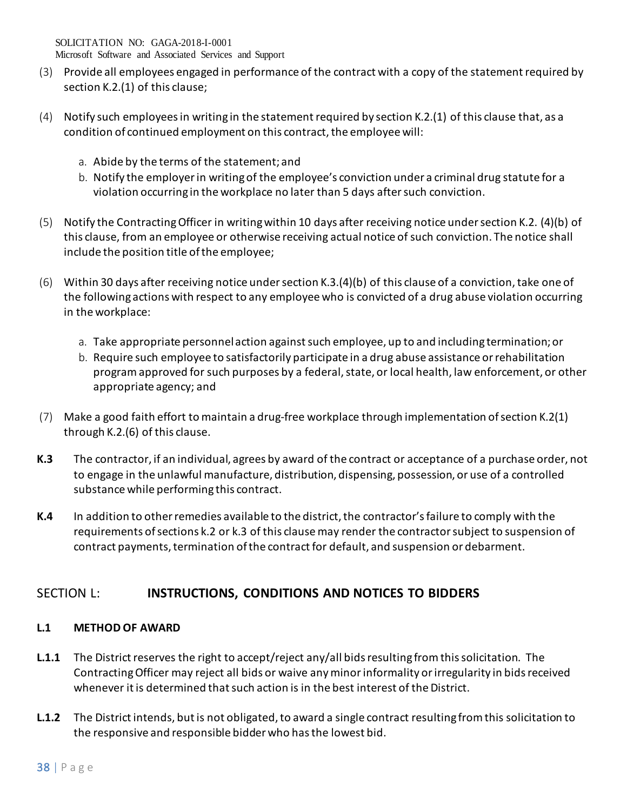Microsoft Software and Associated Services and Support

- (3) Provide all employees engaged in performance of the contract with a copy of the statement required by section K.2.(1) of this clause;
- (4) Notify such employees in writing in the statement required by section K.2.(1) of this clause that, as a condition of continued employment on this contract, the employee will:
	- a. Abide by the terms of the statement; and
	- b. Notify the employer in writing of the employee's conviction under a criminal drug statute for a violation occurring in the workplace no later than 5 days after such conviction.
- (5) Notify the Contracting Officer in writing within 10 days after receiving notice under section K.2. (4)(b) of this clause, from an employee or otherwise receiving actual notice of such conviction. The notice shall include the position title of the employee;
- (6) Within 30 days after receiving notice under section K.3.(4)(b) of this clause of a conviction, take one of the following actions with respect to any employee who is convicted of a drug abuse violation occurring in the workplace:
	- a. Take appropriate personnel action against such employee, up to and including termination; or
	- b. Require such employee to satisfactorily participate in a drug abuse assistance or rehabilitation program approved for such purposes by a federal, state, or local health, law enforcement, or other appropriate agency; and
- (7) Make a good faith effort to maintain a drug-free workplace through implementation of section K.2(1) through K.2.(6) of this clause.
- **K.3** The contractor, if an individual, agrees by award of the contract or acceptance of a purchase order, not to engage in the unlawful manufacture, distribution, dispensing, possession, or use of a controlled substance while performing this contract.
- **K.4** In addition to other remedies available to the district, the contractor's failure to comply with the requirements ofsections k.2 or k.3 of this clausemay render the contractorsubject to suspension of contract payments, termination of the contract for default, and suspension or debarment.

# SECTION L: **INSTRUCTIONS, CONDITIONS AND NOTICES TO BIDDERS**

# **L.1 METHOD OF AWARD**

- **L.1.1** The District reserves the right to accept/reject any/all bids resulting from this solicitation. The Contracting Officer may reject all bids or waive any minor informality or irregularity in bids received whenever it is determined that such action is in the best interest of the District.
- **L.1.2** The District intends, but is not obligated, to award a single contract resulting from this solicitation to the responsive and responsible bidder who hasthe lowest bid.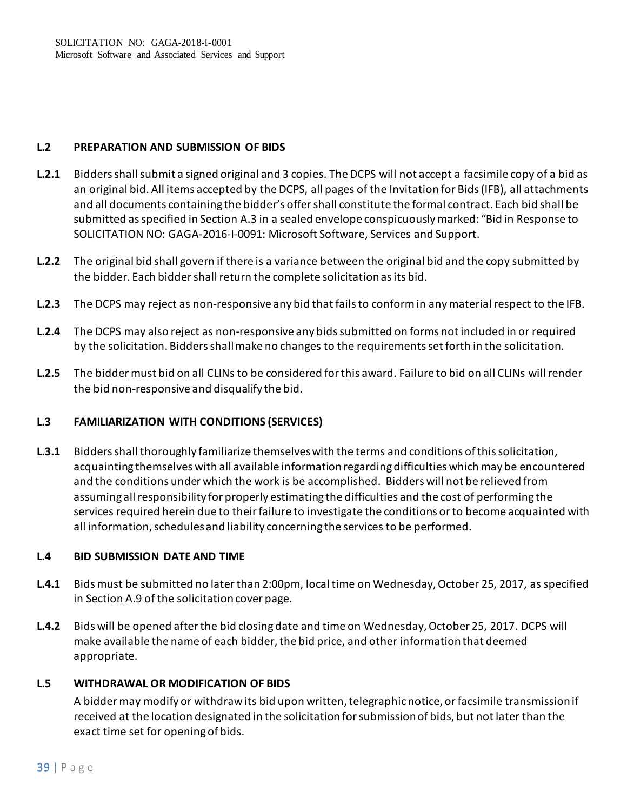## **L.2 PREPARATION AND SUBMISSION OF BIDS**

- **L.2.1** Bidders shall submit a signed original and 3 copies. The DCPS will not accept a facsimile copy of a bid as an original bid. All items accepted by the DCPS, all pages of the Invitation for Bids (IFB), all attachments and all documents containing the bidder's offer shall constitute the formal contract. Each bid shall be submitted as specified in Section A.3 in a sealed envelope conspicuously marked: "Bid in Response to SOLICITATION NO: GAGA-2016-I-0091: Microsoft Software, Services and Support.
- **L.2.2** The original bid shall govern if there is a variance between the original bid and the copy submitted by the bidder. Each bidder shall return the complete solicitation as its bid.
- **L.2.3** The DCPS may reject as non-responsive any bid that fails to conform in any material respect to the IFB.
- **L.2.4** The DCPS may also reject as non-responsive any bids submitted on forms not included in or required by the solicitation. Bidders shall make no changes to the requirements set forth in the solicitation.
- **L.2.5** The bidder must bid on all CLINs to be considered for this award. Failure to bid on all CLINs will render the bid non-responsive and disqualify the bid.

## **L.3 FAMILIARIZATION WITH CONDITIONS (SERVICES)**

**L.3.1** Bidders shall thoroughly familiarize themselves with the terms and conditions of this solicitation, acquainting themselves with all available information regarding difficulties which may be encountered and the conditions under which the work is be accomplished. Bidders will not be relieved from assuming all responsibility for properly estimating the difficulties and the cost of performing the services required herein due to their failure to investigate the conditions or to become acquainted with all information, schedules and liability concerning the services to be performed.

## **L.4 BID SUBMISSION DATE AND TIME**

- **L.4.1** Bids must be submitted no later than 2:00pm, local time on Wednesday, October 25, 2017, as specified in Section A.9 of the solicitation cover page.
- **L.4.2** Bids will be opened after the bid closing date and time on Wednesday, October 25, 2017. DCPS will make available the name of each bidder, the bid price, and other information that deemed appropriate.

## **L.5 WITHDRAWAL OR MODIFICATION OF BIDS**

A bidder may modify or withdraw its bid upon written, telegraphic notice, or facsimile transmission if received at the location designated in the solicitation for submission of bids, but not later than the exact time set for opening of bids.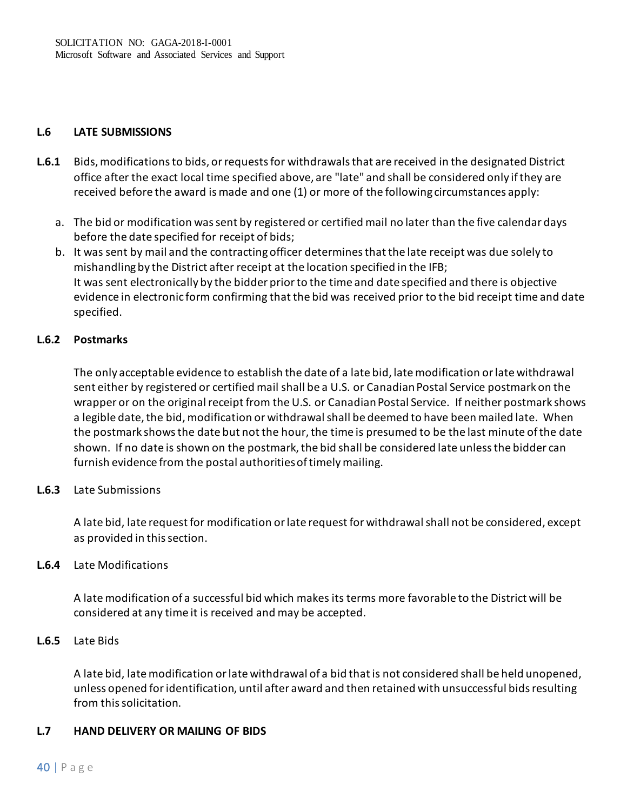## **L.6 LATE SUBMISSIONS**

- **L.6.1** Bids, modifications to bids, or requests for withdrawals that are received in the designated District office after the exact local time specified above, are "late" and shall be considered only if they are received before the award is made and one (1) or more of the following circumstances apply:
	- a. The bid or modification was sent by registered or certified mail no later than the five calendar days before the date specified for receipt of bids;
	- b. It was sent by mail and the contracting officer determines that the late receipt was due solely to mishandling by the District after receipt at the location specified in the IFB; It was sent electronically by the bidder prior to the time and date specified and there is objective evidence in electronic form confirming that the bid was received prior to the bid receipt time and date specified.

## **L.6.2 Postmarks**

The only acceptable evidence to establish the date of a late bid, late modification or late withdrawal sent either by registered or certified mail shall be a U.S. or Canadian Postal Service postmark on the wrapper or on the original receipt from the U.S. or Canadian Postal Service. If neither postmark shows a legible date, the bid, modification or withdrawal shall be deemed to have been mailed late. When the postmark shows the date but not the hour, the time is presumed to be the last minute of the date shown. If no date is shown on the postmark, the bid shall be considered late unless the bidder can furnish evidence from the postal authorities of timely mailing.

# **L.6.3** Late Submissions

A late bid, late request for modification or late request for withdrawal shall not be considered, except as provided in this section.

## **L.6.4** Late Modifications

A late modification of a successful bid which makes its terms more favorable to the District will be considered at any time it is received and may be accepted.

## **L.6.5** Late Bids

A late bid, late modification or late withdrawal of a bid that is not considered shall be held unopened, unless opened for identification, until after award and then retained with unsuccessful bids resulting from this solicitation.

## **L.7 HAND DELIVERY OR MAILING OF BIDS**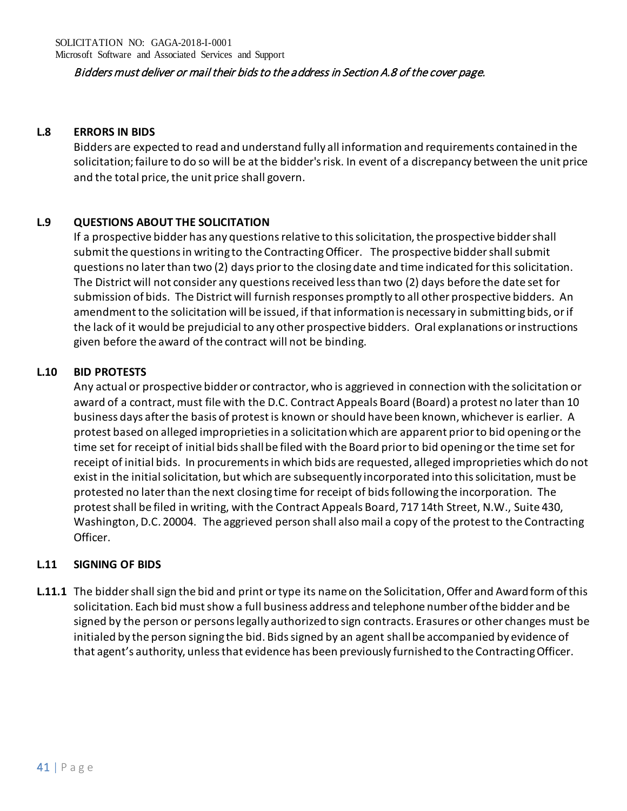## Bidders must deliver or mail their bids to the address in Section A.8 of the cover page.

## **L.8 ERRORS IN BIDS**

Bidders are expected to read and understand fully all information and requirements contained in the solicitation; failure to do so will be at the bidder's risk. In event of a discrepancy between the unit price and the total price, the unit price shall govern.

# **L.9 QUESTIONS ABOUT THE SOLICITATION**

If a prospective bidder has any questions relative to this solicitation, the prospective bidder shall submit the questions in writing to the Contracting Officer. The prospective bidder shall submit questions no later than two (2) days prior to the closing date and time indicated for this solicitation. The District will not consider any questions received less than two (2) days before the date set for submission of bids. The District will furnish responses promptly to all other prospective bidders. An amendment to the solicitation will be issued, if that information is necessary in submitting bids, or if the lack of it would be prejudicial to any other prospective bidders. Oral explanations or instructions given before the award of the contract will not be binding.

## **L.10 BID PROTESTS**

Any actual or prospective bidder or contractor, who is aggrieved in connection with the solicitation or award of a contract, must file with the D.C. Contract Appeals Board (Board) a protest no later than 10 business days after the basis of protest is known or should have been known, whichever is earlier. A protest based on alleged improprieties in a solicitation which are apparent prior to bid opening or the time set for receipt of initial bids shall be filed with the Board prior to bid opening or the time set for receipt of initial bids. In procurements in which bids are requested, alleged improprieties which do not exist in the initial solicitation, but which are subsequently incorporated into this solicitation, must be protested no later than the next closing time for receipt of bids following the incorporation. The protest shall be filed in writing, with the Contract Appeals Board, 717 14th Street, N.W., Suite 430, Washington, D.C. 20004. The aggrieved person shall also mail a copy of the protest to the Contracting Officer.

## **L.11 SIGNING OF BIDS**

**L.11.1** The bidder shall sign the bid and print or type its name on the Solicitation, Offer and Awardform of this solicitation. Each bid must show a full business address and telephone number ofthe bidder and be signed by the person or persons legally authorized to sign contracts. Erasures or other changes must be initialed by the person signing the bid. Bids signed by an agent shallbe accompanied by evidence of that agent's authority, unless that evidence has been previously furnished to the ContractingOfficer.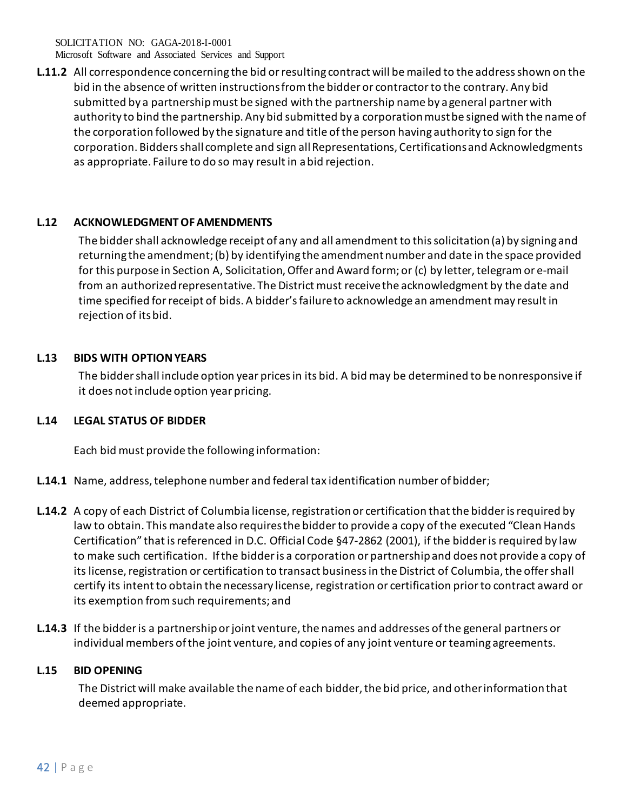Microsoft Software and Associated Services and Support

**L.11.2** All correspondence concerning the bid or resulting contract will be mailed to the address shown on the bid in the absence of written instructionsfromthe bidder or contractorto the contrary. Any bid submitted by a partnership must be signed with the partnership name by a general partner with authority to bind the partnership. Any bid submitted by a corporation mustbe signed with the name of the corporation followed by the signature and title ofthe person having authority to sign for the corporation. Bidders shall complete and sign allRepresentations, Certifications and Acknowledgments as appropriate. Failure to do so may result in abid rejection.

## **L.12 ACKNOWLEDGMENT OFAMENDMENTS**

The biddershall acknowledge receipt of any and all amendmentto thissolicitation(a) by signing and returning the amendment;(b) by identifying the amendmentnumber and date in the space provided for this purpose in Section A, Solicitation, Offer and Award form; or (c) by letter, telegram or e-mail from an authorized representative. The District must receivethe acknowledgment by the date and time specified for receipt of bids. A bidder's failureto acknowledge an amendment may result in rejection of itsbid.

## **L.13 BIDS WITH OPTIONYEARS**

The bidder shall include option year prices in its bid. A bid may be determined to be nonresponsive if it does not include option year pricing.

## **L.14 LEGAL STATUS OF BIDDER**

Each bid must provide the following information:

- **L.14.1** Name, address, telephone number and federal tax identification number of bidder;
- **L.14.2** A copy of each District of Columbia license, registration or certification that the bidderis required by law to obtain. This mandate also requires the bidderto provide a copy of the executed "Clean Hands Certification" that is referenced in D.C. Official Code §47-2862 (2001), if the bidderis required by law to make such certification. If the bidderis a corporation or partnership and does not provide a copy of its license, registration or certification to transact business in the District of Columbia, the offer shall certify its intent to obtain the necessary license, registration or certification prior to contract award or its exemption from such requirements; and
- **L.14.3** If the bidderis a partnership or joint venture, the names and addresses of the general partners or individual members of the joint venture, and copies of any joint venture or teaming agreements.

#### **L.15 BID OPENING**

The District will make available the name of each bidder, the bid price, and otherinformation that deemed appropriate.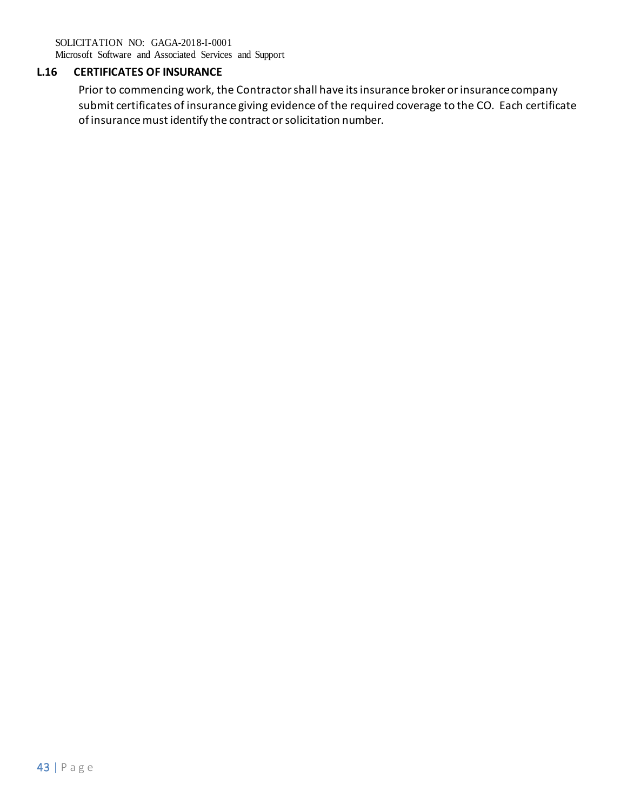Microsoft Software and Associated Services and Support

# **L.16 CERTIFICATES OF INSURANCE**

Prior to commencing work, the Contractor shall have its insurance broker or insurancecompany submit certificates of insurance giving evidence of the required coverage to the CO. Each certificate of insurance must identify the contract or solicitation number.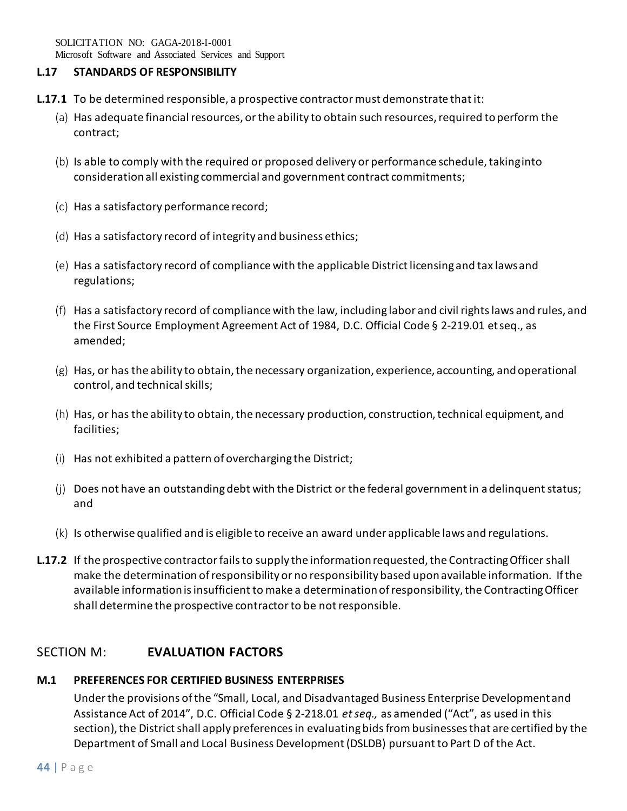Microsoft Software and Associated Services and Support

### **L.17 STANDARDS OF RESPONSIBILITY**

- **L.17.1** To be determined responsible, a prospective contractor must demonstrate thatit:
	- (a) Has adequate financial resources, or the ability to obtain such resources, required toperform the contract;
	- (b) Is able to comply with the required or proposed delivery or performance schedule, takinginto consideration all existing commercial and government contract commitments;
	- (c) Has a satisfactory performance record;
	- (d) Has a satisfactory record of integrity and business ethics;
	- (e) Has a satisfactory record of compliance with the applicable District licensing and tax lawsand regulations;
	- (f) Has a satisfactory record of compliance with the law, including labor and civil rights laws and rules, and the First Source Employment Agreement Act of 1984, D.C. Official Code § 2-219.01 etseq., as amended;
	- (g) Has, or has the ability to obtain, the necessary organization, experience, accounting, and operational control, and technical skills;
	- (h) Has, or has the ability to obtain, the necessary production, construction, technical equipment, and facilities;
	- (i) Has not exhibited a pattern of overcharging the District;
	- (j) Does not have an outstanding debt with the District or the federal government in adelinquent status; and
	- (k) Is otherwise qualified and is eligible to receive an award under applicable laws and regulations.
- **L.17.2** If the prospective contractor fails to supply the information requested, the Contracting Officer shall make the determination of responsibility or no responsibility based upon available information. If the available information is insufficient to make a determination of responsibility, the Contracting Officer shall determine the prospective contractor to be not responsible.

# SECTION M: **EVALUATION FACTORS**

## **M.1 PREFERENCES FOR CERTIFIED BUSINESS ENTERPRISES**

Under the provisions of the "Small, Local, and Disadvantaged Business Enterprise Development and Assistance Act of 2014", D.C. Official Code § 2-218.01 *et seq.,* as amended ("Act", as used in this section), the District shall apply preferences in evaluating bids from businesses that are certified by the Department of Small and Local Business Development (DSLDB) pursuant to Part D of the Act.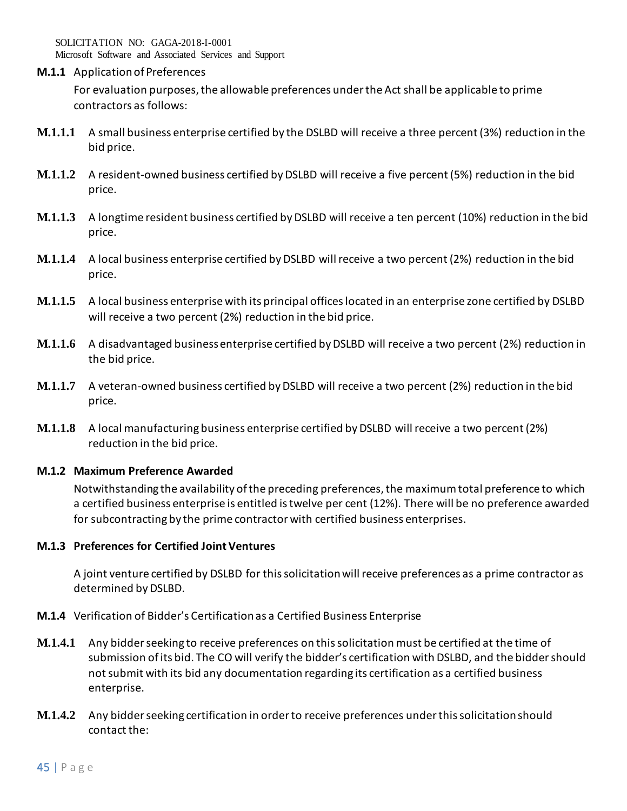Microsoft Software and Associated Services and Support

**M.1.1** Application of Preferences

For evaluation purposes, the allowable preferences under the Act shall be applicable to prime contractors as follows:

- **M.1.1.1** A small business enterprise certified by the DSLBD will receive a three percent (3%) reduction in the bid price.
- **M.1.1.2** A resident-owned business certified by DSLBD will receive a five percent (5%) reduction in the bid price.
- **M.1.1.3** A longtime resident business certified by DSLBD will receive a ten percent (10%) reduction in the bid price.
- **M.1.1.4** A local business enterprise certified by DSLBD will receive a two percent (2%) reduction in the bid price.
- **M.1.1.5** A local business enterprise with its principal offices located in an enterprise zone certified by DSLBD will receive a two percent (2%) reduction in the bid price.
- **M.1.1.6** A disadvantaged business enterprise certified by DSLBD will receive a two percent (2%) reduction in the bid price.
- **M.1.1.7** A veteran-owned business certified by DSLBD will receive a two percent (2%) reduction in the bid price.
- **M.1.1.8** A local manufacturing business enterprise certified by DSLBD will receive a two percent (2%) reduction in the bid price.

## **M.1.2 Maximum Preference Awarded**

Notwithstanding the availability of the preceding preferences, the maximum total preference to which a certified business enterprise is entitled is twelve per cent (12%). There will be no preference awarded for subcontracting by the prime contractor with certified business enterprises.

## **M.1.3 Preferences for Certified Joint Ventures**

A joint venture certified by DSLBD for this solicitation will receive preferences as a prime contractor as determined by DSLBD.

- **M.1.4** Verification of Bidder's Certification as a Certified Business Enterprise
- **M.1.4.1** Any bidder seeking to receive preferences on this solicitation must be certified at the time of submission of its bid. The CO will verify the bidder's certification with DSLBD, and the bidder should not submit with its bid any documentation regarding its certification as a certified business enterprise.
- **M.1.4.2** Any bidder seeking certification in order to receive preferences under this solicitation should contact the: